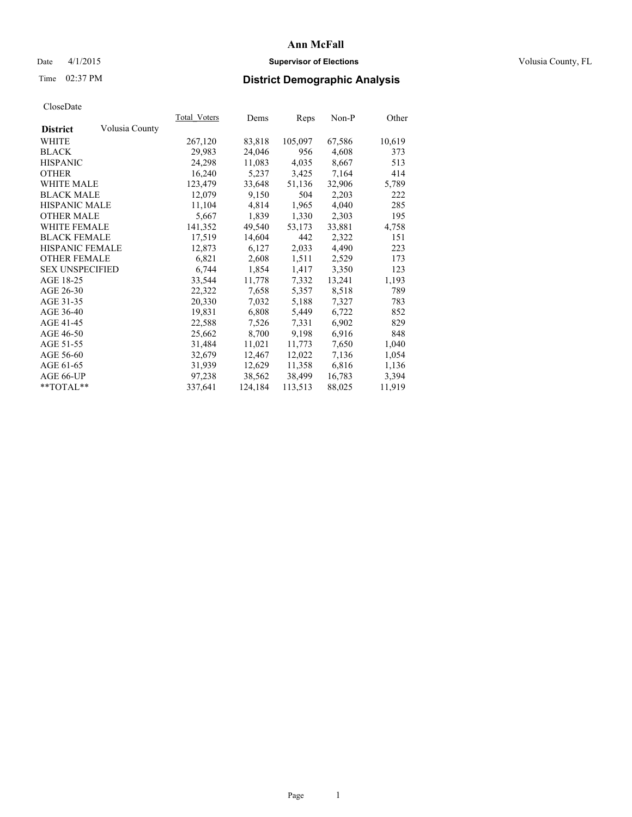# Date 4/1/2015 **Supervisor of Elections Supervisor of Elections** Volusia County, FL

# Time 02:37 PM **District Demographic Analysis**

|                        |                | Total Voters | Dems    | <b>Reps</b> | Non-P  | Other  |
|------------------------|----------------|--------------|---------|-------------|--------|--------|
| <b>District</b>        | Volusia County |              |         |             |        |        |
| WHITE                  |                | 267,120      | 83,818  | 105,097     | 67,586 | 10,619 |
| <b>BLACK</b>           |                | 29,983       | 24,046  | 956         | 4,608  | 373    |
| <b>HISPANIC</b>        |                | 24,298       | 11,083  | 4,035       | 8,667  | 513    |
| <b>OTHER</b>           |                | 16,240       | 5,237   | 3,425       | 7,164  | 414    |
| WHITE MALE             |                | 123,479      | 33,648  | 51,136      | 32,906 | 5,789  |
| <b>BLACK MALE</b>      |                | 12,079       | 9,150   | 504         | 2,203  | 222    |
| <b>HISPANIC MALE</b>   |                | 11,104       | 4,814   | 1,965       | 4,040  | 285    |
| <b>OTHER MALE</b>      |                | 5,667        | 1,839   | 1,330       | 2,303  | 195    |
| WHITE FEMALE           |                | 141,352      | 49,540  | 53,173      | 33,881 | 4,758  |
| <b>BLACK FEMALE</b>    |                | 17,519       | 14,604  | 442         | 2,322  | 151    |
| HISPANIC FEMALE        |                | 12,873       | 6,127   | 2,033       | 4,490  | 223    |
| <b>OTHER FEMALE</b>    |                | 6,821        | 2,608   | 1,511       | 2,529  | 173    |
| <b>SEX UNSPECIFIED</b> |                | 6,744        | 1,854   | 1,417       | 3,350  | 123    |
| AGE 18-25              |                | 33,544       | 11,778  | 7,332       | 13,241 | 1,193  |
| AGE 26-30              |                | 22,322       | 7,658   | 5,357       | 8,518  | 789    |
| AGE 31-35              |                | 20,330       | 7,032   | 5,188       | 7,327  | 783    |
| AGE 36-40              |                | 19,831       | 6,808   | 5,449       | 6,722  | 852    |
| AGE 41-45              |                | 22,588       | 7,526   | 7.331       | 6,902  | 829    |
| AGE 46-50              |                | 25,662       | 8,700   | 9,198       | 6,916  | 848    |
| AGE 51-55              |                | 31,484       | 11,021  | 11,773      | 7,650  | 1,040  |
| AGE 56-60              |                | 32,679       | 12,467  | 12,022      | 7,136  | 1,054  |
| AGE 61-65              |                | 31,939       | 12,629  | 11,358      | 6,816  | 1,136  |
| AGE 66-UP              |                | 97,238       | 38,562  | 38,499      | 16,783 | 3,394  |
| $*$ $TOTAL**$          |                | 337,641      | 124,184 | 113,513     | 88,025 | 11,919 |
|                        |                |              |         |             |        |        |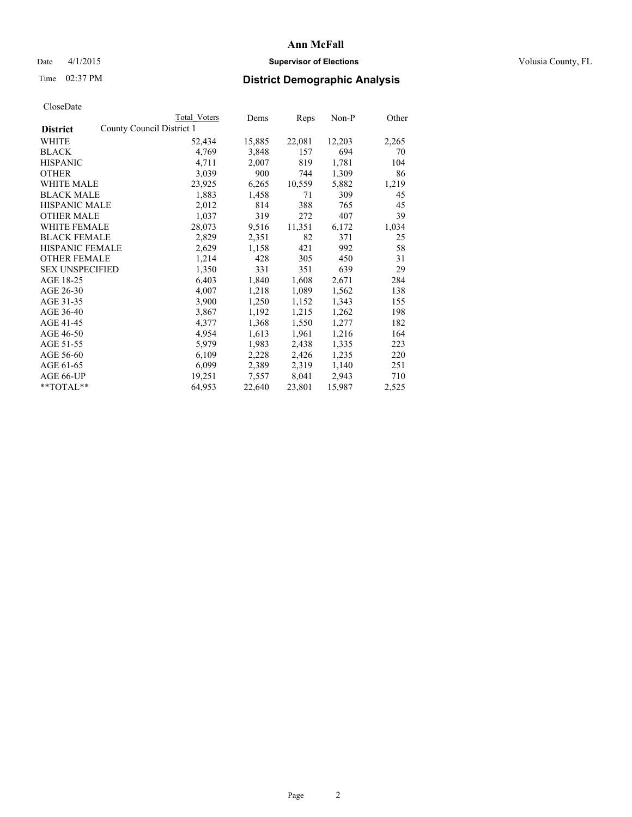# Date 4/1/2015 **Supervisor of Elections Supervisor of Elections** Volusia County, FL

|                        |                           | Total Voters | Dems   | Reps   | $Non-P$ | Other |
|------------------------|---------------------------|--------------|--------|--------|---------|-------|
| <b>District</b>        | County Council District 1 |              |        |        |         |       |
| WHITE                  |                           | 52,434       | 15,885 | 22,081 | 12,203  | 2,265 |
| <b>BLACK</b>           |                           | 4,769        | 3,848  | 157    | 694     | 70    |
| <b>HISPANIC</b>        |                           | 4,711        | 2,007  | 819    | 1,781   | 104   |
| <b>OTHER</b>           |                           | 3,039        | 900    | 744    | 1,309   | 86    |
| <b>WHITE MALE</b>      |                           | 23,925       | 6,265  | 10,559 | 5,882   | 1,219 |
| <b>BLACK MALE</b>      |                           | 1,883        | 1,458  | 71     | 309     | 45    |
| <b>HISPANIC MALE</b>   |                           | 2,012        | 814    | 388    | 765     | 45    |
| <b>OTHER MALE</b>      |                           | 1,037        | 319    | 272    | 407     | 39    |
| WHITE FEMALE           |                           | 28,073       | 9,516  | 11,351 | 6,172   | 1,034 |
| <b>BLACK FEMALE</b>    |                           | 2,829        | 2,351  | 82     | 371     | 25    |
| <b>HISPANIC FEMALE</b> |                           | 2,629        | 1,158  | 421    | 992     | 58    |
| <b>OTHER FEMALE</b>    |                           | 1,214        | 428    | 305    | 450     | 31    |
| <b>SEX UNSPECIFIED</b> |                           | 1,350        | 331    | 351    | 639     | 29    |
| AGE 18-25              |                           | 6,403        | 1,840  | 1,608  | 2,671   | 284   |
| AGE 26-30              |                           | 4,007        | 1,218  | 1,089  | 1,562   | 138   |
| AGE 31-35              |                           | 3,900        | 1,250  | 1,152  | 1,343   | 155   |
| AGE 36-40              |                           | 3,867        | 1,192  | 1,215  | 1,262   | 198   |
| AGE 41-45              |                           | 4,377        | 1,368  | 1,550  | 1,277   | 182   |
| AGE 46-50              |                           | 4,954        | 1,613  | 1,961  | 1,216   | 164   |
| AGE 51-55              |                           | 5,979        | 1,983  | 2,438  | 1,335   | 223   |
| AGE 56-60              |                           | 6,109        | 2,228  | 2,426  | 1,235   | 220   |
| AGE 61-65              |                           | 6,099        | 2,389  | 2,319  | 1,140   | 251   |
| AGE 66-UP              |                           | 19,251       | 7,557  | 8,041  | 2,943   | 710   |
| $*$ TOTAL $*$          |                           | 64,953       | 22,640 | 23,801 | 15,987  | 2,525 |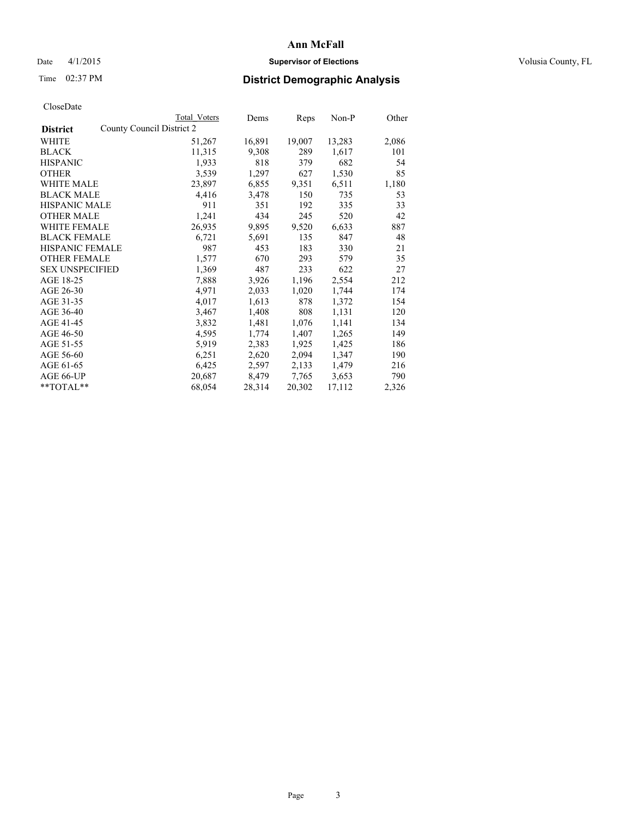# Date 4/1/2015 **Supervisor of Elections Supervisor of Elections** Volusia County, FL

| CloseDate |
|-----------|
|-----------|

|                        | Total Voters              | Dems   | Reps   | Non-P  | Other |
|------------------------|---------------------------|--------|--------|--------|-------|
| <b>District</b>        | County Council District 2 |        |        |        |       |
| WHITE                  | 51,267                    | 16,891 | 19,007 | 13,283 | 2,086 |
| <b>BLACK</b>           | 11,315                    | 9,308  | 289    | 1,617  | 101   |
| <b>HISPANIC</b>        | 1,933                     | 818    | 379    | 682    | 54    |
| <b>OTHER</b>           | 3,539                     | 1,297  | 627    | 1,530  | 85    |
| <b>WHITE MALE</b>      | 23,897                    | 6,855  | 9.351  | 6,511  | 1,180 |
| <b>BLACK MALE</b>      | 4,416                     | 3,478  | 150    | 735    | 53    |
| <b>HISPANIC MALE</b>   | 911                       | 351    | 192    | 335    | 33    |
| <b>OTHER MALE</b>      | 1,241                     | 434    | 245    | 520    | 42    |
| <b>WHITE FEMALE</b>    | 26,935                    | 9,895  | 9,520  | 6,633  | 887   |
| <b>BLACK FEMALE</b>    | 6,721                     | 5,691  | 135    | 847    | 48    |
| HISPANIC FEMALE        | 987                       | 453    | 183    | 330    | 21    |
| <b>OTHER FEMALE</b>    | 1,577                     | 670    | 293    | 579    | 35    |
| <b>SEX UNSPECIFIED</b> | 1,369                     | 487    | 233    | 622    | 27    |
| AGE 18-25              | 7,888                     | 3,926  | 1,196  | 2,554  | 212   |
| AGE 26-30              | 4,971                     | 2,033  | 1,020  | 1,744  | 174   |
| AGE 31-35              | 4,017                     | 1,613  | 878    | 1,372  | 154   |
| AGE 36-40              | 3,467                     | 1,408  | 808    | 1,131  | 120   |
| AGE 41-45              | 3,832                     | 1,481  | 1,076  | 1,141  | 134   |
| AGE 46-50              | 4,595                     | 1,774  | 1,407  | 1,265  | 149   |
| AGE 51-55              | 5,919                     | 2,383  | 1,925  | 1,425  | 186   |
| AGE 56-60              | 6,251                     | 2,620  | 2,094  | 1,347  | 190   |
| AGE 61-65              | 6,425                     | 2,597  | 2,133  | 1,479  | 216   |
| AGE 66-UP              | 20,687                    | 8,479  | 7.765  | 3,653  | 790   |
| $*$ $TOTAI.**$         | 68,054                    | 28,314 | 20,302 | 17,112 | 2,326 |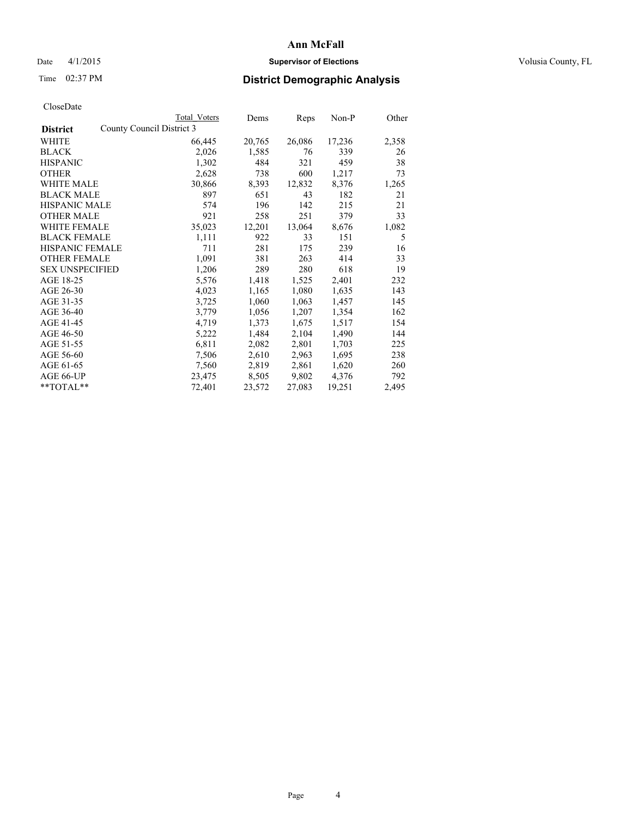# Date 4/1/2015 **Supervisor of Elections Supervisor of Elections** Volusia County, FL

|                        |                           | Total Voters | Dems   | <b>Reps</b> | Non-P  | Other |
|------------------------|---------------------------|--------------|--------|-------------|--------|-------|
| <b>District</b>        | County Council District 3 |              |        |             |        |       |
| WHITE                  |                           | 66,445       | 20,765 | 26,086      | 17,236 | 2,358 |
| <b>BLACK</b>           |                           | 2,026        | 1,585  | 76          | 339    | 26    |
| <b>HISPANIC</b>        |                           | 1,302        | 484    | 321         | 459    | 38    |
| <b>OTHER</b>           |                           | 2,628        | 738    | 600         | 1,217  | 73    |
| <b>WHITE MALE</b>      |                           | 30,866       | 8,393  | 12,832      | 8,376  | 1,265 |
| <b>BLACK MALE</b>      |                           | 897          | 651    | 43          | 182    | 21    |
| <b>HISPANIC MALE</b>   |                           | 574          | 196    | 142         | 215    | 21    |
| <b>OTHER MALE</b>      |                           | 921          | 258    | 251         | 379    | 33    |
| <b>WHITE FEMALE</b>    |                           | 35,023       | 12,201 | 13,064      | 8,676  | 1,082 |
| <b>BLACK FEMALE</b>    |                           | 1,111        | 922    | 33          | 151    | 5     |
| <b>HISPANIC FEMALE</b> |                           | 711          | 281    | 175         | 239    | 16    |
| <b>OTHER FEMALE</b>    |                           | 1,091        | 381    | 263         | 414    | 33    |
| <b>SEX UNSPECIFIED</b> |                           | 1,206        | 289    | 280         | 618    | 19    |
| AGE 18-25              |                           | 5,576        | 1,418  | 1,525       | 2,401  | 232   |
| AGE 26-30              |                           | 4,023        | 1,165  | 1,080       | 1,635  | 143   |
| AGE 31-35              |                           | 3,725        | 1,060  | 1,063       | 1,457  | 145   |
| AGE 36-40              |                           | 3,779        | 1,056  | 1,207       | 1,354  | 162   |
| AGE 41-45              |                           | 4,719        | 1,373  | 1,675       | 1,517  | 154   |
| AGE 46-50              |                           | 5,222        | 1,484  | 2,104       | 1,490  | 144   |
| AGE 51-55              |                           | 6,811        | 2,082  | 2,801       | 1,703  | 225   |
| AGE 56-60              |                           | 7,506        | 2,610  | 2,963       | 1,695  | 238   |
| AGE 61-65              |                           | 7,560        | 2,819  | 2,861       | 1,620  | 260   |
| AGE 66-UP              |                           | 23,475       | 8,505  | 9,802       | 4,376  | 792   |
| $*$ $TOTAI.**$         |                           | 72,401       | 23,572 | 27,083      | 19,251 | 2,495 |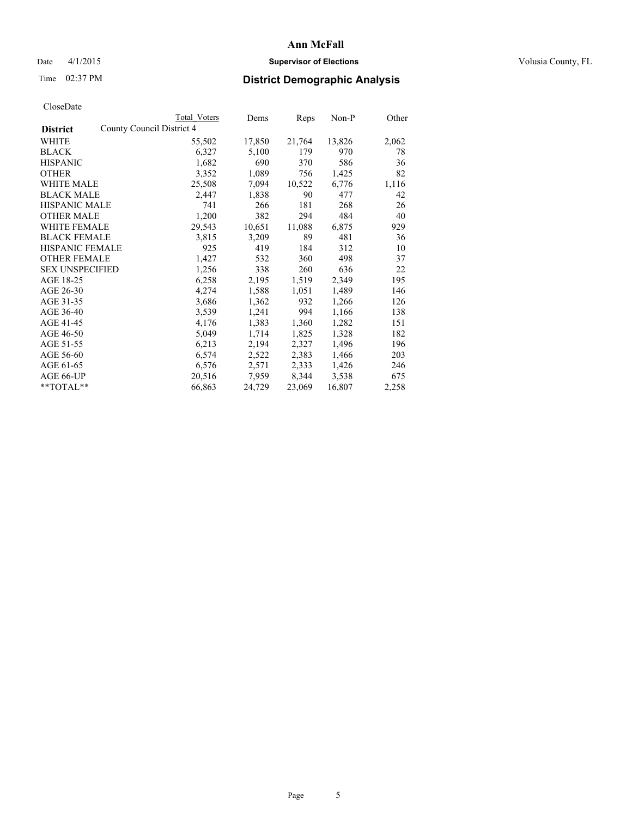# Date 4/1/2015 **Supervisor of Elections Supervisor of Elections** Volusia County, FL

|                        | Total Voters              | Dems   | Reps   | Non-P  | Other |
|------------------------|---------------------------|--------|--------|--------|-------|
| <b>District</b>        | County Council District 4 |        |        |        |       |
| WHITE                  | 55,502                    | 17,850 | 21,764 | 13,826 | 2,062 |
| <b>BLACK</b>           | 6,327                     | 5,100  | 179    | 970    | 78    |
| <b>HISPANIC</b>        | 1,682                     | 690    | 370    | 586    | 36    |
| <b>OTHER</b>           | 3,352                     | 1,089  | 756    | 1,425  | 82    |
| <b>WHITE MALE</b>      | 25,508                    | 7,094  | 10,522 | 6,776  | 1,116 |
| <b>BLACK MALE</b>      | 2,447                     | 1,838  | 90     | 477    | 42    |
| <b>HISPANIC MALE</b>   | 741                       | 266    | 181    | 268    | 26    |
| <b>OTHER MALE</b>      | 1,200                     | 382    | 294    | 484    | 40    |
| WHITE FEMALE           | 29,543                    | 10,651 | 11,088 | 6,875  | 929   |
| <b>BLACK FEMALE</b>    | 3,815                     | 3,209  | 89     | 481    | 36    |
| HISPANIC FEMALE        | 925                       | 419    | 184    | 312    | 10    |
| <b>OTHER FEMALE</b>    | 1,427                     | 532    | 360    | 498    | 37    |
| <b>SEX UNSPECIFIED</b> | 1,256                     | 338    | 260    | 636    | 22    |
| AGE 18-25              | 6,258                     | 2,195  | 1,519  | 2,349  | 195   |
| AGE 26-30              | 4,274                     | 1,588  | 1,051  | 1,489  | 146   |
| AGE 31-35              | 3,686                     | 1,362  | 932    | 1,266  | 126   |
| AGE 36-40              | 3,539                     | 1,241  | 994    | 1,166  | 138   |
| AGE 41-45              | 4,176                     | 1,383  | 1,360  | 1,282  | 151   |
| AGE 46-50              | 5,049                     | 1,714  | 1,825  | 1,328  | 182   |
| AGE 51-55              | 6,213                     | 2,194  | 2,327  | 1,496  | 196   |
| AGE 56-60              | 6,574                     | 2,522  | 2,383  | 1,466  | 203   |
| AGE 61-65              | 6,576                     | 2,571  | 2,333  | 1,426  | 246   |
| AGE 66-UP              | 20,516                    | 7,959  | 8,344  | 3,538  | 675   |
| **TOTAL**              | 66,863                    | 24,729 | 23,069 | 16,807 | 2,258 |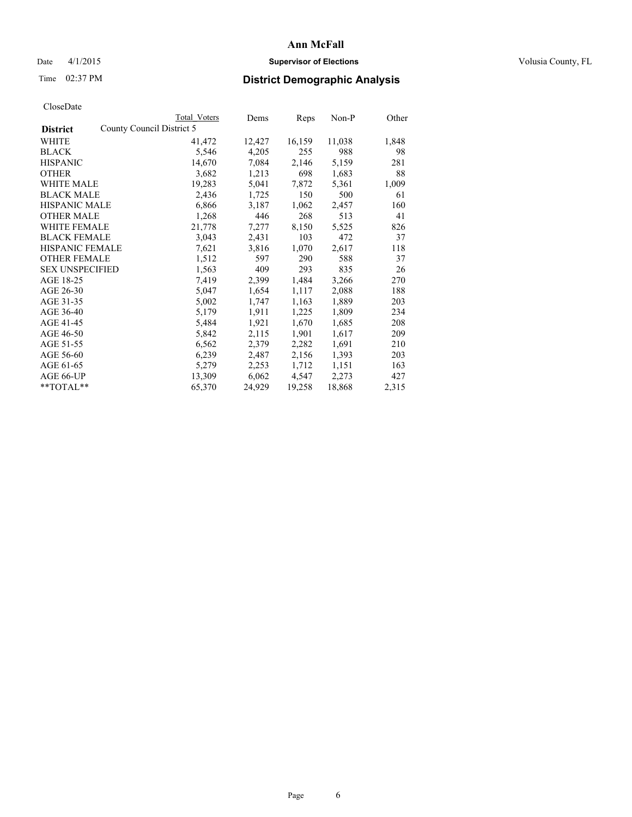# Date 4/1/2015 **Supervisor of Elections Supervisor of Elections** Volusia County, FL

|                        |                           | Total Voters | Dems   | Reps   | $Non-P$ | Other |
|------------------------|---------------------------|--------------|--------|--------|---------|-------|
| <b>District</b>        | County Council District 5 |              |        |        |         |       |
| <b>WHITE</b>           |                           | 41,472       | 12,427 | 16,159 | 11,038  | 1,848 |
| <b>BLACK</b>           |                           | 5.546        | 4,205  | 255    | 988     | 98    |
| <b>HISPANIC</b>        |                           | 14,670       | 7,084  | 2.146  | 5.159   | 281   |
| <b>OTHER</b>           |                           | 3.682        | 1,213  | 698    | 1,683   | 88    |
| WHITE MALE             |                           | 19.283       | 5.041  | 7,872  | 5,361   | 1,009 |
| <b>BLACK MALE</b>      |                           | 2,436        | 1,725  | 150    | 500     | 61    |
| <b>HISPANIC MALE</b>   |                           | 6,866        | 3.187  | 1,062  | 2.457   | 160   |
| <b>OTHER MALE</b>      |                           | 1.268        | 446    | 268    | 513     | 41    |
| WHITE FEMALE           |                           | 21,778       | 7,277  | 8.150  | 5,525   | 826   |
| <b>BLACK FEMALE</b>    |                           | 3,043        | 2,431  | 103    | 472     | 37    |
| <b>HISPANIC FEMALE</b> |                           | 7,621        | 3,816  | 1,070  | 2.617   | 118   |
| <b>OTHER FEMALE</b>    |                           | 1,512        | 597    | 290    | 588     | 37    |
| <b>SEX UNSPECIFIED</b> |                           | 1,563        | 409    | 293    | 835     | 26    |
| AGE 18-25              |                           | 7,419        | 2,399  | 1,484  | 3,266   | 270   |
| AGE 26-30              |                           | 5.047        | 1,654  | 1,117  | 2.088   | 188   |
| AGE 31-35              |                           | 5.002        | 1,747  | 1,163  | 1.889   | 203   |
| AGE 36-40              |                           | 5,179        | 1,911  | 1,225  | 1,809   | 234   |
| AGE 41-45              |                           | 5,484        | 1.921  | 1,670  | 1,685   | 208   |
| AGE 46-50              |                           | 5,842        | 2,115  | 1.901  | 1,617   | 209   |
| AGE 51-55              |                           | 6,562        | 2,379  | 2,282  | 1.691   | 210   |
| AGE 56-60              |                           | 6,239        | 2,487  | 2,156  | 1.393   | 203   |
| AGE 61-65              |                           | 5,279        | 2,253  | 1,712  | 1,151   | 163   |
| AGE 66-UP              |                           | 13,309       | 6,062  | 4,547  | 2.273   | 427   |
| $*$ TOTAL $*$          |                           | 65.370       | 24.929 | 19.258 | 18,868  | 2.315 |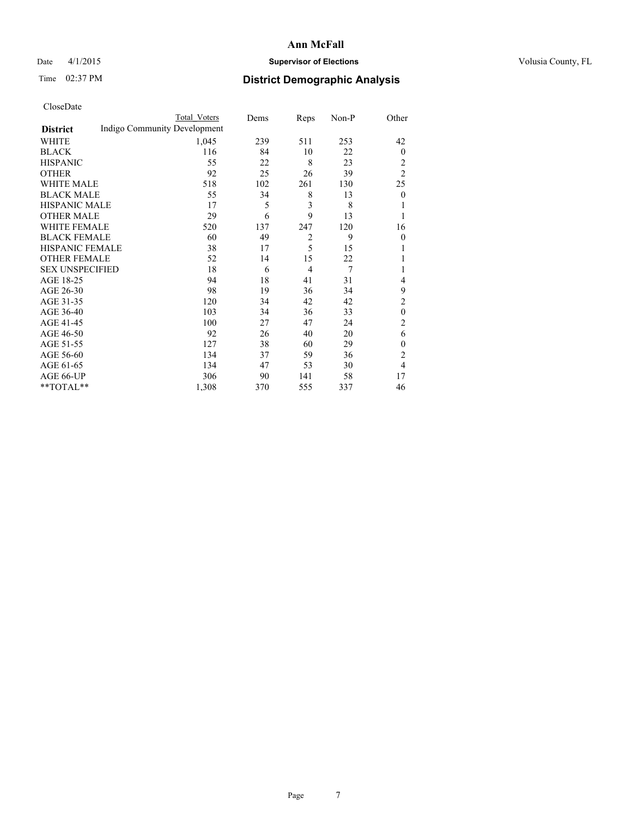# Date 4/1/2015 **Supervisor of Elections Supervisor of Elections** Volusia County, FL

# Time 02:37 PM **District Demographic Analysis**

|                        | <b>Total Voters</b>          | Dems | Reps           | Non-P | Other            |
|------------------------|------------------------------|------|----------------|-------|------------------|
| <b>District</b>        | Indigo Community Development |      |                |       |                  |
| WHITE                  | 1,045                        | 239  | 511            | 253   | 42               |
| <b>BLACK</b>           | 116                          | 84   | 10             | 22    | $\mathbf{0}$     |
| <b>HISPANIC</b>        | 55                           | 22   | 8              | 23    | 2                |
| <b>OTHER</b>           | 92                           | 25   | 26             | 39    | $\overline{2}$   |
| <b>WHITE MALE</b>      | 518                          | 102  | 261            | 130   | 25               |
| <b>BLACK MALE</b>      | 55                           | 34   | 8              | 13    | $\boldsymbol{0}$ |
| <b>HISPANIC MALE</b>   | 17                           | 5    | 3              | 8     |                  |
| <b>OTHER MALE</b>      | 29                           | 6    | 9              | 13    | 1                |
| <b>WHITE FEMALE</b>    | 520                          | 137  | 247            | 120   | 16               |
| <b>BLACK FEMALE</b>    | 60                           | 49   | $\overline{2}$ | 9     | $\theta$         |
| HISPANIC FEMALE        | 38                           | 17   | 5              | 15    |                  |
| <b>OTHER FEMALE</b>    | 52                           | 14   | 15             | 22    |                  |
| <b>SEX UNSPECIFIED</b> | 18                           | 6    | 4              | 7     | 1                |
| AGE 18-25              | 94                           | 18   | 41             | 31    | 4                |
| AGE 26-30              | 98                           | 19   | 36             | 34    | 9                |
| AGE 31-35              | 120                          | 34   | 42             | 42    | $\overline{c}$   |
| AGE 36-40              | 103                          | 34   | 36             | 33    | $\theta$         |
| AGE 41-45              | 100                          | 27   | 47             | 24    | $\overline{c}$   |
| AGE 46-50              | 92                           | 26   | 40             | 20    | 6                |
| AGE 51-55              | 127                          | 38   | 60             | 29    | $\mathbf{0}$     |
| AGE 56-60              | 134                          | 37   | 59             | 36    | $\overline{c}$   |
| AGE 61-65              | 134                          | 47   | 53             | 30    | 4                |
| AGE 66-UP              | 306                          | 90   | 141            | 58    | 17               |
| **TOTAL**              | 1,308                        | 370  | 555            | 337   | 46               |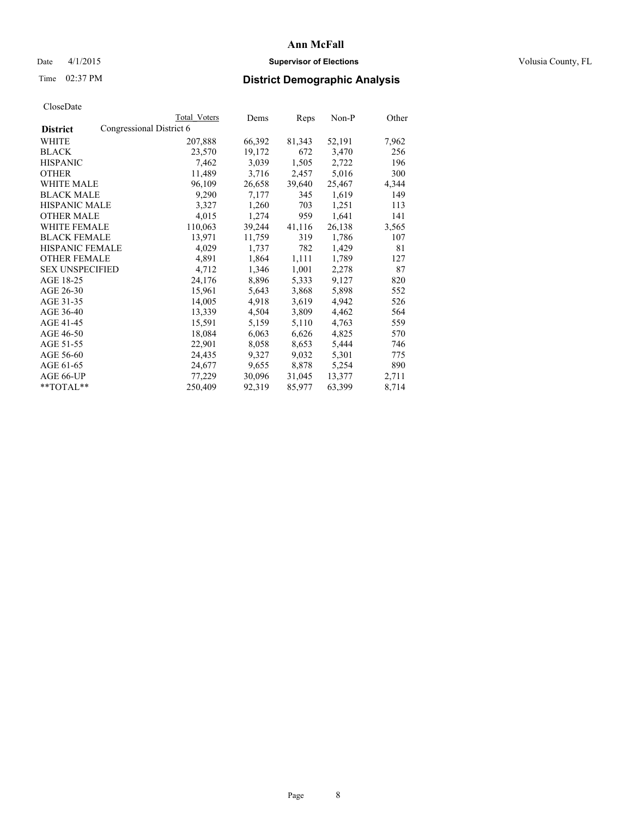# Date 4/1/2015 **Supervisor of Elections Supervisor of Elections** Volusia County, FL

# Time 02:37 PM **District Demographic Analysis**

| Total Voters | Dems                     | Reps   | Non-P  | Other |
|--------------|--------------------------|--------|--------|-------|
|              |                          |        |        |       |
| 207,888      | 66,392                   | 81,343 | 52,191 | 7,962 |
| 23,570       | 19,172                   | 672    | 3,470  | 256   |
| 7,462        | 3,039                    | 1,505  | 2,722  | 196   |
| 11,489       | 3,716                    | 2,457  | 5,016  | 300   |
| 96,109       | 26,658                   | 39,640 | 25,467 | 4,344 |
| 9,290        | 7,177                    | 345    | 1,619  | 149   |
| 3,327        | 1,260                    | 703    | 1,251  | 113   |
| 4,015        | 1,274                    | 959    | 1,641  | 141   |
| 110,063      | 39,244                   | 41,116 | 26,138 | 3,565 |
| 13,971       | 11,759                   | 319    | 1,786  | 107   |
| 4,029        | 1,737                    | 782    | 1,429  | 81    |
| 4,891        | 1,864                    | 1,111  | 1,789  | 127   |
| 4,712        | 1,346                    | 1,001  | 2,278  | 87    |
| 24,176       | 8,896                    | 5,333  | 9,127  | 820   |
| 15,961       | 5,643                    | 3,868  | 5,898  | 552   |
| 14,005       | 4,918                    | 3,619  | 4,942  | 526   |
| 13,339       | 4,504                    | 3,809  | 4,462  | 564   |
| 15,591       | 5,159                    | 5,110  | 4,763  | 559   |
| 18,084       | 6,063                    | 6,626  | 4,825  | 570   |
| 22,901       | 8,058                    | 8,653  | 5,444  | 746   |
| 24,435       | 9,327                    | 9,032  | 5,301  | 775   |
| 24,677       | 9,655                    | 8,878  | 5,254  | 890   |
| 77,229       | 30,096                   | 31,045 | 13,377 | 2,711 |
| 250,409      | 92,319                   | 85,977 | 63,399 | 8,714 |
|              | Congressional District 6 |        |        |       |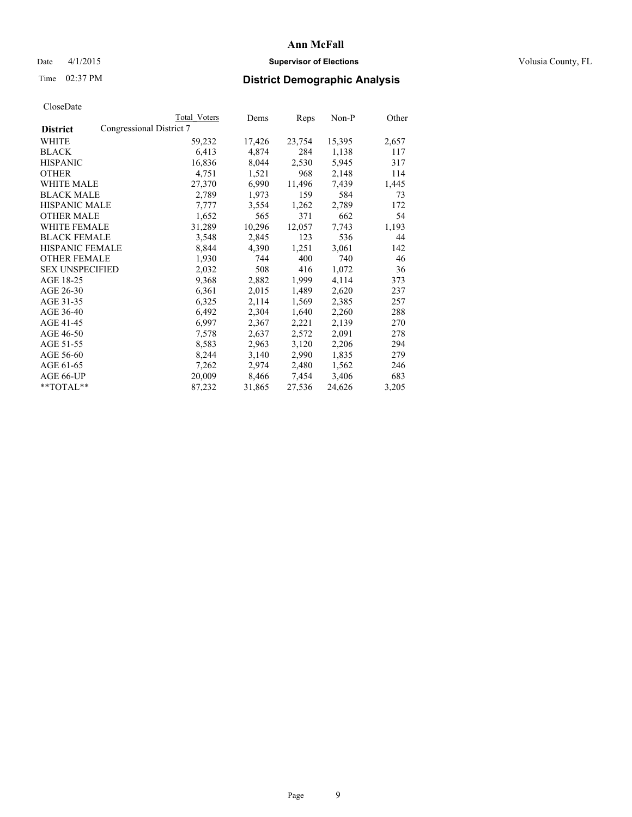# Date 4/1/2015 **Supervisor of Elections Supervisor of Elections** Volusia County, FL

|                                             | Total Voters | Dems   | Reps   | Non-P  | Other |
|---------------------------------------------|--------------|--------|--------|--------|-------|
| Congressional District 7<br><b>District</b> |              |        |        |        |       |
| <b>WHITE</b>                                | 59,232       | 17,426 | 23,754 | 15,395 | 2,657 |
| <b>BLACK</b>                                | 6,413        | 4,874  | 284    | 1,138  | 117   |
| <b>HISPANIC</b>                             | 16,836       | 8,044  | 2,530  | 5,945  | 317   |
| <b>OTHER</b>                                | 4,751        | 1,521  | 968    | 2,148  | 114   |
| <b>WHITE MALE</b>                           | 27,370       | 6,990  | 11,496 | 7,439  | 1,445 |
| <b>BLACK MALE</b>                           | 2,789        | 1,973  | 159    | 584    | 73    |
| <b>HISPANIC MALE</b>                        | 7,777        | 3,554  | 1,262  | 2,789  | 172   |
| <b>OTHER MALE</b>                           | 1,652        | 565    | 371    | 662    | 54    |
| <b>WHITE FEMALE</b>                         | 31,289       | 10,296 | 12,057 | 7,743  | 1,193 |
| <b>BLACK FEMALE</b>                         | 3,548        | 2,845  | 123    | 536    | 44    |
| HISPANIC FEMALE                             | 8,844        | 4,390  | 1,251  | 3,061  | 142   |
| <b>OTHER FEMALE</b>                         | 1,930        | 744    | 400    | 740    | 46    |
| <b>SEX UNSPECIFIED</b>                      | 2,032        | 508    | 416    | 1,072  | 36    |
| AGE 18-25                                   | 9,368        | 2,882  | 1,999  | 4,114  | 373   |
| AGE 26-30                                   | 6,361        | 2,015  | 1,489  | 2,620  | 237   |
| AGE 31-35                                   | 6,325        | 2,114  | 1,569  | 2,385  | 257   |
| AGE 36-40                                   | 6,492        | 2,304  | 1,640  | 2,260  | 288   |
| AGE 41-45                                   | 6,997        | 2,367  | 2,221  | 2,139  | 270   |
| AGE 46-50                                   | 7,578        | 2,637  | 2,572  | 2,091  | 278   |
| AGE 51-55                                   | 8,583        | 2,963  | 3,120  | 2,206  | 294   |
| AGE 56-60                                   | 8,244        | 3,140  | 2,990  | 1,835  | 279   |
| AGE 61-65                                   | 7,262        | 2,974  | 2,480  | 1,562  | 246   |
| AGE 66-UP                                   | 20,009       | 8,466  | 7,454  | 3,406  | 683   |
| **TOTAL**                                   | 87,232       | 31,865 | 27,536 | 24,626 | 3,205 |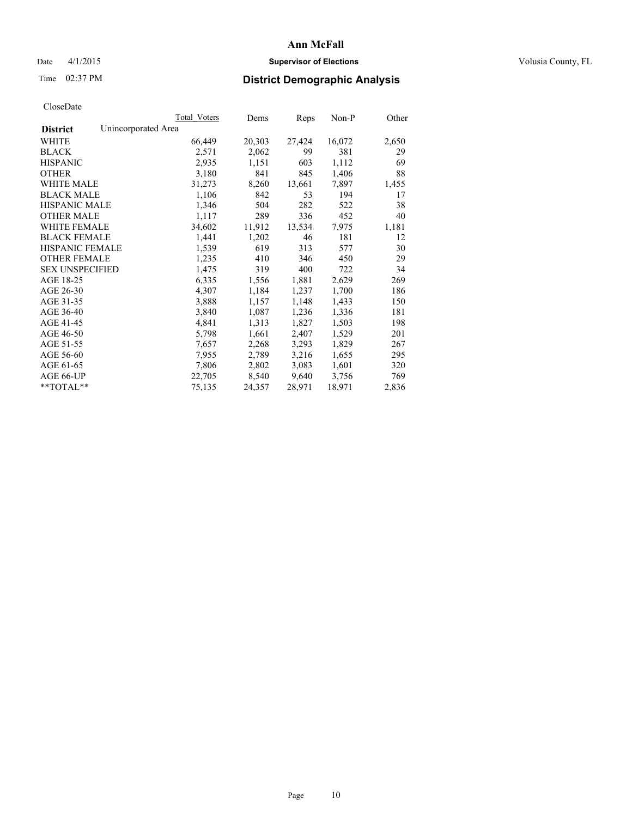# Date 4/1/2015 **Supervisor of Elections Supervisor of Elections** Volusia County, FL

# Time 02:37 PM **District Demographic Analysis**

|                                        | Total Voters | Dems   | Reps   | Non-P  | Other |
|----------------------------------------|--------------|--------|--------|--------|-------|
| Unincorporated Area<br><b>District</b> |              |        |        |        |       |
| WHITE                                  | 66,449       | 20,303 | 27,424 | 16,072 | 2,650 |
| <b>BLACK</b>                           | 2,571        | 2,062  | 99     | 381    | 29    |
| <b>HISPANIC</b>                        | 2,935        | 1,151  | 603    | 1,112  | 69    |
| <b>OTHER</b>                           | 3,180        | 841    | 845    | 1,406  | 88    |
| <b>WHITE MALE</b>                      | 31,273       | 8,260  | 13,661 | 7,897  | 1,455 |
| <b>BLACK MALE</b>                      | 1,106        | 842    | 53     | 194    | 17    |
| <b>HISPANIC MALE</b>                   | 1,346        | 504    | 282    | 522    | 38    |
| <b>OTHER MALE</b>                      | 1,117        | 289    | 336    | 452    | 40    |
| <b>WHITE FEMALE</b>                    | 34,602       | 11,912 | 13,534 | 7,975  | 1,181 |
| <b>BLACK FEMALE</b>                    | 1,441        | 1,202  | 46     | 181    | 12    |
| HISPANIC FEMALE                        | 1,539        | 619    | 313    | 577    | 30    |
| <b>OTHER FEMALE</b>                    | 1,235        | 410    | 346    | 450    | 29    |
| <b>SEX UNSPECIFIED</b>                 | 1,475        | 319    | 400    | 722    | 34    |
| AGE 18-25                              | 6,335        | 1,556  | 1,881  | 2,629  | 269   |
| AGE 26-30                              | 4,307        | 1,184  | 1,237  | 1,700  | 186   |
| AGE 31-35                              | 3,888        | 1,157  | 1,148  | 1,433  | 150   |
| AGE 36-40                              | 3,840        | 1,087  | 1,236  | 1,336  | 181   |
| AGE 41-45                              | 4,841        | 1,313  | 1,827  | 1,503  | 198   |
| AGE 46-50                              | 5,798        | 1,661  | 2,407  | 1,529  | 201   |
| AGE 51-55                              | 7,657        | 2,268  | 3,293  | 1,829  | 267   |
| AGE 56-60                              | 7,955        | 2,789  | 3,216  | 1,655  | 295   |
| AGE 61-65                              | 7,806        | 2,802  | 3,083  | 1,601  | 320   |
| AGE 66-UP                              | 22,705       | 8,540  | 9,640  | 3,756  | 769   |
| $*$ $TOTAI.**$                         | 75,135       | 24,357 | 28,971 | 18,971 | 2,836 |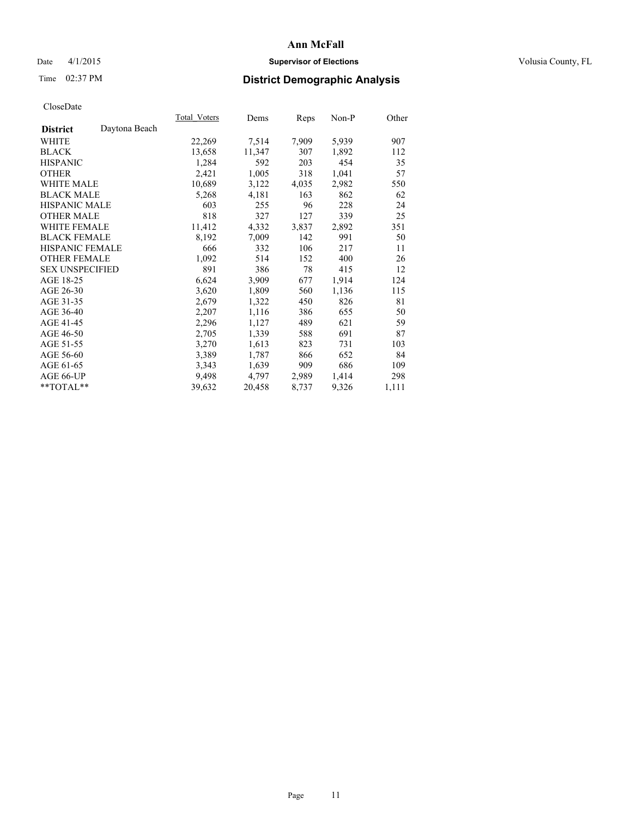# Date 4/1/2015 **Supervisor of Elections Supervisor of Elections** Volusia County, FL

# Time 02:37 PM **District Demographic Analysis**

|                        |               | Total Voters | Dems   | Reps  | Non-P | Other |
|------------------------|---------------|--------------|--------|-------|-------|-------|
| <b>District</b>        | Daytona Beach |              |        |       |       |       |
| WHITE                  |               | 22,269       | 7,514  | 7,909 | 5,939 | 907   |
| <b>BLACK</b>           |               | 13,658       | 11,347 | 307   | 1,892 | 112   |
| <b>HISPANIC</b>        |               | 1,284        | 592    | 203   | 454   | 35    |
| <b>OTHER</b>           |               | 2,421        | 1,005  | 318   | 1,041 | 57    |
| <b>WHITE MALE</b>      |               | 10,689       | 3,122  | 4,035 | 2,982 | 550   |
| <b>BLACK MALE</b>      |               | 5,268        | 4,181  | 163   | 862   | 62    |
| <b>HISPANIC MALE</b>   |               | 603          | 255    | 96    | 228   | 24    |
| <b>OTHER MALE</b>      |               | 818          | 327    | 127   | 339   | 25    |
| <b>WHITE FEMALE</b>    |               | 11,412       | 4,332  | 3,837 | 2,892 | 351   |
| <b>BLACK FEMALE</b>    |               | 8,192        | 7,009  | 142   | 991   | 50    |
| <b>HISPANIC FEMALE</b> |               | 666          | 332    | 106   | 217   | 11    |
| <b>OTHER FEMALE</b>    |               | 1,092        | 514    | 152   | 400   | 26    |
| <b>SEX UNSPECIFIED</b> |               | 891          | 386    | 78    | 415   | 12    |
| AGE 18-25              |               | 6,624        | 3,909  | 677   | 1,914 | 124   |
| AGE 26-30              |               | 3,620        | 1,809  | 560   | 1,136 | 115   |
| AGE 31-35              |               | 2,679        | 1,322  | 450   | 826   | 81    |
| AGE 36-40              |               | 2,207        | 1,116  | 386   | 655   | 50    |
| AGE 41-45              |               | 2,296        | 1,127  | 489   | 621   | 59    |
| AGE 46-50              |               | 2,705        | 1,339  | 588   | 691   | 87    |
| AGE 51-55              |               | 3,270        | 1,613  | 823   | 731   | 103   |
| AGE 56-60              |               | 3,389        | 1,787  | 866   | 652   | 84    |
| AGE 61-65              |               | 3,343        | 1,639  | 909   | 686   | 109   |
| AGE 66-UP              |               | 9,498        | 4,797  | 2,989 | 1,414 | 298   |
| **TOTAL**              |               | 39,632       | 20,458 | 8,737 | 9,326 | 1,111 |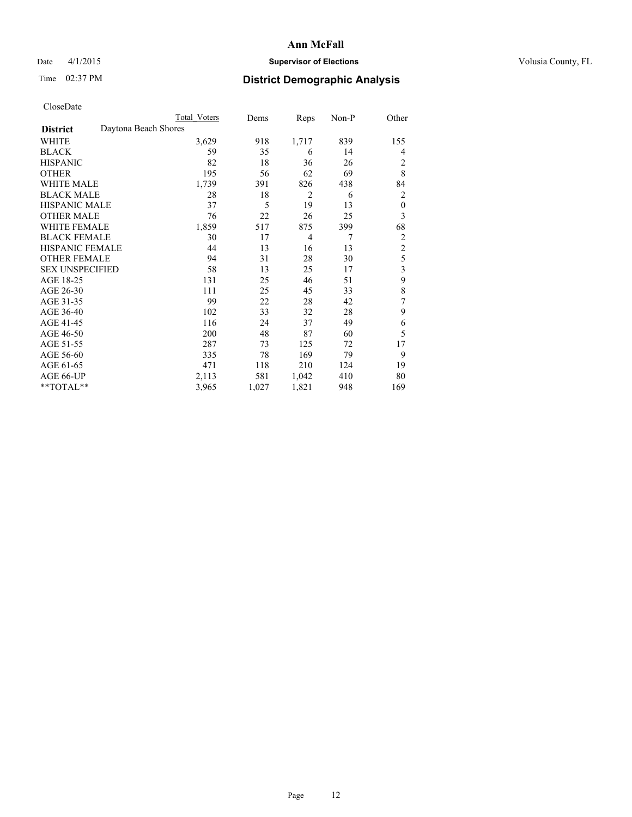# Date 4/1/2015 **Supervisor of Elections Supervisor of Elections** Volusia County, FL

# Time 02:37 PM **District Demographic Analysis**

|                        | Total Voters         | Dems  | Reps           | Non-P | Other            |
|------------------------|----------------------|-------|----------------|-------|------------------|
| <b>District</b>        | Daytona Beach Shores |       |                |       |                  |
| WHITE                  | 3,629                | 918   | 1,717          | 839   | 155              |
| <b>BLACK</b>           | 59                   | 35    | 6              | 14    | 4                |
| <b>HISPANIC</b>        | 82                   | 18    | 36             | 26    | 2                |
| <b>OTHER</b>           | 195                  | 56    | 62             | 69    | 8                |
| <b>WHITE MALE</b>      | 1,739                | 391   | 826            | 438   | 84               |
| <b>BLACK MALE</b>      | 28                   | 18    | $\overline{2}$ | 6     | 2                |
| <b>HISPANIC MALE</b>   | 37                   | 5     | 19             | 13    | $\boldsymbol{0}$ |
| <b>OTHER MALE</b>      | 76                   | 22    | 26             | 25    | 3                |
| <b>WHITE FEMALE</b>    | 1,859                | 517   | 875            | 399   | 68               |
| <b>BLACK FEMALE</b>    | 30                   | 17    | $\overline{4}$ | 7     | $\overline{2}$   |
| <b>HISPANIC FEMALE</b> | 44                   | 13    | 16             | 13    | $\overline{2}$   |
| <b>OTHER FEMALE</b>    | 94                   | 31    | 28             | 30    | 5                |
| <b>SEX UNSPECIFIED</b> | 58                   | 13    | 25             | 17    | 3                |
| AGE 18-25              | 131                  | 25    | 46             | 51    | 9                |
| AGE 26-30              | 111                  | 25    | 45             | 33    | 8                |
| AGE 31-35              | 99                   | 22    | 28             | 42    | 7                |
| AGE 36-40              | 102                  | 33    | 32             | 28    | 9                |
| AGE 41-45              | 116                  | 24    | 37             | 49    | 6                |
| AGE 46-50              | 200                  | 48    | 87             | 60    | 5                |
| AGE 51-55              | 287                  | 73    | 125            | 72    | 17               |
| AGE 56-60              | 335                  | 78    | 169            | 79    | 9                |
| AGE 61-65              | 471                  | 118   | 210            | 124   | 19               |
| AGE 66-UP              | 2,113                | 581   | 1,042          | 410   | 80               |
| **TOTAL**              | 3,965                | 1,027 | 1,821          | 948   | 169              |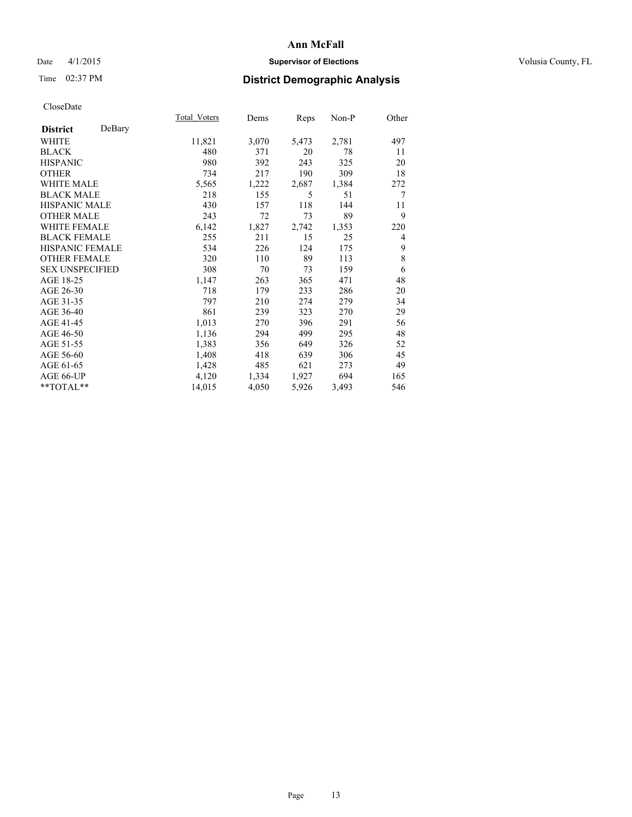# Date 4/1/2015 **Supervisor of Elections Supervisor of Elections** Volusia County, FL

# Time 02:37 PM **District Demographic Analysis**

|        | Dems  | Reps  | Non-P | Other          |
|--------|-------|-------|-------|----------------|
|        |       |       |       |                |
| 11,821 | 3,070 | 5,473 | 2,781 | 497            |
| 480    | 371   | 20    | 78    | 11             |
| 980    | 392   | 243   | 325   | 20             |
| 734    | 217   | 190   | 309   | 18             |
| 5,565  | 1,222 | 2,687 | 1,384 | 272            |
| 218    | 155   | 5     | 51    | 7              |
| 430    | 157   | 118   | 144   | 11             |
| 243    | 72    | 73    | 89    | 9              |
| 6,142  | 1,827 | 2,742 | 1,353 | 220            |
| 255    | 211   | 15    | 25    | $\overline{4}$ |
| 534    | 226   | 124   | 175   | 9              |
| 320    | 110   | 89    | 113   | 8              |
| 308    | 70    | 73    | 159   | 6              |
| 1,147  | 263   | 365   | 471   | 48             |
| 718    | 179   | 233   | 286   | 20             |
| 797    | 210   | 274   | 279   | 34             |
| 861    | 239   | 323   | 270   | 29             |
| 1,013  | 270   | 396   | 291   | 56             |
| 1,136  | 294   | 499   | 295   | 48             |
| 1,383  | 356   | 649   | 326   | 52             |
| 1,408  | 418   | 639   | 306   | 45             |
| 1,428  | 485   | 621   | 273   | 49             |
| 4,120  | 1,334 | 1,927 | 694   | 165            |
| 14,015 | 4,050 | 5,926 | 3,493 | 546            |
|        |       |       |       |                |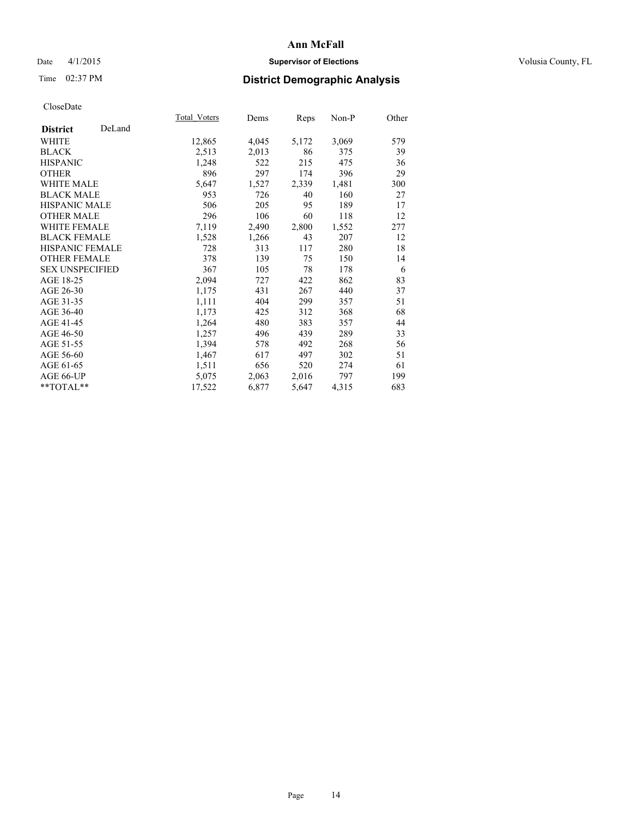# Date 4/1/2015 **Supervisor of Elections Supervisor of Elections** Volusia County, FL

# Time 02:37 PM **District Demographic Analysis**

|                        |        | Total Voters | Dems  | <b>Reps</b> | Non-P | Other |
|------------------------|--------|--------------|-------|-------------|-------|-------|
| <b>District</b>        | DeLand |              |       |             |       |       |
| WHITE                  |        | 12,865       | 4,045 | 5,172       | 3,069 | 579   |
| <b>BLACK</b>           |        | 2,513        | 2,013 | 86          | 375   | 39    |
| <b>HISPANIC</b>        |        | 1,248        | 522   | 215         | 475   | 36    |
| <b>OTHER</b>           |        | 896          | 297   | 174         | 396   | 29    |
| <b>WHITE MALE</b>      |        | 5,647        | 1,527 | 2,339       | 1,481 | 300   |
| <b>BLACK MALE</b>      |        | 953          | 726   | 40          | 160   | 27    |
| <b>HISPANIC MALE</b>   |        | 506          | 205   | 95          | 189   | 17    |
| <b>OTHER MALE</b>      |        | 296          | 106   | 60          | 118   | 12    |
| <b>WHITE FEMALE</b>    |        | 7,119        | 2,490 | 2,800       | 1,552 | 277   |
| <b>BLACK FEMALE</b>    |        | 1,528        | 1,266 | 43          | 207   | 12    |
| <b>HISPANIC FEMALE</b> |        | 728          | 313   | 117         | 280   | 18    |
| <b>OTHER FEMALE</b>    |        | 378          | 139   | 75          | 150   | 14    |
| <b>SEX UNSPECIFIED</b> |        | 367          | 105   | 78          | 178   | 6     |
| AGE 18-25              |        | 2,094        | 727   | 422         | 862   | 83    |
| AGE 26-30              |        | 1,175        | 431   | 267         | 440   | 37    |
| AGE 31-35              |        | 1,111        | 404   | 299         | 357   | 51    |
| AGE 36-40              |        | 1,173        | 425   | 312         | 368   | 68    |
| AGE 41-45              |        | 1,264        | 480   | 383         | 357   | 44    |
| AGE 46-50              |        | 1,257        | 496   | 439         | 289   | 33    |
| AGE 51-55              |        | 1,394        | 578   | 492         | 268   | 56    |
| AGE 56-60              |        | 1,467        | 617   | 497         | 302   | 51    |
| AGE 61-65              |        | 1,511        | 656   | 520         | 274   | 61    |
| AGE 66-UP              |        | 5,075        | 2,063 | 2,016       | 797   | 199   |
| $*$ $TOTAL**$          |        | 17,522       | 6,877 | 5,647       | 4,315 | 683   |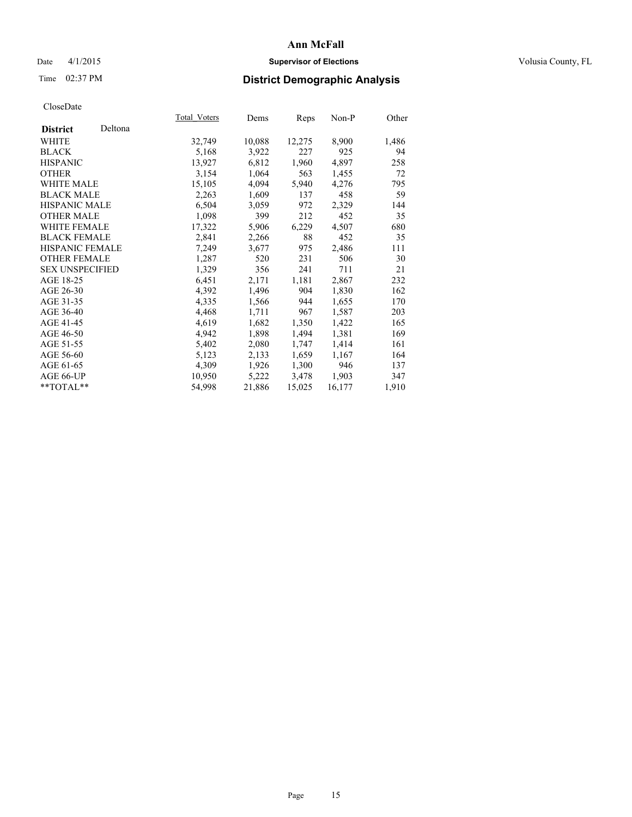# Date 4/1/2015 **Supervisor of Elections Supervisor of Elections** Volusia County, FL

# Time 02:37 PM **District Demographic Analysis**

|                        |         | <b>Total Voters</b> | Dems   | Reps   | Non-P  | Other |
|------------------------|---------|---------------------|--------|--------|--------|-------|
| <b>District</b>        | Deltona |                     |        |        |        |       |
| WHITE                  |         | 32,749              | 10,088 | 12,275 | 8,900  | 1,486 |
| <b>BLACK</b>           |         | 5,168               | 3,922  | 227    | 925    | 94    |
| <b>HISPANIC</b>        |         | 13,927              | 6,812  | 1,960  | 4,897  | 258   |
| <b>OTHER</b>           |         | 3,154               | 1,064  | 563    | 1,455  | 72    |
| <b>WHITE MALE</b>      |         | 15,105              | 4,094  | 5,940  | 4,276  | 795   |
| <b>BLACK MALE</b>      |         | 2,263               | 1,609  | 137    | 458    | 59    |
| <b>HISPANIC MALE</b>   |         | 6,504               | 3,059  | 972    | 2,329  | 144   |
| <b>OTHER MALE</b>      |         | 1,098               | 399    | 212    | 452    | 35    |
| <b>WHITE FEMALE</b>    |         | 17,322              | 5,906  | 6,229  | 4,507  | 680   |
| <b>BLACK FEMALE</b>    |         | 2,841               | 2,266  | 88     | 452    | 35    |
| HISPANIC FEMALE        |         | 7,249               | 3,677  | 975    | 2,486  | 111   |
| <b>OTHER FEMALE</b>    |         | 1,287               | 520    | 231    | 506    | 30    |
| <b>SEX UNSPECIFIED</b> |         | 1,329               | 356    | 241    | 711    | 21    |
| AGE 18-25              |         | 6,451               | 2,171  | 1,181  | 2,867  | 232   |
| AGE 26-30              |         | 4,392               | 1,496  | 904    | 1,830  | 162   |
| AGE 31-35              |         | 4,335               | 1,566  | 944    | 1,655  | 170   |
| AGE 36-40              |         | 4,468               | 1,711  | 967    | 1,587  | 203   |
| AGE 41-45              |         | 4,619               | 1,682  | 1,350  | 1,422  | 165   |
| AGE 46-50              |         | 4,942               | 1,898  | 1,494  | 1,381  | 169   |
| AGE 51-55              |         | 5,402               | 2,080  | 1,747  | 1,414  | 161   |
| AGE 56-60              |         | 5,123               | 2,133  | 1,659  | 1,167  | 164   |
| AGE 61-65              |         | 4,309               | 1,926  | 1,300  | 946    | 137   |
| AGE 66-UP              |         | 10,950              | 5,222  | 3,478  | 1,903  | 347   |
| $*$ $TOTAI.**$         |         | 54,998              | 21,886 | 15,025 | 16,177 | 1,910 |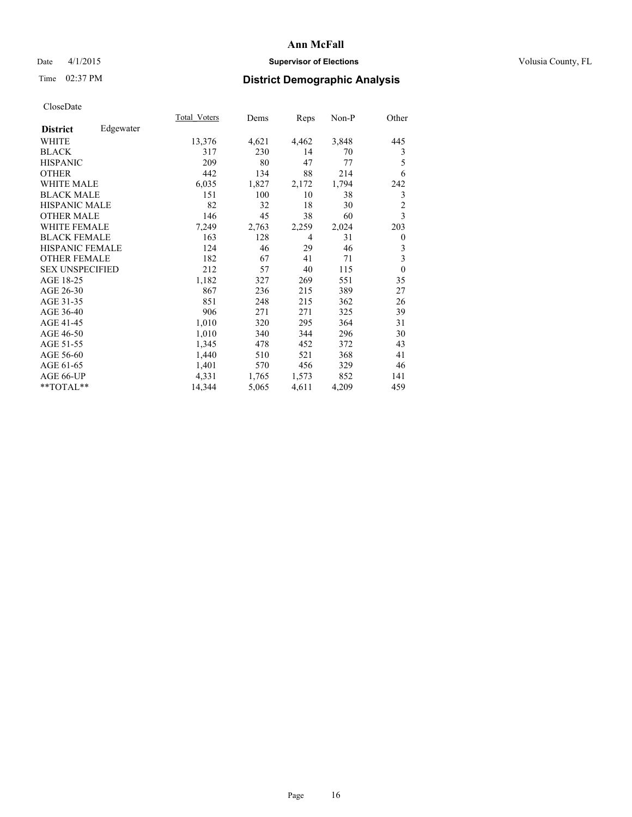# Date 4/1/2015 **Supervisor of Elections Supervisor of Elections** Volusia County, FL

# Time 02:37 PM **District Demographic Analysis**

|                        |           | <b>Total Voters</b> | Dems  | Reps           | Non-P | Other          |
|------------------------|-----------|---------------------|-------|----------------|-------|----------------|
| <b>District</b>        | Edgewater |                     |       |                |       |                |
| <b>WHITE</b>           |           | 13,376              | 4,621 | 4,462          | 3,848 | 445            |
| <b>BLACK</b>           |           | 317                 | 230   | 14             | 70    | 3              |
| <b>HISPANIC</b>        |           | 209                 | 80    | 47             | 77    | 5              |
| <b>OTHER</b>           |           | 442                 | 134   | 88             | 214   | 6              |
| <b>WHITE MALE</b>      |           | 6,035               | 1,827 | 2,172          | 1,794 | 242            |
| <b>BLACK MALE</b>      |           | 151                 | 100   | 10             | 38    | 3              |
| HISPANIC MALE          |           | 82                  | 32    | 18             | 30    | $\overline{2}$ |
| <b>OTHER MALE</b>      |           | 146                 | 45    | 38             | 60    | 3              |
| <b>WHITE FEMALE</b>    |           | 7,249               | 2,763 | 2,259          | 2,024 | 203            |
| <b>BLACK FEMALE</b>    |           | 163                 | 128   | $\overline{4}$ | 31    | $\theta$       |
| <b>HISPANIC FEMALE</b> |           | 124                 | 46    | 29             | 46    | 3              |
| <b>OTHER FEMALE</b>    |           | 182                 | 67    | 41             | 71    | 3              |
| <b>SEX UNSPECIFIED</b> |           | 212                 | 57    | 40             | 115   | $\mathbf{0}$   |
| AGE 18-25              |           | 1,182               | 327   | 269            | 551   | 35             |
| AGE 26-30              |           | 867                 | 236   | 215            | 389   | 27             |
| AGE 31-35              |           | 851                 | 248   | 215            | 362   | 26             |
| AGE 36-40              |           | 906                 | 271   | 271            | 325   | 39             |
| AGE 41-45              |           | 1,010               | 320   | 295            | 364   | 31             |
| AGE 46-50              |           | 1,010               | 340   | 344            | 296   | 30             |
| AGE 51-55              |           | 1,345               | 478   | 452            | 372   | 43             |
| AGE 56-60              |           | 1,440               | 510   | 521            | 368   | 41             |
| AGE 61-65              |           | 1,401               | 570   | 456            | 329   | 46             |
| AGE 66-UP              |           | 4,331               | 1,765 | 1,573          | 852   | 141            |
| **TOTAL**              |           | 14,344              | 5,065 | 4,611          | 4,209 | 459            |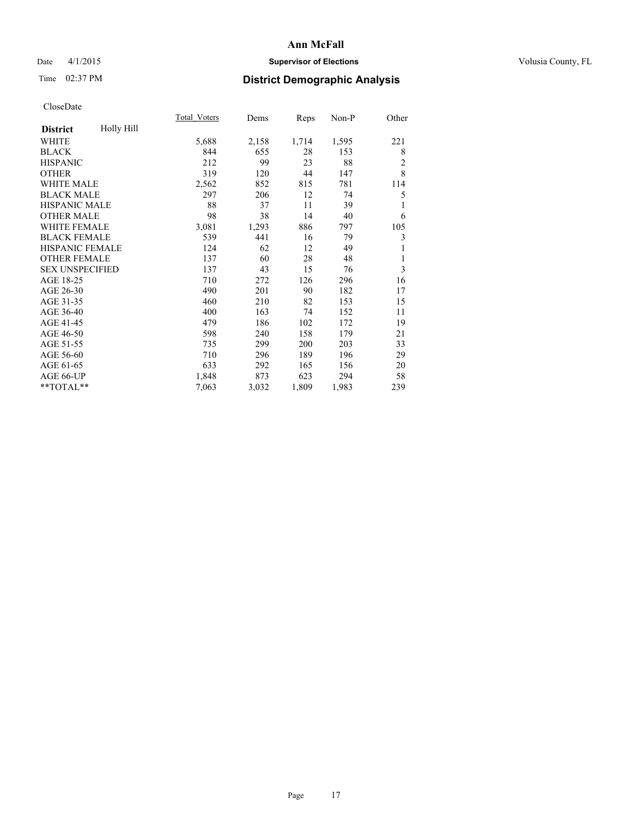# Date 4/1/2015 **Supervisor of Elections Supervisor of Elections** Volusia County, FL

# Time 02:37 PM **District Demographic Analysis**

|                        |            | Total Voters | Dems  | Reps  | $Non-P$ | Other          |
|------------------------|------------|--------------|-------|-------|---------|----------------|
| <b>District</b>        | Holly Hill |              |       |       |         |                |
| WHITE                  |            | 5,688        | 2,158 | 1,714 | 1,595   | 221            |
| <b>BLACK</b>           |            | 844          | 655   | 28    | 153     | 8              |
| <b>HISPANIC</b>        |            | 212          | 99    | 23    | 88      | $\overline{c}$ |
| <b>OTHER</b>           |            | 319          | 120   | 44    | 147     | 8              |
| <b>WHITE MALE</b>      |            | 2,562        | 852   | 815   | 781     | 114            |
| <b>BLACK MALE</b>      |            | 297          | 206   | 12    | 74      | 5              |
| <b>HISPANIC MALE</b>   |            | 88           | 37    | 11    | 39      | 1              |
| <b>OTHER MALE</b>      |            | 98           | 38    | 14    | 40      | 6              |
| WHITE FEMALE           |            | 3,081        | 1,293 | 886   | 797     | 105            |
| <b>BLACK FEMALE</b>    |            | 539          | 441   | 16    | 79      | 3              |
| <b>HISPANIC FEMALE</b> |            | 124          | 62    | 12    | 49      | 1              |
| <b>OTHER FEMALE</b>    |            | 137          | 60    | 28    | 48      | 1              |
| <b>SEX UNSPECIFIED</b> |            | 137          | 43    | 15    | 76      | 3              |
| AGE 18-25              |            | 710          | 272   | 126   | 296     | 16             |
| AGE 26-30              |            | 490          | 201   | 90    | 182     | 17             |
| AGE 31-35              |            | 460          | 210   | 82    | 153     | 15             |
| AGE 36-40              |            | 400          | 163   | 74    | 152     | 11             |
| AGE 41-45              |            | 479          | 186   | 102   | 172     | 19             |
| AGE 46-50              |            | 598          | 240   | 158   | 179     | 21             |
| AGE 51-55              |            | 735          | 299   | 200   | 203     | 33             |
| AGE 56-60              |            | 710          | 296   | 189   | 196     | 29             |
| AGE 61-65              |            | 633          | 292   | 165   | 156     | 20             |
| AGE 66-UP              |            | 1,848        | 873   | 623   | 294     | 58             |
| $**TOTAL**$            |            | 7,063        | 3,032 | 1,809 | 1,983   | 239            |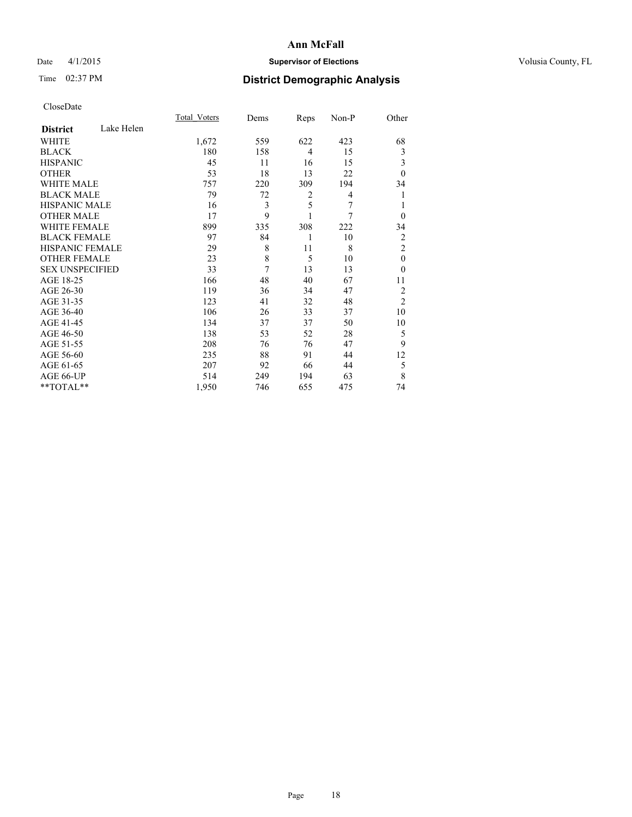# Date 4/1/2015 **Supervisor of Elections Supervisor of Elections** Volusia County, FL

# Time 02:37 PM **District Demographic Analysis**

|                        |            | Total Voters | Dems | Reps           | Non-P | Other          |
|------------------------|------------|--------------|------|----------------|-------|----------------|
| <b>District</b>        | Lake Helen |              |      |                |       |                |
| WHITE                  |            | 1,672        | 559  | 622            | 423   | 68             |
| <b>BLACK</b>           |            | 180          | 158  | $\overline{4}$ | 15    | 3              |
| <b>HISPANIC</b>        |            | 45           | 11   | 16             | 15    | 3              |
| <b>OTHER</b>           |            | 53           | 18   | 13             | 22    | $\theta$       |
| WHITE MALE             |            | 757          | 220  | 309            | 194   | 34             |
| <b>BLACK MALE</b>      |            | 79           | 72   | 2              | 4     | 1              |
| <b>HISPANIC MALE</b>   |            | 16           | 3    | 5              | 7     | 1              |
| <b>OTHER MALE</b>      |            | 17           | 9    | 1              | 7     | $\mathbf{0}$   |
| WHITE FEMALE           |            | 899          | 335  | 308            | 222   | 34             |
| <b>BLACK FEMALE</b>    |            | 97           | 84   | 1              | 10    | $\overline{c}$ |
| <b>HISPANIC FEMALE</b> |            | 29           | 8    | 11             | 8     | $\overline{c}$ |
| <b>OTHER FEMALE</b>    |            | 23           | 8    | 5              | 10    | $\theta$       |
| <b>SEX UNSPECIFIED</b> |            | 33           | 7    | 13             | 13    | $\theta$       |
| AGE 18-25              |            | 166          | 48   | 40             | 67    | 11             |
| AGE 26-30              |            | 119          | 36   | 34             | 47    | $\overline{2}$ |
| AGE 31-35              |            | 123          | 41   | 32             | 48    | $\overline{2}$ |
| AGE 36-40              |            | 106          | 26   | 33             | 37    | 10             |
| AGE 41-45              |            | 134          | 37   | 37             | 50    | 10             |
| AGE 46-50              |            | 138          | 53   | 52             | 28    | 5              |
| AGE 51-55              |            | 208          | 76   | 76             | 47    | 9              |
| AGE 56-60              |            | 235          | 88   | 91             | 44    | 12             |
| AGE 61-65              |            | 207          | 92   | 66             | 44    | 5              |
| AGE 66-UP              |            | 514          | 249  | 194            | 63    | 8              |
| **TOTAL**              |            | 1,950        | 746  | 655            | 475   | 74             |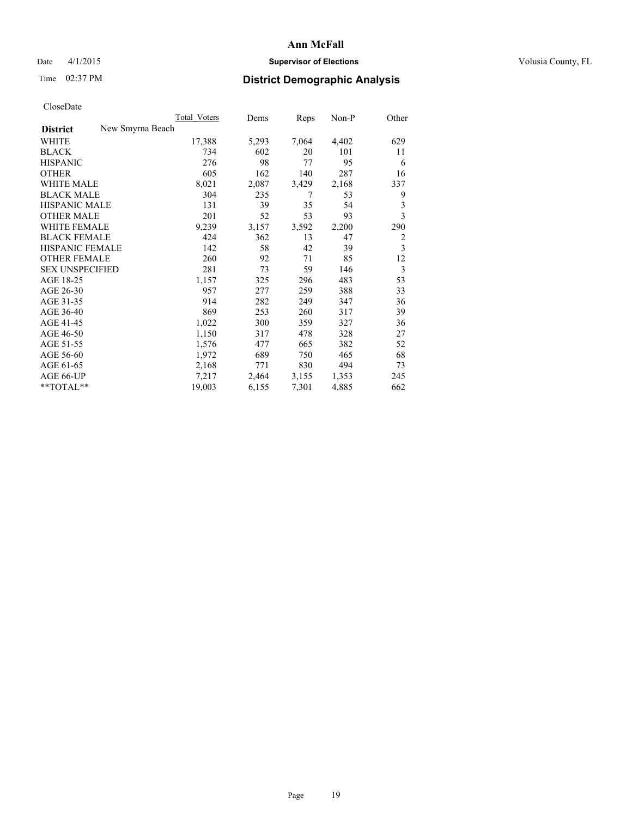# Date 4/1/2015 **Supervisor of Elections Supervisor of Elections** Volusia County, FL

# Time 02:37 PM **District Demographic Analysis**

|                        |                  | Total Voters | Dems  | Reps  | Non-P | Other |
|------------------------|------------------|--------------|-------|-------|-------|-------|
| <b>District</b>        | New Smyrna Beach |              |       |       |       |       |
| WHITE                  |                  | 17,388       | 5,293 | 7,064 | 4,402 | 629   |
| <b>BLACK</b>           |                  | 734          | 602   | 20    | 101   | 11    |
| <b>HISPANIC</b>        |                  | 276          | 98    | 77    | 95    | 6     |
| <b>OTHER</b>           |                  | 605          | 162   | 140   | 287   | 16    |
| WHITE MALE             |                  | 8,021        | 2,087 | 3,429 | 2,168 | 337   |
| <b>BLACK MALE</b>      |                  | 304          | 235   | 7     | 53    | 9     |
| <b>HISPANIC MALE</b>   |                  | 131          | 39    | 35    | 54    | 3     |
| <b>OTHER MALE</b>      |                  | 201          | 52    | 53    | 93    | 3     |
| WHITE FEMALE           |                  | 9,239        | 3,157 | 3,592 | 2,200 | 290   |
| <b>BLACK FEMALE</b>    |                  | 424          | 362   | 13    | 47    | 2     |
| HISPANIC FEMALE        |                  | 142          | 58    | 42    | 39    | 3     |
| <b>OTHER FEMALE</b>    |                  | 260          | 92    | 71    | 85    | 12    |
| <b>SEX UNSPECIFIED</b> |                  | 281          | 73    | 59    | 146   | 3     |
| AGE 18-25              |                  | 1,157        | 325   | 296   | 483   | 53    |
| AGE 26-30              |                  | 957          | 277   | 259   | 388   | 33    |
| AGE 31-35              |                  | 914          | 282   | 249   | 347   | 36    |
| AGE 36-40              |                  | 869          | 253   | 260   | 317   | 39    |
| AGE 41-45              |                  | 1,022        | 300   | 359   | 327   | 36    |
| AGE 46-50              |                  | 1,150        | 317   | 478   | 328   | 27    |
| AGE 51-55              |                  | 1,576        | 477   | 665   | 382   | 52    |
| AGE 56-60              |                  | 1,972        | 689   | 750   | 465   | 68    |
| AGE 61-65              |                  | 2,168        | 771   | 830   | 494   | 73    |
| AGE 66-UP              |                  | 7,217        | 2,464 | 3,155 | 1,353 | 245   |
| $*$ TOTAL $*$          |                  | 19,003       | 6,155 | 7,301 | 4,885 | 662   |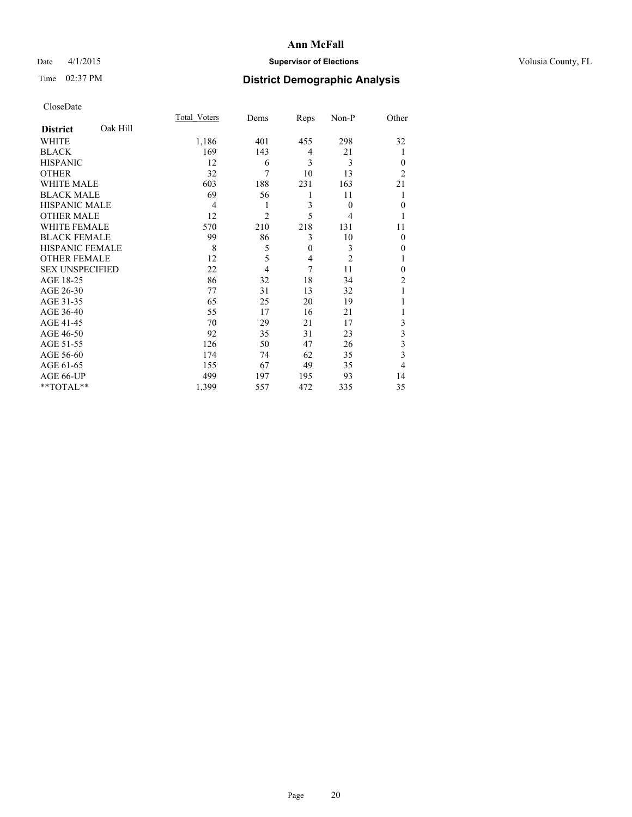# Date 4/1/2015 **Supervisor of Elections Supervisor of Elections** Volusia County, FL

# Time 02:37 PM **District Demographic Analysis**

|                        |          | Total Voters   | Dems           | Reps         | Non-P          | Other          |
|------------------------|----------|----------------|----------------|--------------|----------------|----------------|
| <b>District</b>        | Oak Hill |                |                |              |                |                |
| <b>WHITE</b>           |          | 1,186          | 401            | 455          | 298            | 32             |
| <b>BLACK</b>           |          | 169            | 143            | 4            | 21             | 1              |
| <b>HISPANIC</b>        |          | 12             | 6              | 3            | 3              | $\theta$       |
| <b>OTHER</b>           |          | 32             | 7              | 10           | 13             | $\overline{2}$ |
| WHITE MALE             |          | 603            | 188            | 231          | 163            | 21             |
| <b>BLACK MALE</b>      |          | 69             | 56             | 1            | 11             |                |
| <b>HISPANIC MALE</b>   |          | $\overline{4}$ | 1              | 3            | $\theta$       | $\mathbf{0}$   |
| <b>OTHER MALE</b>      |          | 12             | $\overline{c}$ | 5            | 4              | 1              |
| <b>WHITE FEMALE</b>    |          | 570            | 210            | 218          | 131            | 11             |
| <b>BLACK FEMALE</b>    |          | 99             | 86             | 3            | 10             | $\theta$       |
| <b>HISPANIC FEMALE</b> |          | 8              | 5              | $\mathbf{0}$ | 3              | 0              |
| <b>OTHER FEMALE</b>    |          | 12             | 5              | 4            | $\overline{c}$ |                |
| <b>SEX UNSPECIFIED</b> |          | 22             | $\overline{4}$ | 7            | 11             | $\theta$       |
| AGE 18-25              |          | 86             | 32             | 18           | 34             | $\overline{c}$ |
| AGE 26-30              |          | 77             | 31             | 13           | 32             |                |
| AGE 31-35              |          | 65             | 25             | 20           | 19             |                |
| AGE 36-40              |          | 55             | 17             | 16           | 21             |                |
| AGE 41-45              |          | 70             | 29             | 21           | 17             | 3              |
| AGE 46-50              |          | 92             | 35             | 31           | 23             | 3              |
| AGE 51-55              |          | 126            | 50             | 47           | 26             | 3              |
| AGE 56-60              |          | 174            | 74             | 62           | 35             | 3              |
| AGE 61-65              |          | 155            | 67             | 49           | 35             | 4              |
| AGE 66-UP              |          | 499            | 197            | 195          | 93             | 14             |
| **TOTAL**              |          | 1,399          | 557            | 472          | 335            | 35             |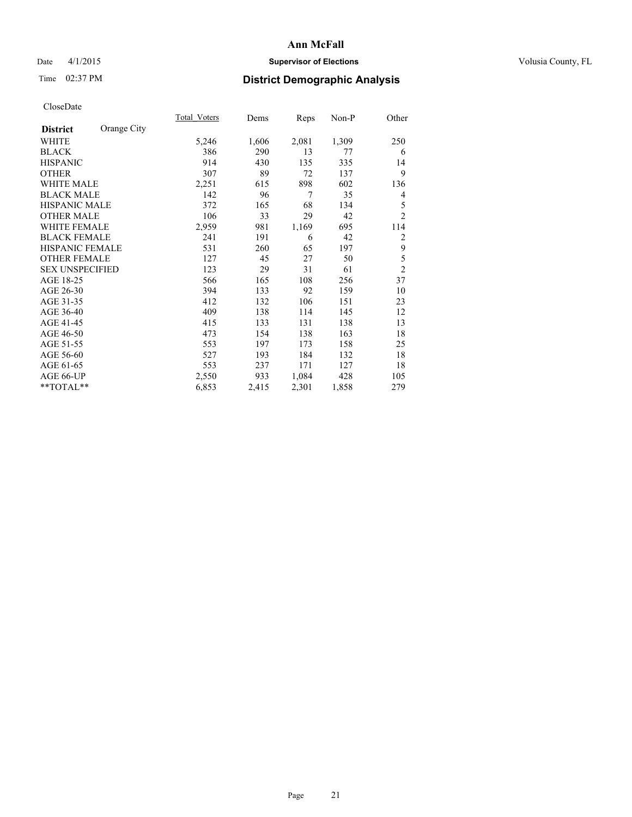# Date 4/1/2015 **Supervisor of Elections Supervisor of Elections** Volusia County, FL

# Time 02:37 PM **District Demographic Analysis**

|                        |             | Total Voters | Dems  | <b>Reps</b> | Non-P | Other          |
|------------------------|-------------|--------------|-------|-------------|-------|----------------|
| <b>District</b>        | Orange City |              |       |             |       |                |
| WHITE                  |             | 5,246        | 1,606 | 2,081       | 1,309 | 250            |
| <b>BLACK</b>           |             | 386          | 290   | 13          | 77    | 6              |
| <b>HISPANIC</b>        |             | 914          | 430   | 135         | 335   | 14             |
| <b>OTHER</b>           |             | 307          | 89    | 72          | 137   | 9              |
| <b>WHITE MALE</b>      |             | 2,251        | 615   | 898         | 602   | 136            |
| <b>BLACK MALE</b>      |             | 142          | 96    | 7           | 35    | 4              |
| <b>HISPANIC MALE</b>   |             | 372          | 165   | 68          | 134   | 5              |
| <b>OTHER MALE</b>      |             | 106          | 33    | 29          | 42    | $\overline{c}$ |
| WHITE FEMALE           |             | 2,959        | 981   | 1,169       | 695   | 114            |
| <b>BLACK FEMALE</b>    |             | 241          | 191   | 6           | 42    | 2              |
| HISPANIC FEMALE        |             | 531          | 260   | 65          | 197   | 9              |
| <b>OTHER FEMALE</b>    |             | 127          | 45    | 27          | 50    | 5              |
| <b>SEX UNSPECIFIED</b> |             | 123          | 29    | 31          | 61    | $\overline{2}$ |
| AGE 18-25              |             | 566          | 165   | 108         | 256   | 37             |
| AGE 26-30              |             | 394          | 133   | 92          | 159   | 10             |
| AGE 31-35              |             | 412          | 132   | 106         | 151   | 23             |
| AGE 36-40              |             | 409          | 138   | 114         | 145   | 12             |
| AGE 41-45              |             | 415          | 133   | 131         | 138   | 13             |
| AGE 46-50              |             | 473          | 154   | 138         | 163   | 18             |
| AGE 51-55              |             | 553          | 197   | 173         | 158   | 25             |
| AGE 56-60              |             | 527          | 193   | 184         | 132   | 18             |
| AGE 61-65              |             | 553          | 237   | 171         | 127   | 18             |
| AGE 66-UP              |             | 2,550        | 933   | 1,084       | 428   | 105            |
| $**TOTAL**$            |             | 6,853        | 2,415 | 2,301       | 1,858 | 279            |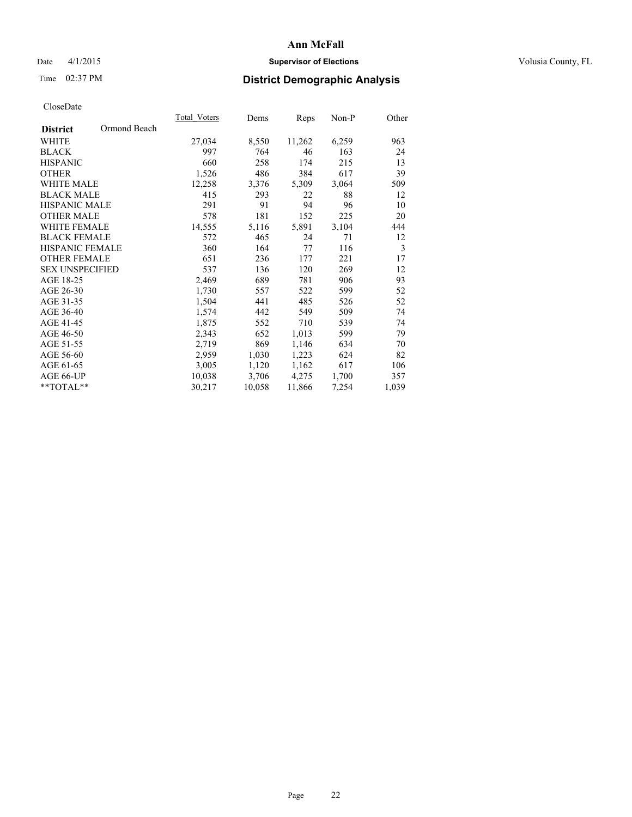# Date 4/1/2015 **Supervisor of Elections Supervisor of Elections** Volusia County, FL

# Time 02:37 PM **District Demographic Analysis**

|                                 | <b>Total Voters</b> | Dems   | Reps   | $Non-P$ | Other |
|---------------------------------|---------------------|--------|--------|---------|-------|
| Ormond Beach<br><b>District</b> |                     |        |        |         |       |
| WHITE                           | 27,034              | 8,550  | 11,262 | 6,259   | 963   |
| <b>BLACK</b>                    | 997                 | 764    | 46     | 163     | 24    |
| <b>HISPANIC</b>                 | 660                 | 258    | 174    | 215     | 13    |
| <b>OTHER</b>                    | 1,526               | 486    | 384    | 617     | 39    |
| WHITE MALE                      | 12,258              | 3,376  | 5,309  | 3,064   | 509   |
| <b>BLACK MALE</b>               | 415                 | 293    | 22     | 88      | 12    |
| <b>HISPANIC MALE</b>            | 291                 | 91     | 94     | 96      | 10    |
| <b>OTHER MALE</b>               | 578                 | 181    | 152    | 225     | 20    |
| <b>WHITE FEMALE</b>             | 14,555              | 5,116  | 5,891  | 3,104   | 444   |
| <b>BLACK FEMALE</b>             | 572                 | 465    | 24     | 71      | 12    |
| HISPANIC FEMALE                 | 360                 | 164    | 77     | 116     | 3     |
| <b>OTHER FEMALE</b>             | 651                 | 236    | 177    | 221     | 17    |
| <b>SEX UNSPECIFIED</b>          | 537                 | 136    | 120    | 269     | 12    |
| AGE 18-25                       | 2,469               | 689    | 781    | 906     | 93    |
| AGE 26-30                       | 1,730               | 557    | 522    | 599     | 52    |
| AGE 31-35                       | 1,504               | 441    | 485    | 526     | 52    |
| AGE 36-40                       | 1,574               | 442    | 549    | 509     | 74    |
| AGE 41-45                       | 1,875               | 552    | 710    | 539     | 74    |
| AGE 46-50                       | 2,343               | 652    | 1,013  | 599     | 79    |
| AGE 51-55                       | 2,719               | 869    | 1,146  | 634     | 70    |
| AGE 56-60                       | 2,959               | 1,030  | 1,223  | 624     | 82    |
| AGE 61-65                       | 3,005               | 1,120  | 1,162  | 617     | 106   |
| AGE 66-UP                       | 10,038              | 3,706  | 4,275  | 1,700   | 357   |
| **TOTAL**                       | 30,217              | 10,058 | 11,866 | 7,254   | 1,039 |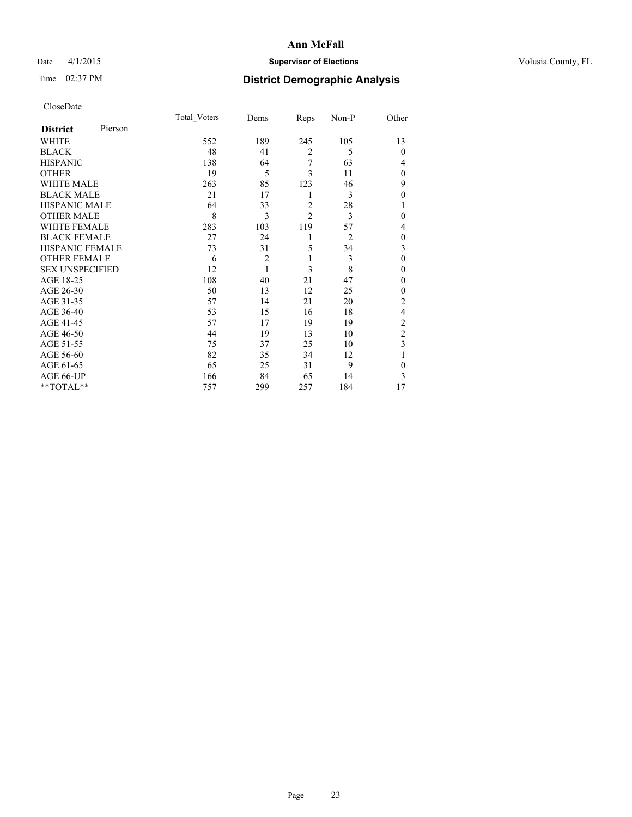# Date 4/1/2015 **Supervisor of Elections Supervisor of Elections** Volusia County, FL

# Time 02:37 PM **District Demographic Analysis**

|                        |         | Total Voters | Dems           | Reps           | Non-P          | Other          |
|------------------------|---------|--------------|----------------|----------------|----------------|----------------|
| <b>District</b>        | Pierson |              |                |                |                |                |
| WHITE                  |         | 552          | 189            | 245            | 105            | 13             |
| <b>BLACK</b>           |         | 48           | 41             | $\overline{2}$ | 5              | $\Omega$       |
| <b>HISPANIC</b>        |         | 138          | 64             | 7              | 63             | 4              |
| <b>OTHER</b>           |         | 19           | 5              | 3              | 11             | $\Omega$       |
| WHITE MALE             |         | 263          | 85             | 123            | 46             | 9              |
| <b>BLACK MALE</b>      |         | 21           | 17             | 1              | 3              | $\theta$       |
| <b>HISPANIC MALE</b>   |         | 64           | 33             | $\overline{2}$ | 28             | 1              |
| <b>OTHER MALE</b>      |         | 8            | 3              | $\overline{c}$ | 3              | $\Omega$       |
| <b>WHITE FEMALE</b>    |         | 283          | 103            | 119            | 57             | 4              |
| <b>BLACK FEMALE</b>    |         | 27           | 24             | 1              | $\overline{2}$ | $\mathbf{0}$   |
| <b>HISPANIC FEMALE</b> |         | 73           | 31             | 5              | 34             | 3              |
| <b>OTHER FEMALE</b>    |         | 6            | $\overline{c}$ | 1              | 3              | $\theta$       |
| <b>SEX UNSPECIFIED</b> |         | 12           | $\mathbf{1}$   | 3              | 8              | $\theta$       |
| AGE 18-25              |         | 108          | 40             | 21             | 47             | $\Omega$       |
| AGE 26-30              |         | 50           | 13             | 12             | 25             | $\mathbf{0}$   |
| AGE 31-35              |         | 57           | 14             | 21             | 20             | $\overline{c}$ |
| AGE 36-40              |         | 53           | 15             | 16             | 18             | $\overline{4}$ |
| AGE 41-45              |         | 57           | 17             | 19             | 19             | $\overline{2}$ |
| AGE 46-50              |         | 44           | 19             | 13             | 10             | $\overline{c}$ |
| AGE 51-55              |         | 75           | 37             | 25             | 10             | 3              |
| AGE 56-60              |         | 82           | 35             | 34             | 12             |                |
| AGE 61-65              |         | 65           | 25             | 31             | 9              | $\theta$       |
| AGE 66-UP              |         | 166          | 84             | 65             | 14             | 3              |
| $**TOTAL**$            |         | 757          | 299            | 257            | 184            | 17             |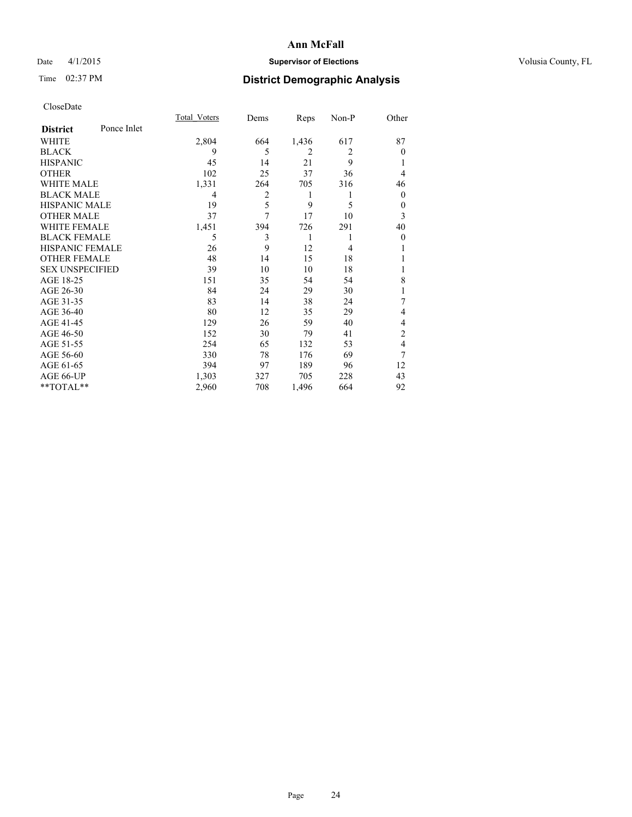# Date 4/1/2015 **Supervisor of Elections Supervisor of Elections** Volusia County, FL

# Time 02:37 PM **District Demographic Analysis**

|                        |             | Total Voters | Dems | Reps           | Non-P          | Other        |
|------------------------|-------------|--------------|------|----------------|----------------|--------------|
| <b>District</b>        | Ponce Inlet |              |      |                |                |              |
| WHITE                  |             | 2,804        | 664  | 1,436          | 617            | 87           |
| <b>BLACK</b>           |             | 9            | 5    | $\overline{2}$ | $\overline{2}$ | $\theta$     |
| <b>HISPANIC</b>        |             | 45           | 14   | 21             | 9              |              |
| <b>OTHER</b>           |             | 102          | 25   | 37             | 36             | 4            |
| WHITE MALE             |             | 1,331        | 264  | 705            | 316            | 46           |
| <b>BLACK MALE</b>      |             | 4            | 2    | 1              | 1              | $\mathbf{0}$ |
| <b>HISPANIC MALE</b>   |             | 19           | 5    | 9              | 5              | $\mathbf{0}$ |
| <b>OTHER MALE</b>      |             | 37           | 7    | 17             | 10             | 3            |
| <b>WHITE FEMALE</b>    |             | 1,451        | 394  | 726            | 291            | 40           |
| <b>BLACK FEMALE</b>    |             | 5            | 3    | 1              |                | $\theta$     |
| <b>HISPANIC FEMALE</b> |             | 26           | 9    | 12             | $\overline{4}$ |              |
| <b>OTHER FEMALE</b>    |             | 48           | 14   | 15             | 18             |              |
| <b>SEX UNSPECIFIED</b> |             | 39           | 10   | 10             | 18             |              |
| AGE 18-25              |             | 151          | 35   | 54             | 54             | 8            |
| AGE 26-30              |             | 84           | 24   | 29             | 30             | 1            |
| AGE 31-35              |             | 83           | 14   | 38             | 24             | 7            |
| AGE 36-40              |             | 80           | 12   | 35             | 29             | 4            |
| AGE 41-45              |             | 129          | 26   | 59             | 40             | 4            |
| AGE 46-50              |             | 152          | 30   | 79             | 41             | 2            |
| AGE 51-55              |             | 254          | 65   | 132            | 53             | 4            |
| AGE 56-60              |             | 330          | 78   | 176            | 69             | 7            |
| AGE 61-65              |             | 394          | 97   | 189            | 96             | 12           |
| AGE 66-UP              |             | 1,303        | 327  | 705            | 228            | 43           |
| **TOTAL**              |             | 2,960        | 708  | 1,496          | 664            | 92           |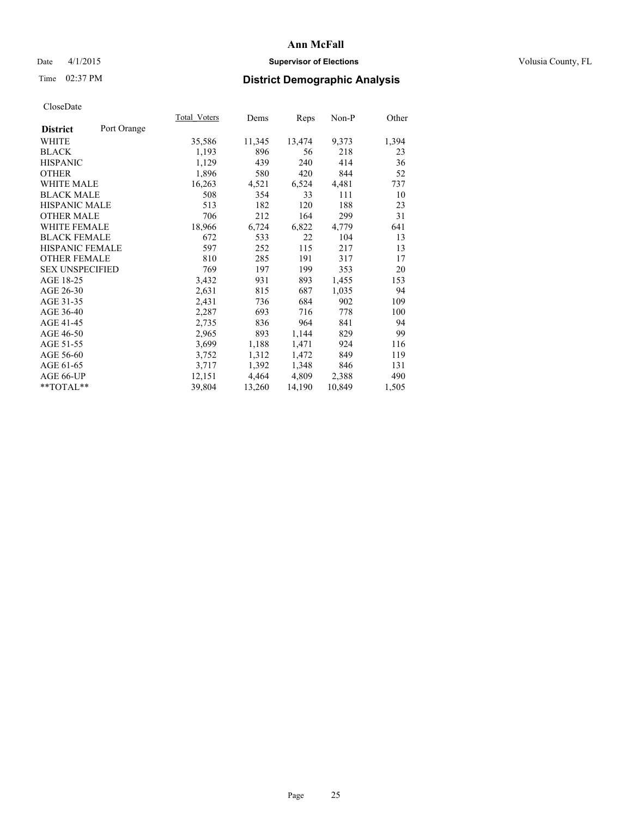# Date 4/1/2015 **Supervisor of Elections Supervisor of Elections** Volusia County, FL

# Time 02:37 PM **District Demographic Analysis**

|                        |             | <b>Total Voters</b> | Dems   | Reps   | Non-P  | Other |
|------------------------|-------------|---------------------|--------|--------|--------|-------|
| <b>District</b>        | Port Orange |                     |        |        |        |       |
| WHITE                  |             | 35,586              | 11,345 | 13,474 | 9,373  | 1,394 |
| <b>BLACK</b>           |             | 1,193               | 896    | 56     | 218    | 23    |
| <b>HISPANIC</b>        |             | 1,129               | 439    | 240    | 414    | 36    |
| <b>OTHER</b>           |             | 1,896               | 580    | 420    | 844    | 52    |
| WHITE MALE             |             | 16,263              | 4,521  | 6,524  | 4,481  | 737   |
| <b>BLACK MALE</b>      |             | 508                 | 354    | 33     | 111    | 10    |
| <b>HISPANIC MALE</b>   |             | 513                 | 182    | 120    | 188    | 23    |
| <b>OTHER MALE</b>      |             | 706                 | 212    | 164    | 299    | 31    |
| <b>WHITE FEMALE</b>    |             | 18,966              | 6,724  | 6,822  | 4,779  | 641   |
| <b>BLACK FEMALE</b>    |             | 672                 | 533    | 22     | 104    | 13    |
| HISPANIC FEMALE        |             | 597                 | 252    | 115    | 217    | 13    |
| <b>OTHER FEMALE</b>    |             | 810                 | 285    | 191    | 317    | 17    |
| <b>SEX UNSPECIFIED</b> |             | 769                 | 197    | 199    | 353    | 20    |
| AGE 18-25              |             | 3,432               | 931    | 893    | 1,455  | 153   |
| AGE 26-30              |             | 2,631               | 815    | 687    | 1,035  | 94    |
| AGE 31-35              |             | 2,431               | 736    | 684    | 902    | 109   |
| AGE 36-40              |             | 2,287               | 693    | 716    | 778    | 100   |
| AGE 41-45              |             | 2,735               | 836    | 964    | 841    | 94    |
| AGE 46-50              |             | 2,965               | 893    | 1,144  | 829    | 99    |
| AGE 51-55              |             | 3,699               | 1,188  | 1,471  | 924    | 116   |
| AGE 56-60              |             | 3,752               | 1,312  | 1,472  | 849    | 119   |
| AGE 61-65              |             | 3,717               | 1,392  | 1,348  | 846    | 131   |
| AGE 66-UP              |             | 12,151              | 4,464  | 4,809  | 2,388  | 490   |
| $*$ $TOTAL**$          |             | 39,804              | 13,260 | 14,190 | 10,849 | 1,505 |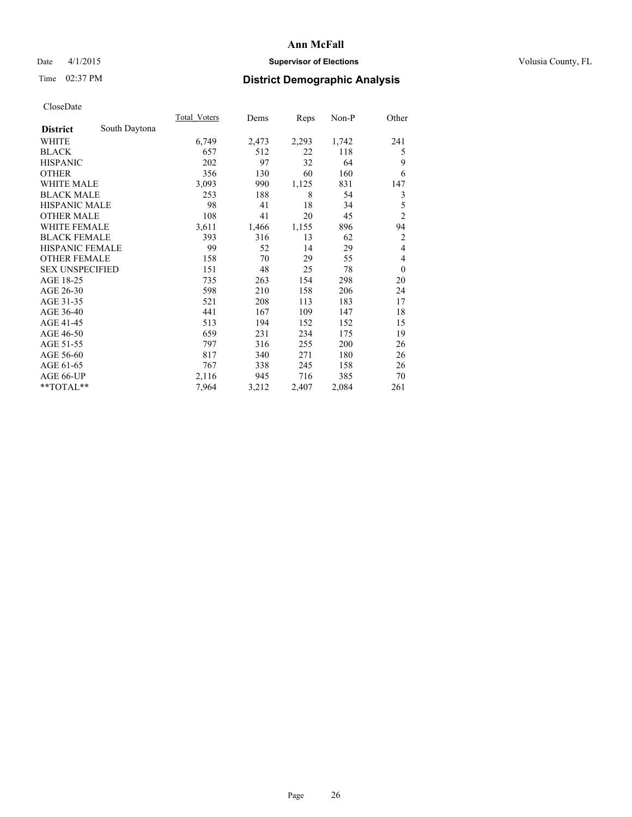# Date 4/1/2015 **Supervisor of Elections Supervisor of Elections** Volusia County, FL

# Time 02:37 PM **District Demographic Analysis**

|                        |               | Total Voters | Dems  | Reps  | Non-P | Other          |
|------------------------|---------------|--------------|-------|-------|-------|----------------|
| <b>District</b>        | South Daytona |              |       |       |       |                |
| WHITE                  |               | 6,749        | 2,473 | 2,293 | 1,742 | 241            |
| <b>BLACK</b>           |               | 657          | 512   | 22    | 118   | 5              |
| <b>HISPANIC</b>        |               | 202          | 97    | 32    | 64    | 9              |
| <b>OTHER</b>           |               | 356          | 130   | 60    | 160   | 6              |
| <b>WHITE MALE</b>      |               | 3,093        | 990   | 1,125 | 831   | 147            |
| <b>BLACK MALE</b>      |               | 253          | 188   | 8     | 54    | 3              |
| <b>HISPANIC MALE</b>   |               | 98           | 41    | 18    | 34    | 5              |
| <b>OTHER MALE</b>      |               | 108          | 41    | 20    | 45    | $\overline{c}$ |
| <b>WHITE FEMALE</b>    |               | 3,611        | 1,466 | 1,155 | 896   | 94             |
| <b>BLACK FEMALE</b>    |               | 393          | 316   | 13    | 62    | $\overline{c}$ |
| <b>HISPANIC FEMALE</b> |               | 99           | 52    | 14    | 29    | $\overline{4}$ |
| <b>OTHER FEMALE</b>    |               | 158          | 70    | 29    | 55    | 4              |
| <b>SEX UNSPECIFIED</b> |               | 151          | 48    | 25    | 78    | $\theta$       |
| AGE 18-25              |               | 735          | 263   | 154   | 298   | 20             |
| AGE 26-30              |               | 598          | 210   | 158   | 206   | 24             |
| AGE 31-35              |               | 521          | 208   | 113   | 183   | 17             |
| AGE 36-40              |               | 441          | 167   | 109   | 147   | 18             |
| AGE 41-45              |               | 513          | 194   | 152   | 152   | 15             |
| AGE 46-50              |               | 659          | 231   | 234   | 175   | 19             |
| AGE 51-55              |               | 797          | 316   | 255   | 200   | 26             |
| AGE 56-60              |               | 817          | 340   | 271   | 180   | 26             |
| AGE 61-65              |               | 767          | 338   | 245   | 158   | 26             |
| AGE 66-UP              |               | 2,116        | 945   | 716   | 385   | 70             |
| **TOTAL**              |               | 7,964        | 3,212 | 2,407 | 2,084 | 261            |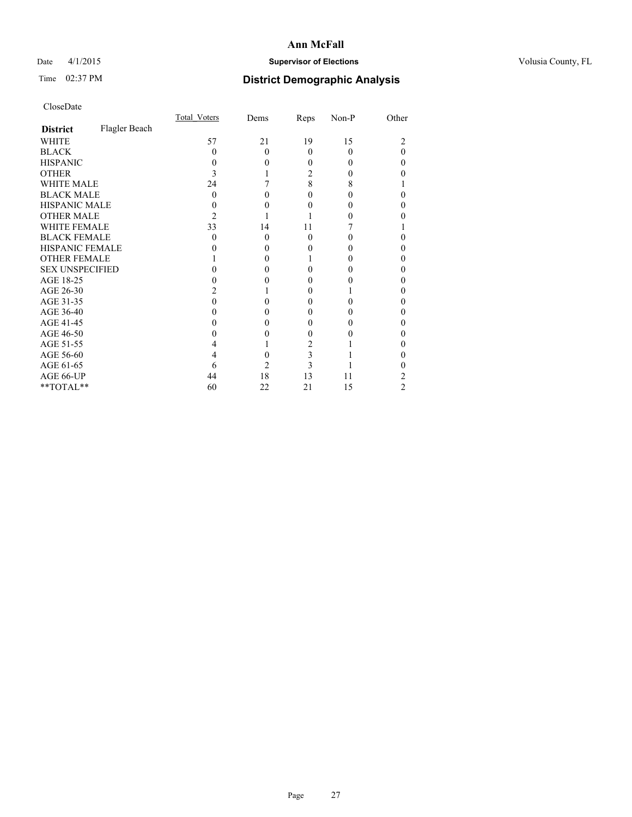# Date 4/1/2015 **Supervisor of Elections Supervisor of Elections** Volusia County, FL

# Time 02:37 PM **District Demographic Analysis**

|                        |               | Total Voters | Dems     | Reps     | Non-P | Other |
|------------------------|---------------|--------------|----------|----------|-------|-------|
| <b>District</b>        | Flagler Beach |              |          |          |       |       |
| WHITE                  |               | 57           | 21       | 19       | 15    |       |
| <b>BLACK</b>           |               | 0            | $\Omega$ | $\Omega$ | 0     | 0     |
| <b>HISPANIC</b>        |               | 0            | $\theta$ | 0        | 0     | 0     |
| <b>OTHER</b>           |               | 3            |          | 2        |       |       |
| WHITE MALE             |               | 24           |          | 8        | 8     |       |
| <b>BLACK MALE</b>      |               | $\Omega$     | 0        | 0        |       | 0     |
| <b>HISPANIC MALE</b>   |               |              | 0        | 0        |       | 0     |
| <b>OTHER MALE</b>      |               | 2            |          |          |       |       |
| <b>WHITE FEMALE</b>    |               | 33           | 14       | 11       |       |       |
| <b>BLACK FEMALE</b>    |               | 0            | $\theta$ | $\theta$ |       | 0     |
| <b>HISPANIC FEMALE</b> |               |              | 0        | 0        |       |       |
| <b>OTHER FEMALE</b>    |               |              | $\Omega$ |          |       | 0     |
| <b>SEX UNSPECIFIED</b> |               |              | 0        | 0        |       | 0     |
| AGE 18-25              |               |              | 0        | 0        |       | 0     |
| AGE 26-30              |               |              |          | $_{0}$   |       | 0     |
| AGE 31-35              |               |              |          | 0        |       | 0     |
| AGE 36-40              |               |              | 0        | 0        |       | 0     |
| AGE 41-45              |               |              | 0        | 0        |       | 0     |
| AGE 46-50              |               |              | 0        | 0        |       | 0     |
| AGE 51-55              |               |              |          | 2        |       |       |
| AGE 56-60              |               |              | 0        | 3        |       | 0     |
| AGE 61-65              |               | 6            | 2        | 3        |       |       |
| AGE 66-UP              |               | 44           | 18       | 13       | 11    | 2     |
| **TOTAL**              |               | 60           | 22       | 21       | 15    | 2     |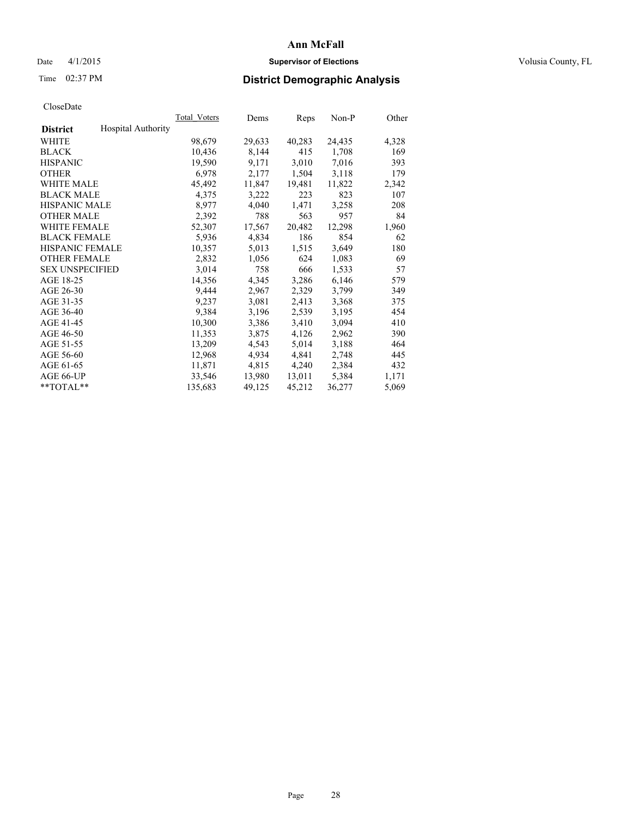# Date 4/1/2015 **Supervisor of Elections Supervisor of Elections** Volusia County, FL

# Time 02:37 PM **District Demographic Analysis**

|                        |                           | <b>Total Voters</b> | Dems   | <b>Reps</b> | Non-P  | Other |
|------------------------|---------------------------|---------------------|--------|-------------|--------|-------|
| <b>District</b>        | <b>Hospital Authority</b> |                     |        |             |        |       |
| WHITE                  |                           | 98,679              | 29,633 | 40,283      | 24,435 | 4,328 |
| <b>BLACK</b>           |                           | 10,436              | 8,144  | 415         | 1,708  | 169   |
| <b>HISPANIC</b>        |                           | 19,590              | 9,171  | 3,010       | 7,016  | 393   |
| <b>OTHER</b>           |                           | 6,978               | 2,177  | 1,504       | 3,118  | 179   |
| <b>WHITE MALE</b>      |                           | 45,492              | 11,847 | 19,481      | 11,822 | 2,342 |
| <b>BLACK MALE</b>      |                           | 4,375               | 3,222  | 223         | 823    | 107   |
| <b>HISPANIC MALE</b>   |                           | 8,977               | 4,040  | 1,471       | 3,258  | 208   |
| <b>OTHER MALE</b>      |                           | 2,392               | 788    | 563         | 957    | 84    |
| <b>WHITE FEMALE</b>    |                           | 52,307              | 17,567 | 20,482      | 12,298 | 1,960 |
| <b>BLACK FEMALE</b>    |                           | 5,936               | 4,834  | 186         | 854    | 62    |
| <b>HISPANIC FEMALE</b> |                           | 10,357              | 5,013  | 1,515       | 3,649  | 180   |
| <b>OTHER FEMALE</b>    |                           | 2,832               | 1,056  | 624         | 1,083  | 69    |
| <b>SEX UNSPECIFIED</b> |                           | 3,014               | 758    | 666         | 1,533  | 57    |
| AGE 18-25              |                           | 14,356              | 4,345  | 3,286       | 6,146  | 579   |
| AGE 26-30              |                           | 9,444               | 2,967  | 2,329       | 3,799  | 349   |
| AGE 31-35              |                           | 9,237               | 3,081  | 2,413       | 3,368  | 375   |
| AGE 36-40              |                           | 9,384               | 3,196  | 2,539       | 3,195  | 454   |
| AGE 41-45              |                           | 10,300              | 3,386  | 3,410       | 3,094  | 410   |
| AGE 46-50              |                           | 11,353              | 3,875  | 4,126       | 2,962  | 390   |
| AGE 51-55              |                           | 13,209              | 4,543  | 5,014       | 3,188  | 464   |
| AGE 56-60              |                           | 12,968              | 4,934  | 4,841       | 2,748  | 445   |
| AGE 61-65              |                           | 11,871              | 4,815  | 4,240       | 2,384  | 432   |
| AGE 66-UP              |                           | 33,546              | 13,980 | 13,011      | 5,384  | 1,171 |
| $*$ $TOTAL**$          |                           | 135,683             | 49,125 | 45,212      | 36,277 | 5,069 |
|                        |                           |                     |        |             |        |       |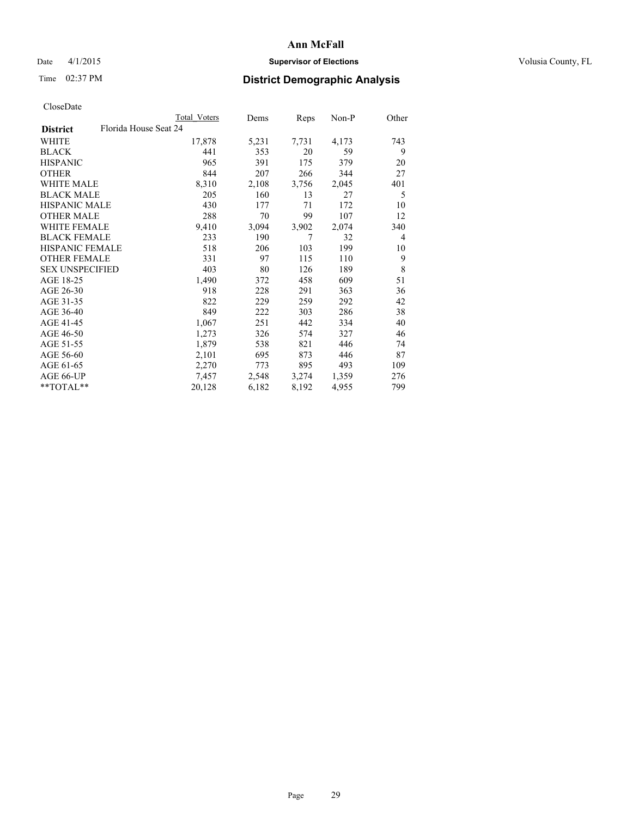# Date 4/1/2015 **Supervisor of Elections Supervisor of Elections** Volusia County, FL

|                                          | Total Voters | Dems  | Reps  | Non-P | Other          |
|------------------------------------------|--------------|-------|-------|-------|----------------|
| Florida House Seat 24<br><b>District</b> |              |       |       |       |                |
| WHITE                                    | 17,878       | 5,231 | 7,731 | 4,173 | 743            |
| <b>BLACK</b>                             | 441          | 353   | 20    | 59    | 9              |
| <b>HISPANIC</b>                          | 965          | 391   | 175   | 379   | 20             |
| <b>OTHER</b>                             | 844          | 207   | 266   | 344   | 27             |
| <b>WHITE MALE</b>                        | 8,310        | 2,108 | 3,756 | 2,045 | 401            |
| <b>BLACK MALE</b>                        | 205          | 160   | 13    | 27    | 5              |
| <b>HISPANIC MALE</b>                     | 430          | 177   | 71    | 172   | 10             |
| <b>OTHER MALE</b>                        | 288          | 70    | 99    | 107   | 12             |
| WHITE FEMALE                             | 9,410        | 3,094 | 3,902 | 2,074 | 340            |
| <b>BLACK FEMALE</b>                      | 233          | 190   | 7     | 32    | $\overline{4}$ |
| HISPANIC FEMALE                          | 518          | 206   | 103   | 199   | 10             |
| <b>OTHER FEMALE</b>                      | 331          | 97    | 115   | 110   | 9              |
| <b>SEX UNSPECIFIED</b>                   | 403          | 80    | 126   | 189   | 8              |
| AGE 18-25                                | 1,490        | 372   | 458   | 609   | 51             |
| AGE 26-30                                | 918          | 228   | 291   | 363   | 36             |
| AGE 31-35                                | 822          | 229   | 259   | 292   | 42             |
| AGE 36-40                                | 849          | 222   | 303   | 286   | 38             |
| AGE 41-45                                | 1,067        | 251   | 442   | 334   | 40             |
| AGE 46-50                                | 1,273        | 326   | 574   | 327   | 46             |
| AGE 51-55                                | 1,879        | 538   | 821   | 446   | 74             |
| AGE 56-60                                | 2,101        | 695   | 873   | 446   | 87             |
| AGE 61-65                                | 2,270        | 773   | 895   | 493   | 109            |
| AGE 66-UP                                | 7,457        | 2,548 | 3,274 | 1,359 | 276            |
| $*$ TOTAL $*$                            | 20,128       | 6,182 | 8,192 | 4,955 | 799            |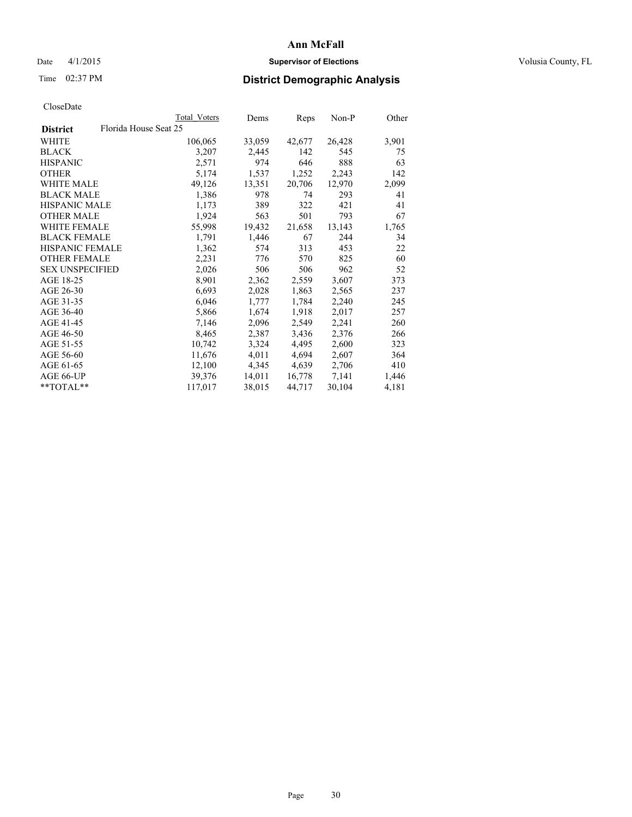# **Ann McFall** Date 4/1/2015 **Supervisor of Elections Supervisor of Elections** Volusia County, FL

# Time 02:37 PM **District Demographic Analysis**

|                                          | Total Voters | Dems   | Reps   | $Non-P$ | Other |
|------------------------------------------|--------------|--------|--------|---------|-------|
| Florida House Seat 25<br><b>District</b> |              |        |        |         |       |
| WHITE                                    | 106,065      | 33,059 | 42,677 | 26,428  | 3,901 |
| <b>BLACK</b>                             | 3,207        | 2,445  | 142    | 545     | 75    |
| <b>HISPANIC</b>                          | 2,571        | 974    | 646    | 888     | 63    |
| <b>OTHER</b>                             | 5,174        | 1,537  | 1,252  | 2,243   | 142   |
| WHITE MALE                               | 49,126       | 13,351 | 20,706 | 12,970  | 2,099 |
| <b>BLACK MALE</b>                        | 1,386        | 978    | 74     | 293     | 41    |
| <b>HISPANIC MALE</b>                     | 1,173        | 389    | 322    | 421     | 41    |
| <b>OTHER MALE</b>                        | 1,924        | 563    | 501    | 793     | 67    |
| WHITE FEMALE                             | 55,998       | 19,432 | 21,658 | 13,143  | 1,765 |
| <b>BLACK FEMALE</b>                      | 1,791        | 1,446  | 67     | 244     | 34    |
| HISPANIC FEMALE                          | 1,362        | 574    | 313    | 453     | 22    |
| <b>OTHER FEMALE</b>                      | 2,231        | 776    | 570    | 825     | 60    |
| <b>SEX UNSPECIFIED</b>                   | 2,026        | 506    | 506    | 962     | 52    |
| AGE 18-25                                | 8,901        | 2,362  | 2,559  | 3,607   | 373   |
| AGE 26-30                                | 6,693        | 2,028  | 1,863  | 2,565   | 237   |
| AGE 31-35                                | 6,046        | 1,777  | 1,784  | 2,240   | 245   |
| AGE 36-40                                | 5,866        | 1,674  | 1,918  | 2,017   | 257   |
| AGE 41-45                                | 7,146        | 2,096  | 2,549  | 2,241   | 260   |
| AGE 46-50                                | 8,465        | 2,387  | 3,436  | 2,376   | 266   |
| AGE 51-55                                | 10,742       | 3,324  | 4,495  | 2,600   | 323   |
| AGE 56-60                                | 11,676       | 4,011  | 4,694  | 2,607   | 364   |
| AGE 61-65                                | 12,100       | 4,345  | 4,639  | 2,706   | 410   |
| AGE 66-UP                                | 39,376       | 14,011 | 16,778 | 7,141   | 1,446 |
| $*$ $TOTAI.**$                           | 117,017      | 38,015 | 44,717 | 30,104  | 4,181 |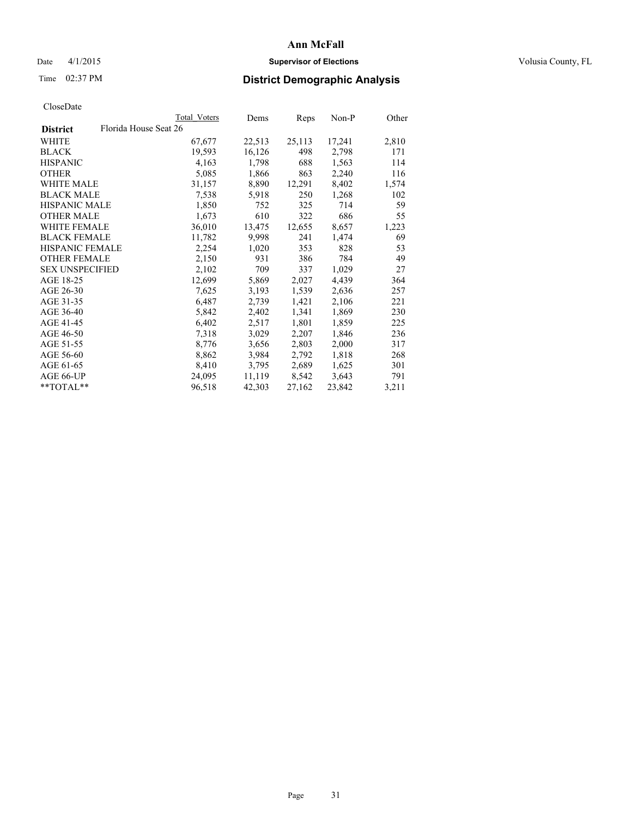# Date 4/1/2015 **Supervisor of Elections Supervisor of Elections** Volusia County, FL

# Time 02:37 PM **District Demographic Analysis**

|                                          | Total Voters | Dems   | <b>Reps</b> | Non-P  | Other |
|------------------------------------------|--------------|--------|-------------|--------|-------|
| Florida House Seat 26<br><b>District</b> |              |        |             |        |       |
| WHITE                                    | 67,677       | 22,513 | 25,113      | 17,241 | 2,810 |
| <b>BLACK</b>                             | 19,593       | 16,126 | 498         | 2,798  | 171   |
| <b>HISPANIC</b>                          | 4,163        | 1,798  | 688         | 1,563  | 114   |
| <b>OTHER</b>                             | 5,085        | 1,866  | 863         | 2,240  | 116   |
| <b>WHITE MALE</b>                        | 31,157       | 8,890  | 12,291      | 8,402  | 1,574 |
| <b>BLACK MALE</b>                        | 7,538        | 5,918  | 250         | 1,268  | 102   |
| <b>HISPANIC MALE</b>                     | 1,850        | 752    | 325         | 714    | 59    |
| <b>OTHER MALE</b>                        | 1,673        | 610    | 322         | 686    | 55    |
| <b>WHITE FEMALE</b>                      | 36,010       | 13,475 | 12,655      | 8,657  | 1,223 |
| <b>BLACK FEMALE</b>                      | 11,782       | 9,998  | 241         | 1,474  | 69    |
| HISPANIC FEMALE                          | 2,254        | 1,020  | 353         | 828    | 53    |
| <b>OTHER FEMALE</b>                      | 2,150        | 931    | 386         | 784    | 49    |
| <b>SEX UNSPECIFIED</b>                   | 2,102        | 709    | 337         | 1,029  | 27    |
| AGE 18-25                                | 12,699       | 5,869  | 2,027       | 4,439  | 364   |
| AGE 26-30                                | 7,625        | 3,193  | 1,539       | 2,636  | 257   |
| AGE 31-35                                | 6,487        | 2,739  | 1,421       | 2,106  | 221   |
| AGE 36-40                                | 5,842        | 2,402  | 1,341       | 1,869  | 230   |
| AGE 41-45                                | 6,402        | 2,517  | 1,801       | 1,859  | 225   |
| AGE 46-50                                | 7,318        | 3,029  | 2,207       | 1,846  | 236   |
| AGE 51-55                                | 8,776        | 3,656  | 2,803       | 2,000  | 317   |
| AGE 56-60                                | 8,862        | 3,984  | 2,792       | 1,818  | 268   |
| AGE 61-65                                | 8,410        | 3,795  | 2,689       | 1,625  | 301   |
| AGE 66-UP                                | 24,095       | 11,119 | 8,542       | 3,643  | 791   |
| $*$ $TOTAI.**$                           | 96,518       | 42,303 | 27,162      | 23,842 | 3,211 |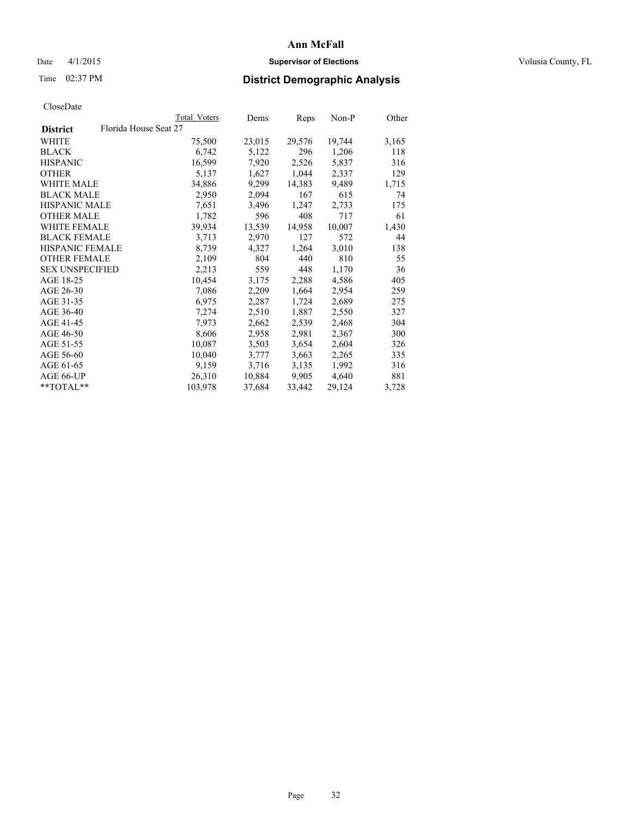# Date 4/1/2015 **Supervisor of Elections Supervisor of Elections** Volusia County, FL

# Time 02:37 PM **District Demographic Analysis**

|                                          |  | Total Voters | Dems   | Reps   | $Non-P$ | Other |
|------------------------------------------|--|--------------|--------|--------|---------|-------|
| Florida House Seat 27<br><b>District</b> |  |              |        |        |         |       |
| WHITE                                    |  | 75,500       | 23,015 | 29,576 | 19,744  | 3,165 |
| <b>BLACK</b>                             |  | 6,742        | 5,122  | 296    | 1,206   | 118   |
| <b>HISPANIC</b>                          |  | 16,599       | 7,920  | 2,526  | 5,837   | 316   |
| <b>OTHER</b>                             |  | 5,137        | 1,627  | 1,044  | 2,337   | 129   |
| WHITE MALE                               |  | 34,886       | 9,299  | 14,383 | 9,489   | 1,715 |
| <b>BLACK MALE</b>                        |  | 2,950        | 2,094  | 167    | 615     | 74    |
| <b>HISPANIC MALE</b>                     |  | 7,651        | 3,496  | 1,247  | 2,733   | 175   |
| <b>OTHER MALE</b>                        |  | 1,782        | 596    | 408    | 717     | 61    |
| <b>WHITE FEMALE</b>                      |  | 39,934       | 13,539 | 14,958 | 10,007  | 1,430 |
| <b>BLACK FEMALE</b>                      |  | 3,713        | 2,970  | 127    | 572     | 44    |
| <b>HISPANIC FEMALE</b>                   |  | 8,739        | 4,327  | 1,264  | 3,010   | 138   |
| <b>OTHER FEMALE</b>                      |  | 2,109        | 804    | 440    | 810     | 55    |
| <b>SEX UNSPECIFIED</b>                   |  | 2,213        | 559    | 448    | 1,170   | 36    |
| AGE 18-25                                |  | 10,454       | 3,175  | 2,288  | 4,586   | 405   |
| AGE 26-30                                |  | 7,086        | 2,209  | 1,664  | 2,954   | 259   |
| AGE 31-35                                |  | 6,975        | 2,287  | 1,724  | 2,689   | 275   |
| AGE 36-40                                |  | 7,274        | 2,510  | 1,887  | 2,550   | 327   |
| AGE 41-45                                |  | 7,973        | 2,662  | 2,539  | 2,468   | 304   |
| AGE 46-50                                |  | 8,606        | 2,958  | 2,981  | 2,367   | 300   |
| AGE 51-55                                |  | 10,087       | 3,503  | 3,654  | 2,604   | 326   |
| AGE 56-60                                |  | 10,040       | 3,777  | 3,663  | 2,265   | 335   |
| AGE 61-65                                |  | 9,159        | 3,716  | 3,135  | 1,992   | 316   |
| AGE 66-UP                                |  | 26,310       | 10,884 | 9,905  | 4,640   | 881   |
| **TOTAL**                                |  | 103,978      | 37,684 | 33,442 | 29,124  | 3,728 |
|                                          |  |              |        |        |         |       |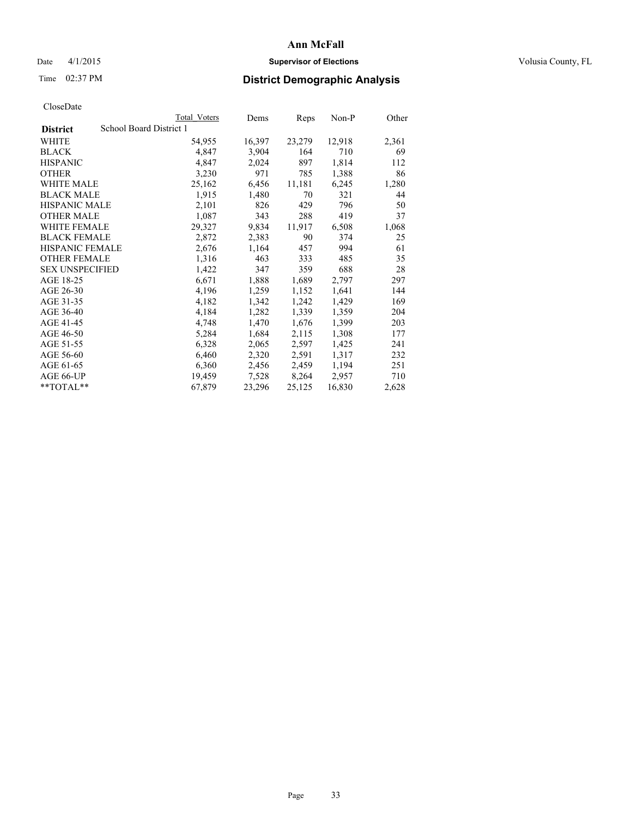# Date 4/1/2015 **Supervisor of Elections Supervisor of Elections** Volusia County, FL

# Time 02:37 PM **District Demographic Analysis**

|                                            | Total Voters | Dems   | <b>Reps</b> | Non-P  | Other |  |
|--------------------------------------------|--------------|--------|-------------|--------|-------|--|
| School Board District 1<br><b>District</b> |              |        |             |        |       |  |
| WHITE                                      | 54,955       | 16,397 | 23,279      | 12,918 | 2,361 |  |
| <b>BLACK</b>                               | 4,847        | 3,904  | 164         | 710    | 69    |  |
| <b>HISPANIC</b>                            | 4,847        | 2,024  | 897         | 1,814  | 112   |  |
| <b>OTHER</b>                               | 3,230        | 971    | 785         | 1,388  | 86    |  |
| <b>WHITE MALE</b>                          | 25,162       | 6,456  | 11,181      | 6,245  | 1,280 |  |
| <b>BLACK MALE</b>                          | 1,915        | 1,480  | 70          | 321    | 44    |  |
| <b>HISPANIC MALE</b>                       | 2,101        | 826    | 429         | 796    | 50    |  |
| <b>OTHER MALE</b>                          | 1,087        | 343    | 288         | 419    | 37    |  |
| WHITE FEMALE                               | 29,327       | 9,834  | 11,917      | 6,508  | 1,068 |  |
| <b>BLACK FEMALE</b>                        | 2,872        | 2,383  | 90          | 374    | 25    |  |
| <b>HISPANIC FEMALE</b>                     | 2,676        | 1,164  | 457         | 994    | 61    |  |
| <b>OTHER FEMALE</b>                        | 1,316        | 463    | 333         | 485    | 35    |  |
| <b>SEX UNSPECIFIED</b>                     | 1,422        | 347    | 359         | 688    | 28    |  |
| AGE 18-25                                  | 6,671        | 1,888  | 1,689       | 2,797  | 297   |  |
| AGE 26-30                                  | 4,196        | 1,259  | 1,152       | 1,641  | 144   |  |
| AGE 31-35                                  | 4,182        | 1,342  | 1,242       | 1,429  | 169   |  |
| AGE 36-40                                  | 4,184        | 1,282  | 1,339       | 1,359  | 204   |  |
| AGE 41-45                                  | 4,748        | 1,470  | 1,676       | 1,399  | 203   |  |
| AGE 46-50                                  | 5,284        | 1,684  | 2,115       | 1,308  | 177   |  |
| AGE 51-55                                  | 6,328        | 2,065  | 2,597       | 1,425  | 241   |  |
| AGE 56-60                                  | 6,460        | 2,320  | 2,591       | 1,317  | 232   |  |
| AGE 61-65                                  | 6,360        | 2,456  | 2,459       | 1,194  | 251   |  |
| AGE 66-UP                                  | 19,459       | 7,528  | 8,264       | 2,957  | 710   |  |
| $*$ $TOTAI.**$                             | 67,879       | 23,296 | 25,125      | 16,830 | 2,628 |  |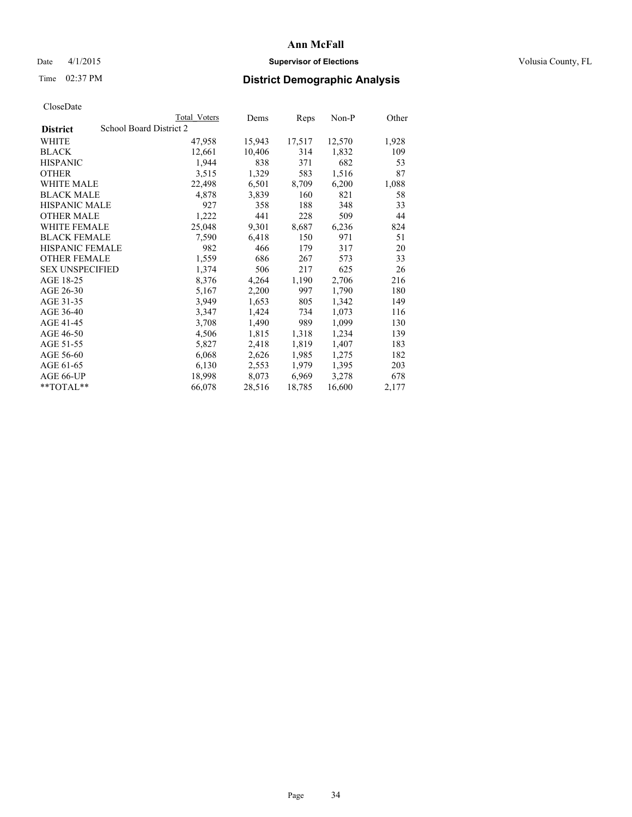# Date 4/1/2015 **Supervisor of Elections Supervisor of Elections** Volusia County, FL

# Time 02:37 PM **District Demographic Analysis**

|                                            | <b>Total Voters</b> | Dems   | Reps   | $Non-P$ | Other |
|--------------------------------------------|---------------------|--------|--------|---------|-------|
| School Board District 2<br><b>District</b> |                     |        |        |         |       |
| WHITE                                      | 47,958              | 15,943 | 17,517 | 12,570  | 1,928 |
| <b>BLACK</b>                               | 12,661              | 10,406 | 314    | 1,832   | 109   |
| <b>HISPANIC</b>                            | 1,944               | 838    | 371    | 682     | 53    |
| <b>OTHER</b>                               | 3,515               | 1,329  | 583    | 1,516   | 87    |
| WHITE MALE                                 | 22,498              | 6,501  | 8,709  | 6,200   | 1,088 |
| <b>BLACK MALE</b>                          | 4,878               | 3,839  | 160    | 821     | 58    |
| <b>HISPANIC MALE</b>                       | 927                 | 358    | 188    | 348     | 33    |
| <b>OTHER MALE</b>                          | 1,222               | 441    | 228    | 509     | 44    |
| <b>WHITE FEMALE</b>                        | 25,048              | 9,301  | 8,687  | 6,236   | 824   |
| <b>BLACK FEMALE</b>                        | 7,590               | 6,418  | 150    | 971     | 51    |
| <b>HISPANIC FEMALE</b>                     | 982                 | 466    | 179    | 317     | 20    |
| <b>OTHER FEMALE</b>                        | 1,559               | 686    | 267    | 573     | 33    |
| <b>SEX UNSPECIFIED</b>                     | 1,374               | 506    | 217    | 625     | 26    |
| AGE 18-25                                  | 8,376               | 4,264  | 1,190  | 2,706   | 216   |
| AGE 26-30                                  | 5,167               | 2,200  | 997    | 1,790   | 180   |
| AGE 31-35                                  | 3,949               | 1,653  | 805    | 1,342   | 149   |
| AGE 36-40                                  | 3,347               | 1,424  | 734    | 1,073   | 116   |
| AGE 41-45                                  | 3,708               | 1,490  | 989    | 1,099   | 130   |
| AGE 46-50                                  | 4,506               | 1,815  | 1,318  | 1,234   | 139   |
| AGE 51-55                                  | 5,827               | 2,418  | 1,819  | 1,407   | 183   |
| AGE 56-60                                  | 6,068               | 2,626  | 1,985  | 1,275   | 182   |
| AGE 61-65                                  | 6,130               | 2,553  | 1,979  | 1,395   | 203   |
| AGE 66-UP                                  | 18,998              | 8,073  | 6,969  | 3,278   | 678   |
| $*$ $TOTAL**$                              | 66,078              | 28,516 | 18,785 | 16,600  | 2,177 |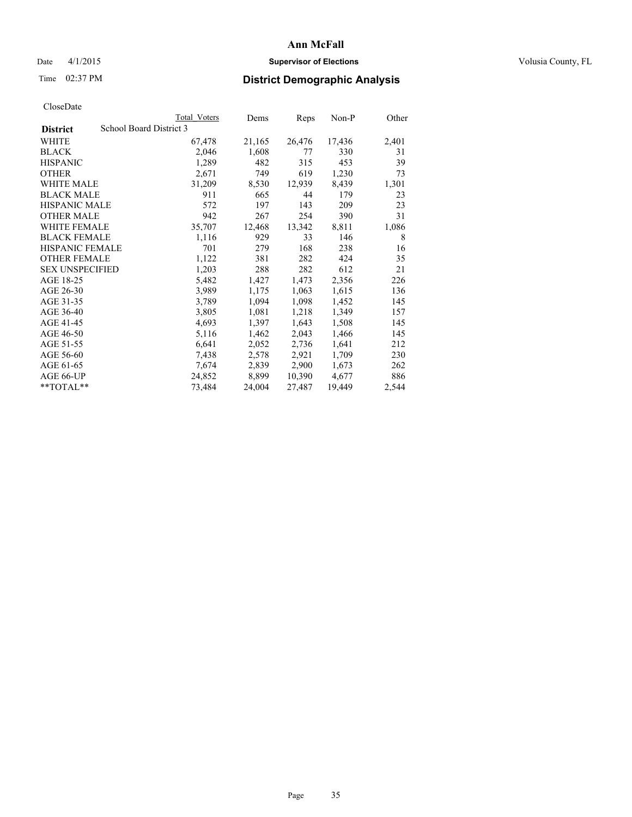# Date 4/1/2015 **Supervisor of Elections Supervisor of Elections** Volusia County, FL

# Time 02:37 PM **District Demographic Analysis**

|                                            | <b>Total Voters</b> | Dems   | <b>Reps</b> | Non-P  | Other |  |
|--------------------------------------------|---------------------|--------|-------------|--------|-------|--|
| School Board District 3<br><b>District</b> |                     |        |             |        |       |  |
| WHITE                                      | 67,478              | 21,165 | 26,476      | 17,436 | 2,401 |  |
| <b>BLACK</b>                               | 2,046               | 1,608  | 77          | 330    | 31    |  |
| <b>HISPANIC</b>                            | 1,289               | 482    | 315         | 453    | 39    |  |
| <b>OTHER</b>                               | 2,671               | 749    | 619         | 1,230  | 73    |  |
| WHITE MALE                                 | 31,209              | 8,530  | 12,939      | 8,439  | 1,301 |  |
| <b>BLACK MALE</b>                          | 911                 | 665    | 44          | 179    | 23    |  |
| <b>HISPANIC MALE</b>                       | 572                 | 197    | 143         | 209    | 23    |  |
| <b>OTHER MALE</b>                          | 942                 | 267    | 254         | 390    | 31    |  |
| <b>WHITE FEMALE</b>                        | 35,707              | 12,468 | 13,342      | 8,811  | 1,086 |  |
| <b>BLACK FEMALE</b>                        | 1,116               | 929    | 33          | 146    | 8     |  |
| HISPANIC FEMALE                            | 701                 | 279    | 168         | 238    | 16    |  |
| <b>OTHER FEMALE</b>                        | 1,122               | 381    | 282         | 424    | 35    |  |
| <b>SEX UNSPECIFIED</b>                     | 1,203               | 288    | 282         | 612    | 21    |  |
| AGE 18-25                                  | 5,482               | 1,427  | 1,473       | 2,356  | 226   |  |
| AGE 26-30                                  | 3,989               | 1,175  | 1,063       | 1,615  | 136   |  |
| AGE 31-35                                  | 3,789               | 1,094  | 1,098       | 1,452  | 145   |  |
| AGE 36-40                                  | 3,805               | 1,081  | 1,218       | 1,349  | 157   |  |
| AGE 41-45                                  | 4,693               | 1,397  | 1,643       | 1,508  | 145   |  |
| AGE 46-50                                  | 5,116               | 1,462  | 2,043       | 1,466  | 145   |  |
| AGE 51-55                                  | 6,641               | 2,052  | 2,736       | 1,641  | 212   |  |
| AGE 56-60                                  | 7,438               | 2,578  | 2,921       | 1,709  | 230   |  |
| AGE 61-65                                  | 7,674               | 2,839  | 2,900       | 1,673  | 262   |  |
| AGE 66-UP                                  | 24,852              | 8,899  | 10,390      | 4,677  | 886   |  |
| $*$ $TOTAI.**$                             | 73,484              | 24,004 | 27,487      | 19,449 | 2,544 |  |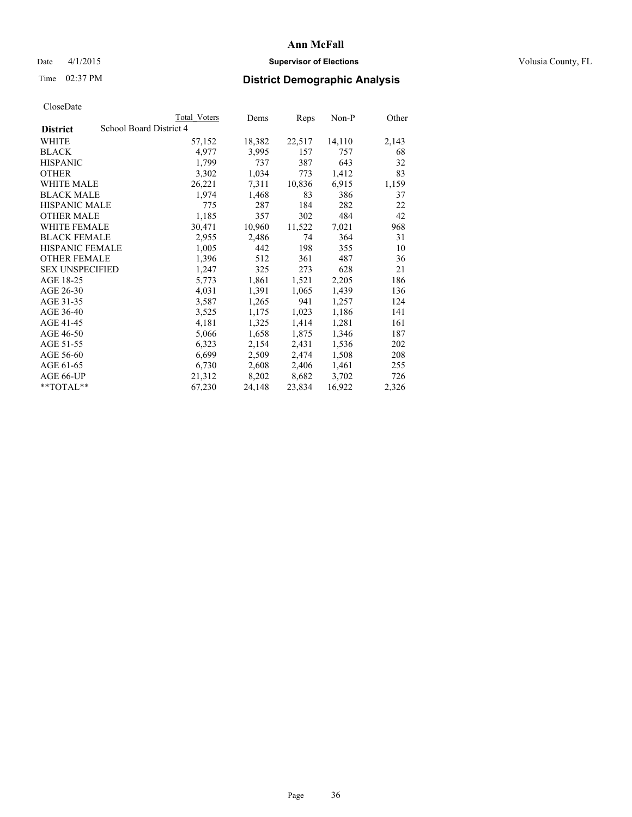# Date 4/1/2015 **Supervisor of Elections Supervisor of Elections** Volusia County, FL

# Time 02:37 PM **District Demographic Analysis**

|                                            | Total Voters | Dems   | Reps   | Non-P  | Other |  |
|--------------------------------------------|--------------|--------|--------|--------|-------|--|
| School Board District 4<br><b>District</b> |              |        |        |        |       |  |
| <b>WHITE</b>                               | 57,152       | 18,382 | 22,517 | 14,110 | 2,143 |  |
| <b>BLACK</b>                               | 4,977        | 3,995  | 157    | 757    | 68    |  |
| <b>HISPANIC</b>                            | 1,799        | 737    | 387    | 643    | 32    |  |
| <b>OTHER</b>                               | 3,302        | 1,034  | 773    | 1,412  | 83    |  |
| <b>WHITE MALE</b>                          | 26,221       | 7.311  | 10,836 | 6,915  | 1,159 |  |
| <b>BLACK MALE</b>                          | 1,974        | 1,468  | 83     | 386    | 37    |  |
| <b>HISPANIC MALE</b>                       | 775          | 287    | 184    | 282    | 22    |  |
| <b>OTHER MALE</b>                          | 1,185        | 357    | 302    | 484    | 42    |  |
| <b>WHITE FEMALE</b>                        | 30,471       | 10,960 | 11,522 | 7,021  | 968   |  |
| <b>BLACK FEMALE</b>                        | 2,955        | 2,486  | 74     | 364    | 31    |  |
| <b>HISPANIC FEMALE</b>                     | 1,005        | 442    | 198    | 355    | 10    |  |
| <b>OTHER FEMALE</b>                        | 1,396        | 512    | 361    | 487    | 36    |  |
| <b>SEX UNSPECIFIED</b>                     | 1,247        | 325    | 273    | 628    | 21    |  |
| AGE 18-25                                  | 5,773        | 1,861  | 1,521  | 2,205  | 186   |  |
| AGE 26-30                                  | 4,031        | 1,391  | 1,065  | 1,439  | 136   |  |
| AGE 31-35                                  | 3,587        | 1,265  | 941    | 1,257  | 124   |  |
| AGE 36-40                                  | 3,525        | 1,175  | 1,023  | 1,186  | 141   |  |
| AGE 41-45                                  | 4,181        | 1,325  | 1,414  | 1,281  | 161   |  |
| AGE 46-50                                  | 5,066        | 1,658  | 1,875  | 1,346  | 187   |  |
| AGE 51-55                                  | 6,323        | 2,154  | 2,431  | 1,536  | 202   |  |
| AGE 56-60                                  | 6,699        | 2,509  | 2,474  | 1,508  | 208   |  |
| AGE 61-65                                  | 6,730        | 2,608  | 2,406  | 1,461  | 255   |  |
| AGE 66-UP                                  | 21,312       | 8,202  | 8,682  | 3,702  | 726   |  |
| $*$ $TOTAL**$                              | 67,230       | 24,148 | 23,834 | 16,922 | 2,326 |  |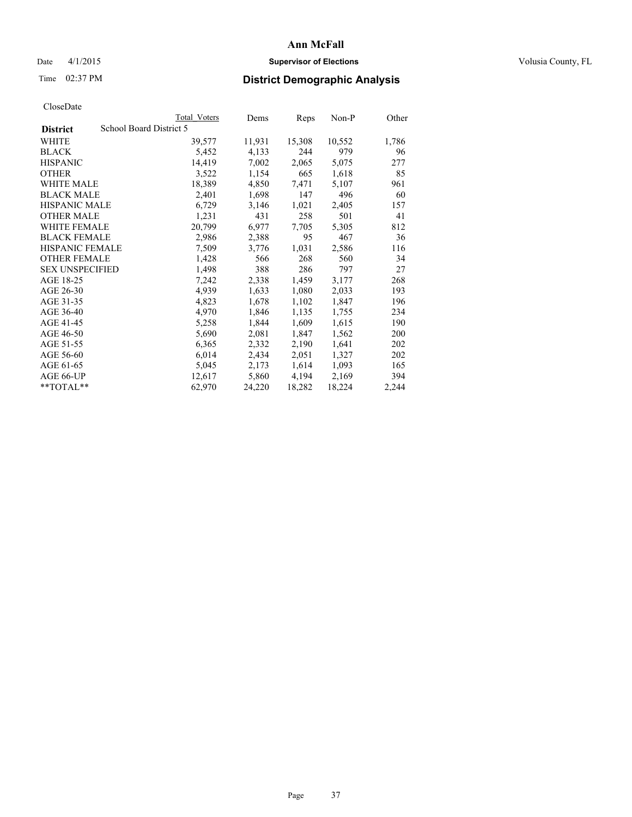## Date 4/1/2015 **Supervisor of Elections Supervisor of Elections** Volusia County, FL

## Time 02:37 PM **District Demographic Analysis**

|                                            | Total Voters | Dems   | Reps   | Non-P  | Other |
|--------------------------------------------|--------------|--------|--------|--------|-------|
| School Board District 5<br><b>District</b> |              |        |        |        |       |
| WHITE                                      | 39,577       | 11,931 | 15,308 | 10,552 | 1,786 |
| <b>BLACK</b>                               | 5,452        | 4,133  | 244    | 979    | 96    |
| <b>HISPANIC</b>                            | 14,419       | 7,002  | 2,065  | 5,075  | 277   |
| <b>OTHER</b>                               | 3,522        | 1,154  | 665    | 1,618  | 85    |
| WHITE MALE                                 | 18,389       | 4,850  | 7,471  | 5,107  | 961   |
| <b>BLACK MALE</b>                          | 2,401        | 1,698  | 147    | 496    | 60    |
| <b>HISPANIC MALE</b>                       | 6,729        | 3,146  | 1,021  | 2,405  | 157   |
| <b>OTHER MALE</b>                          | 1,231        | 431    | 258    | 501    | 41    |
| WHITE FEMALE                               | 20,799       | 6,977  | 7.705  | 5,305  | 812   |
| <b>BLACK FEMALE</b>                        | 2,986        | 2,388  | 95     | 467    | 36    |
| <b>HISPANIC FEMALE</b>                     | 7,509        | 3,776  | 1,031  | 2,586  | 116   |
| <b>OTHER FEMALE</b>                        | 1,428        | 566    | 268    | 560    | 34    |
| <b>SEX UNSPECIFIED</b>                     | 1,498        | 388    | 286    | 797    | 27    |
| AGE 18-25                                  | 7,242        | 2,338  | 1,459  | 3,177  | 268   |
| AGE 26-30                                  | 4,939        | 1,633  | 1,080  | 2,033  | 193   |
| AGE 31-35                                  | 4,823        | 1,678  | 1,102  | 1,847  | 196   |
| AGE 36-40                                  | 4,970        | 1,846  | 1,135  | 1,755  | 234   |
| AGE 41-45                                  | 5,258        | 1,844  | 1,609  | 1,615  | 190   |
| AGE 46-50                                  | 5,690        | 2,081  | 1,847  | 1,562  | 200   |
| AGE 51-55                                  | 6,365        | 2,332  | 2,190  | 1,641  | 202   |
| AGE 56-60                                  | 6,014        | 2,434  | 2,051  | 1,327  | 202   |
| AGE 61-65                                  | 5,045        | 2,173  | 1,614  | 1,093  | 165   |
| AGE 66-UP                                  | 12,617       | 5,860  | 4,194  | 2,169  | 394   |
| $*$ $TOTAL**$                              | 62,970       | 24,220 | 18,282 | 18,224 | 2,244 |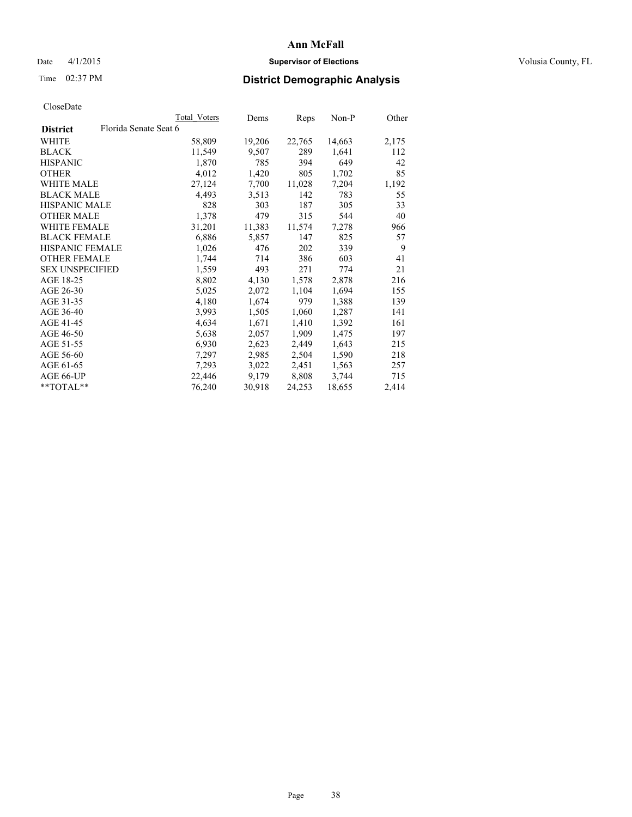## Date 4/1/2015 **Supervisor of Elections Supervisor of Elections** Volusia County, FL

## Time 02:37 PM **District Demographic Analysis**

| Total Voters | Dems                  | <b>Reps</b> | Non-P  | Other |
|--------------|-----------------------|-------------|--------|-------|
|              |                       |             |        |       |
| 58,809       | 19,206                | 22,765      | 14,663 | 2,175 |
| 11,549       | 9,507                 | 289         | 1,641  | 112   |
| 1,870        | 785                   | 394         | 649    | 42    |
| 4,012        | 1,420                 | 805         | 1,702  | 85    |
| 27,124       | 7,700                 | 11,028      | 7,204  | 1,192 |
| 4,493        | 3,513                 | 142         | 783    | 55    |
| 828          | 303                   | 187         | 305    | 33    |
| 1,378        | 479                   | 315         | 544    | 40    |
| 31,201       | 11,383                | 11,574      | 7,278  | 966   |
| 6,886        | 5,857                 | 147         | 825    | 57    |
| 1,026        | 476                   | 202         | 339    | 9     |
| 1,744        | 714                   | 386         | 603    | 41    |
| 1,559        | 493                   | 271         | 774    | 21    |
| 8,802        | 4,130                 | 1,578       | 2,878  | 216   |
| 5,025        | 2,072                 | 1,104       | 1,694  | 155   |
| 4,180        | 1,674                 | 979         | 1,388  | 139   |
| 3,993        | 1,505                 | 1,060       | 1,287  | 141   |
| 4,634        | 1,671                 | 1,410       | 1,392  | 161   |
| 5,638        | 2,057                 | 1,909       | 1,475  | 197   |
| 6,930        | 2,623                 | 2,449       | 1,643  | 215   |
| 7,297        | 2,985                 | 2,504       | 1,590  | 218   |
| 7,293        | 3,022                 | 2,451       | 1,563  | 257   |
| 22,446       | 9,179                 | 8,808       | 3,744  | 715   |
| 76,240       | 30,918                | 24,253      | 18,655 | 2,414 |
|              | Florida Senate Seat 6 |             |        |       |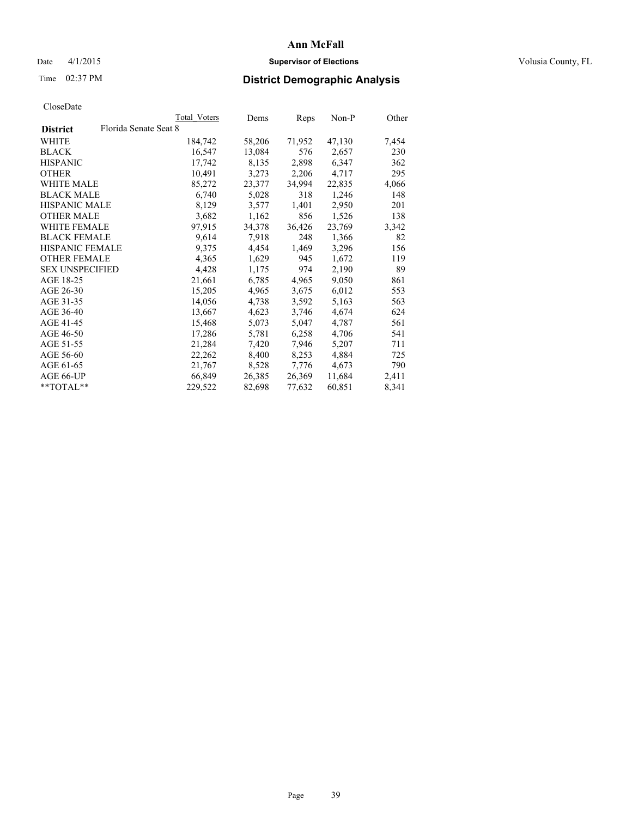## Date 4/1/2015 **Supervisor of Elections Supervisor of Elections** Volusia County, FL

## Time 02:37 PM **District Demographic Analysis**

|                        |                       | Total Voters | Dems   | <b>Reps</b> | Non-P  | Other |
|------------------------|-----------------------|--------------|--------|-------------|--------|-------|
| <b>District</b>        | Florida Senate Seat 8 |              |        |             |        |       |
| WHITE                  |                       | 184,742      | 58,206 | 71,952      | 47,130 | 7,454 |
| <b>BLACK</b>           |                       | 16,547       | 13,084 | 576         | 2,657  | 230   |
| <b>HISPANIC</b>        |                       | 17,742       | 8,135  | 2,898       | 6,347  | 362   |
| <b>OTHER</b>           |                       | 10,491       | 3,273  | 2,206       | 4,717  | 295   |
| WHITE MALE             |                       | 85,272       | 23,377 | 34,994      | 22,835 | 4,066 |
| <b>BLACK MALE</b>      |                       | 6,740        | 5,028  | 318         | 1,246  | 148   |
| <b>HISPANIC MALE</b>   |                       | 8,129        | 3,577  | 1,401       | 2,950  | 201   |
| OTHER MALE             |                       | 3,682        | 1,162  | 856         | 1,526  | 138   |
| <b>WHITE FEMALE</b>    |                       | 97,915       | 34,378 | 36,426      | 23,769 | 3,342 |
| <b>BLACK FEMALE</b>    |                       | 9,614        | 7.918  | 248         | 1,366  | 82    |
| <b>HISPANIC FEMALE</b> |                       | 9,375        | 4,454  | 1,469       | 3,296  | 156   |
| <b>OTHER FEMALE</b>    |                       | 4,365        | 1,629  | 945         | 1,672  | 119   |
| <b>SEX UNSPECIFIED</b> |                       | 4,428        | 1,175  | 974         | 2,190  | 89    |
| AGE 18-25              |                       | 21,661       | 6,785  | 4,965       | 9,050  | 861   |
| AGE 26-30              |                       | 15,205       | 4,965  | 3,675       | 6,012  | 553   |
| AGE 31-35              |                       | 14,056       | 4,738  | 3,592       | 5,163  | 563   |
| AGE 36-40              |                       | 13,667       | 4,623  | 3,746       | 4,674  | 624   |
| AGE 41-45              |                       | 15,468       | 5,073  | 5,047       | 4,787  | 561   |
| AGE 46-50              |                       | 17,286       | 5,781  | 6,258       | 4,706  | 541   |
| AGE 51-55              |                       | 21,284       | 7,420  | 7,946       | 5,207  | 711   |
| AGE 56-60              |                       | 22,262       | 8,400  | 8,253       | 4,884  | 725   |
| AGE 61-65              |                       | 21,767       | 8,528  | 7,776       | 4,673  | 790   |
| AGE 66-UP              |                       | 66,849       | 26,385 | 26,369      | 11,684 | 2,411 |
| $**TOTAL**$            |                       | 229,522      | 82,698 | 77,632      | 60,851 | 8,341 |
|                        |                       |              |        |             |        |       |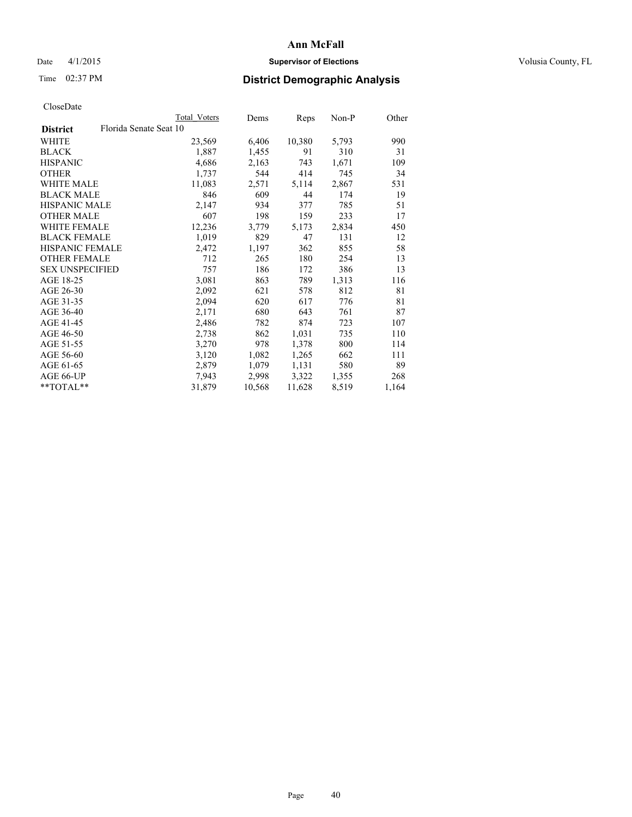## Date 4/1/2015 **Supervisor of Elections Supervisor of Elections** Volusia County, FL

## Time 02:37 PM **District Demographic Analysis**

|                        |                        | Total Voters | Dems   | Reps   | Non-P | Other |
|------------------------|------------------------|--------------|--------|--------|-------|-------|
| <b>District</b>        | Florida Senate Seat 10 |              |        |        |       |       |
| WHITE                  |                        | 23,569       | 6,406  | 10,380 | 5,793 | 990   |
| <b>BLACK</b>           |                        | 1,887        | 1,455  | 91     | 310   | 31    |
| <b>HISPANIC</b>        |                        | 4,686        | 2,163  | 743    | 1,671 | 109   |
| <b>OTHER</b>           |                        | 1,737        | 544    | 414    | 745   | 34    |
| WHITE MALE             |                        | 11,083       | 2,571  | 5,114  | 2,867 | 531   |
| <b>BLACK MALE</b>      |                        | 846          | 609    | 44     | 174   | 19    |
| <b>HISPANIC MALE</b>   |                        | 2,147        | 934    | 377    | 785   | 51    |
| <b>OTHER MALE</b>      |                        | 607          | 198    | 159    | 233   | 17    |
| <b>WHITE FEMALE</b>    |                        | 12,236       | 3,779  | 5,173  | 2,834 | 450   |
| <b>BLACK FEMALE</b>    |                        | 1,019        | 829    | 47     | 131   | 12    |
| <b>HISPANIC FEMALE</b> |                        | 2,472        | 1,197  | 362    | 855   | 58    |
| <b>OTHER FEMALE</b>    |                        | 712          | 265    | 180    | 254   | 13    |
| <b>SEX UNSPECIFIED</b> |                        | 757          | 186    | 172    | 386   | 13    |
| AGE 18-25              |                        | 3,081        | 863    | 789    | 1,313 | 116   |
| AGE 26-30              |                        | 2,092        | 621    | 578    | 812   | 81    |
| AGE 31-35              |                        | 2,094        | 620    | 617    | 776   | 81    |
| AGE 36-40              |                        | 2,171        | 680    | 643    | 761   | 87    |
| AGE 41-45              |                        | 2,486        | 782    | 874    | 723   | 107   |
| AGE 46-50              |                        | 2,738        | 862    | 1,031  | 735   | 110   |
| AGE 51-55              |                        | 3,270        | 978    | 1,378  | 800   | 114   |
| AGE 56-60              |                        | 3,120        | 1,082  | 1,265  | 662   | 111   |
| AGE 61-65              |                        | 2,879        | 1,079  | 1,131  | 580   | 89    |
| AGE 66-UP              |                        | 7,943        | 2,998  | 3,322  | 1,355 | 268   |
| **TOTAL**              |                        | 31,879       | 10,568 | 11,628 | 8,519 | 1,164 |
|                        |                        |              |        |        |       |       |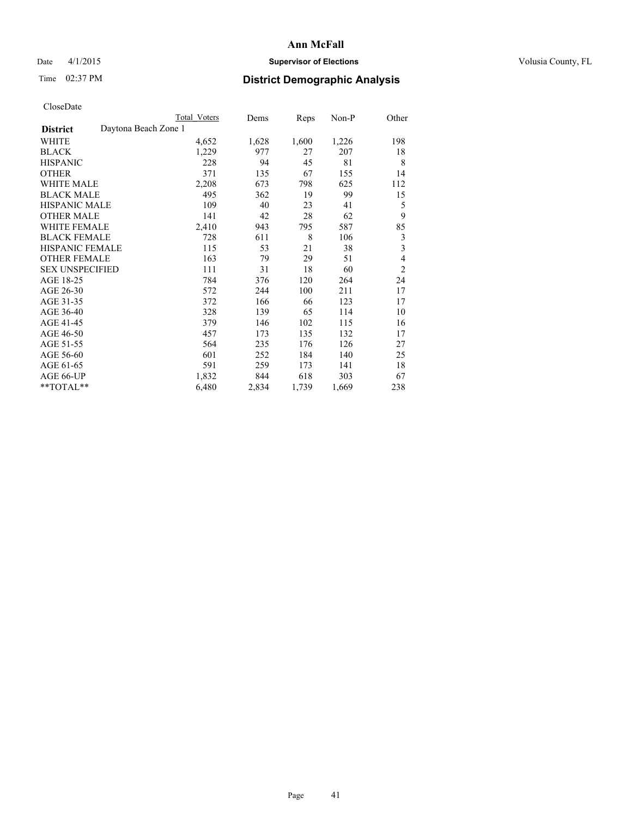## Date 4/1/2015 **Supervisor of Elections Supervisor of Elections** Volusia County, FL

## Time 02:37 PM **District Demographic Analysis**

|                                         | Total Voters | Dems  | Reps  | Non-P | Other          |
|-----------------------------------------|--------------|-------|-------|-------|----------------|
| Daytona Beach Zone 1<br><b>District</b> |              |       |       |       |                |
| WHITE                                   | 4,652        | 1,628 | 1,600 | 1,226 | 198            |
| <b>BLACK</b>                            | 1,229        | 977   | 27    | 207   | 18             |
| <b>HISPANIC</b>                         | 228          | 94    | 45    | 81    | 8              |
| <b>OTHER</b>                            | 371          | 135   | 67    | 155   | 14             |
| WHITE MALE                              | 2,208        | 673   | 798   | 625   | 112            |
| <b>BLACK MALE</b>                       | 495          | 362   | 19    | 99    | 15             |
| <b>HISPANIC MALE</b>                    | 109          | 40    | 23    | 41    | 5              |
| <b>OTHER MALE</b>                       | 141          | 42    | 28    | 62    | 9              |
| WHITE FEMALE                            | 2,410        | 943   | 795   | 587   | 85             |
| <b>BLACK FEMALE</b>                     | 728          | 611   | 8     | 106   | 3              |
| <b>HISPANIC FEMALE</b>                  | 115          | 53    | 21    | 38    | 3              |
| <b>OTHER FEMALE</b>                     | 163          | 79    | 29    | 51    | $\overline{4}$ |
| <b>SEX UNSPECIFIED</b>                  | 111          | 31    | 18    | 60    | $\overline{2}$ |
| AGE 18-25                               | 784          | 376   | 120   | 264   | 24             |
| AGE 26-30                               | 572          | 244   | 100   | 211   | 17             |
| AGE 31-35                               | 372          | 166   | 66    | 123   | 17             |
| AGE 36-40                               | 328          | 139   | 65    | 114   | 10             |
| AGE 41-45                               | 379          | 146   | 102   | 115   | 16             |
| AGE 46-50                               | 457          | 173   | 135   | 132   | 17             |
| AGE 51-55                               | 564          | 235   | 176   | 126   | 27             |
| AGE 56-60                               | 601          | 252   | 184   | 140   | 25             |
| AGE 61-65                               | 591          | 259   | 173   | 141   | 18             |
| AGE 66-UP                               | 1,832        | 844   | 618   | 303   | 67             |
| **TOTAL**                               | 6,480        | 2,834 | 1,739 | 1,669 | 238            |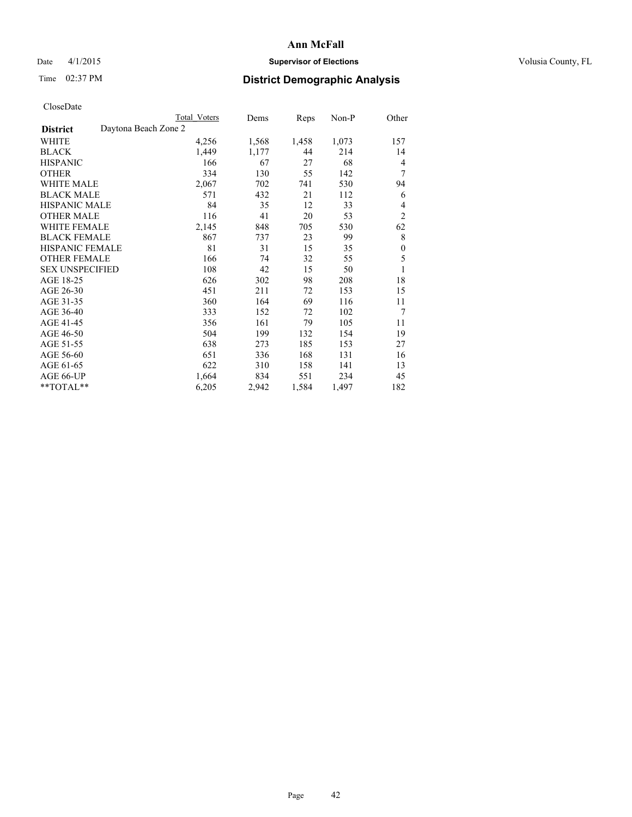## Date 4/1/2015 **Supervisor of Elections Supervisor of Elections** Volusia County, FL

## Time 02:37 PM **District Demographic Analysis**

|                                         | Total Voters | Dems  | Reps  | Non-P | Other            |
|-----------------------------------------|--------------|-------|-------|-------|------------------|
| Daytona Beach Zone 2<br><b>District</b> |              |       |       |       |                  |
| WHITE                                   | 4,256        | 1,568 | 1,458 | 1,073 | 157              |
| <b>BLACK</b>                            | 1,449        | 1,177 | 44    | 214   | 14               |
| <b>HISPANIC</b>                         | 166          | 67    | 27    | 68    | 4                |
| <b>OTHER</b>                            | 334          | 130   | 55    | 142   | 7                |
| <b>WHITE MALE</b>                       | 2,067        | 702   | 741   | 530   | 94               |
| <b>BLACK MALE</b>                       | 571          | 432   | 21    | 112   | 6                |
| HISPANIC MALE                           | 84           | 35    | 12    | 33    | 4                |
| <b>OTHER MALE</b>                       | 116          | 41    | 20    | 53    | $\overline{2}$   |
| <b>WHITE FEMALE</b>                     | 2,145        | 848   | 705   | 530   | 62               |
| <b>BLACK FEMALE</b>                     | 867          | 737   | 23    | 99    | 8                |
| <b>HISPANIC FEMALE</b>                  | 81           | 31    | 15    | 35    | $\boldsymbol{0}$ |
| <b>OTHER FEMALE</b>                     | 166          | 74    | 32    | 55    | 5                |
| <b>SEX UNSPECIFIED</b>                  | 108          | 42    | 15    | 50    | $\mathbf{1}$     |
| AGE 18-25                               | 626          | 302   | 98    | 208   | 18               |
| AGE 26-30                               | 451          | 211   | 72    | 153   | 15               |
| AGE 31-35                               | 360          | 164   | 69    | 116   | 11               |
| AGE 36-40                               | 333          | 152   | 72    | 102   | 7                |
| AGE 41-45                               | 356          | 161   | 79    | 105   | 11               |
| AGE 46-50                               | 504          | 199   | 132   | 154   | 19               |
| AGE 51-55                               | 638          | 273   | 185   | 153   | 27               |
| AGE 56-60                               | 651          | 336   | 168   | 131   | 16               |
| AGE 61-65                               | 622          | 310   | 158   | 141   | 13               |
| AGE 66-UP                               | 1,664        | 834   | 551   | 234   | 45               |
| **TOTAL**                               | 6,205        | 2,942 | 1,584 | 1,497 | 182              |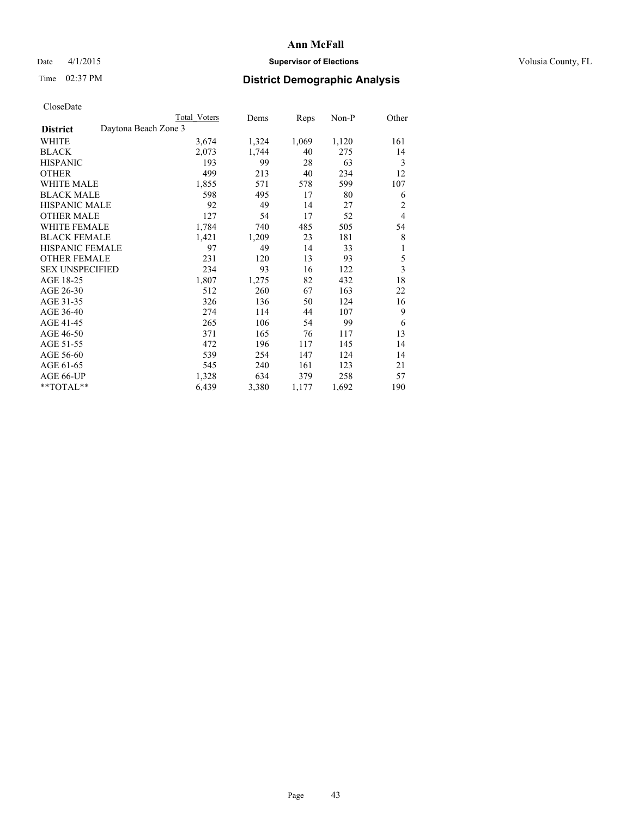## Date 4/1/2015 **Supervisor of Elections Supervisor of Elections** Volusia County, FL

## Time 02:37 PM **District Demographic Analysis**

|                                         | <b>Total Voters</b> | Dems  | Reps  | Non-P | Other          |
|-----------------------------------------|---------------------|-------|-------|-------|----------------|
| Daytona Beach Zone 3<br><b>District</b> |                     |       |       |       |                |
| WHITE                                   | 3,674               | 1,324 | 1,069 | 1,120 | 161            |
| <b>BLACK</b>                            | 2,073               | 1,744 | 40    | 275   | 14             |
| <b>HISPANIC</b>                         | 193                 | 99    | 28    | 63    | 3              |
| <b>OTHER</b>                            | 499                 | 213   | 40    | 234   | 12             |
| <b>WHITE MALE</b>                       | 1,855               | 571   | 578   | 599   | 107            |
| <b>BLACK MALE</b>                       | 598                 | 495   | 17    | 80    | 6              |
| HISPANIC MALE                           | 92                  | 49    | 14    | 27    | $\overline{c}$ |
| <b>OTHER MALE</b>                       | 127                 | 54    | 17    | 52    | $\overline{4}$ |
| <b>WHITE FEMALE</b>                     | 1,784               | 740   | 485   | 505   | 54             |
| <b>BLACK FEMALE</b>                     | 1,421               | 1,209 | 23    | 181   | 8              |
| <b>HISPANIC FEMALE</b>                  | 97                  | 49    | 14    | 33    | 1              |
| <b>OTHER FEMALE</b>                     | 231                 | 120   | 13    | 93    | 5              |
| <b>SEX UNSPECIFIED</b>                  | 234                 | 93    | 16    | 122   | $\overline{3}$ |
| AGE 18-25                               | 1,807               | 1,275 | 82    | 432   | 18             |
| AGE 26-30                               | 512                 | 260   | 67    | 163   | 22             |
| AGE 31-35                               | 326                 | 136   | 50    | 124   | 16             |
| AGE 36-40                               | 274                 | 114   | 44    | 107   | 9              |
| AGE 41-45                               | 265                 | 106   | 54    | 99    | 6              |
| AGE 46-50                               | 371                 | 165   | 76    | 117   | 13             |
| AGE 51-55                               | 472                 | 196   | 117   | 145   | 14             |
| AGE 56-60                               | 539                 | 254   | 147   | 124   | 14             |
| AGE 61-65                               | 545                 | 240   | 161   | 123   | 21             |
| AGE 66-UP                               | 1,328               | 634   | 379   | 258   | 57             |
| **TOTAL**                               | 6,439               | 3,380 | 1,177 | 1,692 | 190            |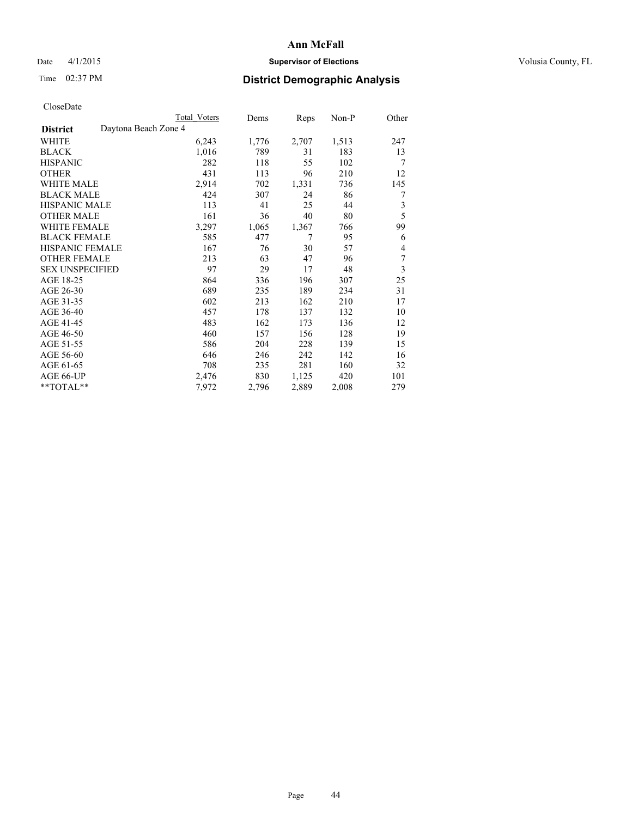## Date 4/1/2015 **Supervisor of Elections Supervisor of Elections** Volusia County, FL

## Time 02:37 PM **District Demographic Analysis**

|                                         | <b>Total Voters</b> | Dems  | Reps  | Non-P | Other |
|-----------------------------------------|---------------------|-------|-------|-------|-------|
| Daytona Beach Zone 4<br><b>District</b> |                     |       |       |       |       |
| WHITE                                   | 6,243               | 1,776 | 2,707 | 1,513 | 247   |
| <b>BLACK</b>                            | 1,016               | 789   | 31    | 183   | 13    |
| <b>HISPANIC</b>                         | 282                 | 118   | 55    | 102   | 7     |
| <b>OTHER</b>                            | 431                 | 113   | 96    | 210   | 12    |
| <b>WHITE MALE</b>                       | 2,914               | 702   | 1,331 | 736   | 145   |
| <b>BLACK MALE</b>                       | 424                 | 307   | 24    | 86    | 7     |
| <b>HISPANIC MALE</b>                    | 113                 | 41    | 25    | 44    | 3     |
| <b>OTHER MALE</b>                       | 161                 | 36    | 40    | 80    | 5     |
| <b>WHITE FEMALE</b>                     | 3,297               | 1,065 | 1,367 | 766   | 99    |
| <b>BLACK FEMALE</b>                     | 585                 | 477   | 7     | 95    | 6     |
| <b>HISPANIC FEMALE</b>                  | 167                 | 76    | 30    | 57    | 4     |
| <b>OTHER FEMALE</b>                     | 213                 | 63    | 47    | 96    | 7     |
| <b>SEX UNSPECIFIED</b>                  | 97                  | 29    | 17    | 48    | 3     |
| AGE 18-25                               | 864                 | 336   | 196   | 307   | 25    |
| AGE 26-30                               | 689                 | 235   | 189   | 234   | 31    |
| AGE 31-35                               | 602                 | 213   | 162   | 210   | 17    |
| AGE 36-40                               | 457                 | 178   | 137   | 132   | 10    |
| AGE 41-45                               | 483                 | 162   | 173   | 136   | 12    |
| AGE 46-50                               | 460                 | 157   | 156   | 128   | 19    |
| AGE 51-55                               | 586                 | 204   | 228   | 139   | 15    |
| AGE 56-60                               | 646                 | 246   | 242   | 142   | 16    |
| AGE 61-65                               | 708                 | 235   | 281   | 160   | 32    |
| AGE 66-UP                               | 2,476               | 830   | 1,125 | 420   | 101   |
| $*$ $TOTAL**$                           | 7,972               | 2,796 | 2,889 | 2,008 | 279   |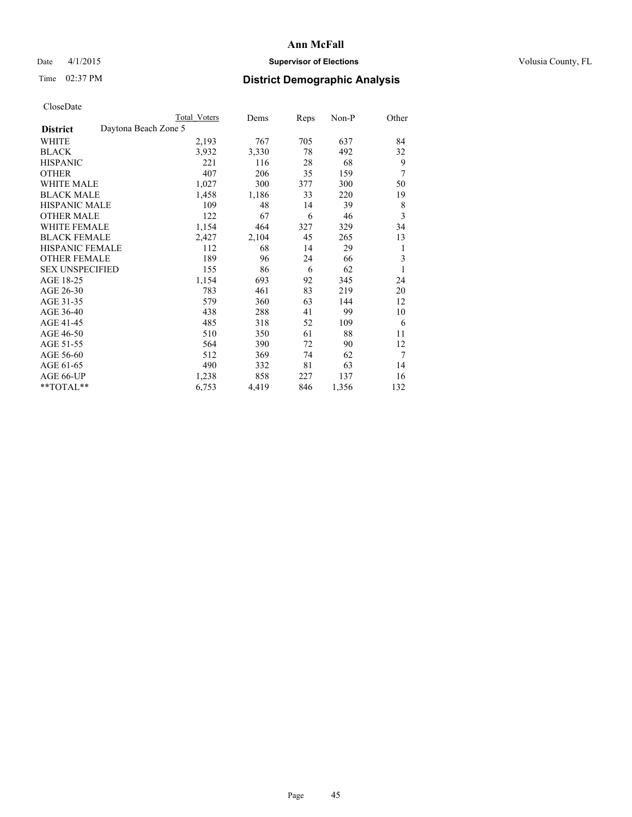## Date 4/1/2015 **Supervisor of Elections Supervisor of Elections** Volusia County, FL

| <b>Total Voters</b> | Dems                 | Reps | $Non-P$ | Other |
|---------------------|----------------------|------|---------|-------|
|                     |                      |      |         |       |
| 2,193               | 767                  | 705  | 637     | 84    |
| 3.932               | 3,330                | 78   | 492     | 32    |
| 221                 | 116                  | 28   | 68      | 9     |
| 407                 | 206                  | 35   | 159     | 7     |
| 1,027               | 300                  | 377  | 300     | 50    |
| 1,458               | 1,186                | 33   | 220     | 19    |
| 109                 | 48                   | 14   | 39      | 8     |
| 122                 | 67                   | 6    | 46      | 3     |
| 1,154               | 464                  | 327  | 329     | 34    |
| 2,427               | 2,104                | 45   | 265     | 13    |
| 112                 | 68                   | 14   | 29      | 1     |
| 189                 | 96                   | 24   | 66      | 3     |
| 155                 | 86                   | 6    | 62      | 1     |
| 1,154               | 693                  | 92   | 345     | 24    |
| 783                 | 461                  | 83   | 219     | 20    |
| 579                 | 360                  | 63   | 144     | 12    |
| 438                 | 288                  | 41   | 99      | 10    |
| 485                 | 318                  | 52   | 109     | 6     |
| 510                 | 350                  | 61   | 88      | 11    |
| 564                 | 390                  | 72   | 90      | 12    |
| 512                 | 369                  | 74   | 62      | 7     |
| 490                 | 332                  | 81   | 63      | 14    |
| 1,238               | 858                  | 227  | 137     | 16    |
| 6,753               | 4,419                | 846  | 1,356   | 132   |
|                     | Daytona Beach Zone 5 |      |         |       |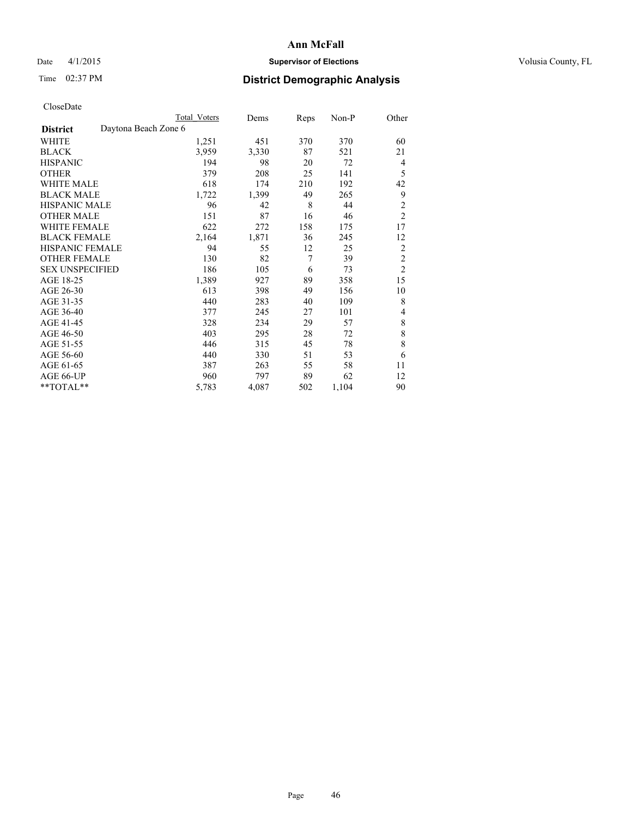## Date 4/1/2015 **Supervisor of Elections Supervisor of Elections** Volusia County, FL

|                                         | Total Voters | Dems  | <b>Reps</b> | Non-P | Other          |
|-----------------------------------------|--------------|-------|-------------|-------|----------------|
| Daytona Beach Zone 6<br><b>District</b> |              |       |             |       |                |
| WHITE                                   | 1,251        | 451   | 370         | 370   | 60             |
| <b>BLACK</b>                            | 3,959        | 3,330 | 87          | 521   | 21             |
| <b>HISPANIC</b>                         | 194          | 98    | 20          | 72    | $\overline{4}$ |
| <b>OTHER</b>                            | 379          | 208   | 25          | 141   | 5              |
| <b>WHITE MALE</b>                       | 618          | 174   | 210         | 192   | 42             |
| <b>BLACK MALE</b>                       | 1,722        | 1,399 | 49          | 265   | 9              |
| <b>HISPANIC MALE</b>                    | 96           | 42    | 8           | 44    | $\overline{c}$ |
| <b>OTHER MALE</b>                       | 151          | 87    | 16          | 46    | $\overline{2}$ |
| <b>WHITE FEMALE</b>                     | 622          | 272   | 158         | 175   | 17             |
| <b>BLACK FEMALE</b>                     | 2,164        | 1,871 | 36          | 245   | 12             |
| HISPANIC FEMALE                         | 94           | 55    | 12          | 25    | $\overline{2}$ |
| <b>OTHER FEMALE</b>                     | 130          | 82    | 7           | 39    | $\overline{c}$ |
| <b>SEX UNSPECIFIED</b>                  | 186          | 105   | 6           | 73    | $\overline{c}$ |
| AGE 18-25                               | 1,389        | 927   | 89          | 358   | 15             |
| AGE 26-30                               | 613          | 398   | 49          | 156   | 10             |
| AGE 31-35                               | 440          | 283   | 40          | 109   | 8              |
| AGE 36-40                               | 377          | 245   | 27          | 101   | 4              |
| AGE 41-45                               | 328          | 234   | 29          | 57    | 8              |
| AGE 46-50                               | 403          | 295   | 28          | 72    | 8              |
| AGE 51-55                               | 446          | 315   | 45          | 78    | 8              |
| AGE 56-60                               | 440          | 330   | 51          | 53    | 6              |
| AGE 61-65                               | 387          | 263   | 55          | 58    | 11             |
| AGE 66-UP                               | 960          | 797   | 89          | 62    | 12             |
| **TOTAL**                               | 5,783        | 4,087 | 502         | 1,104 | 90             |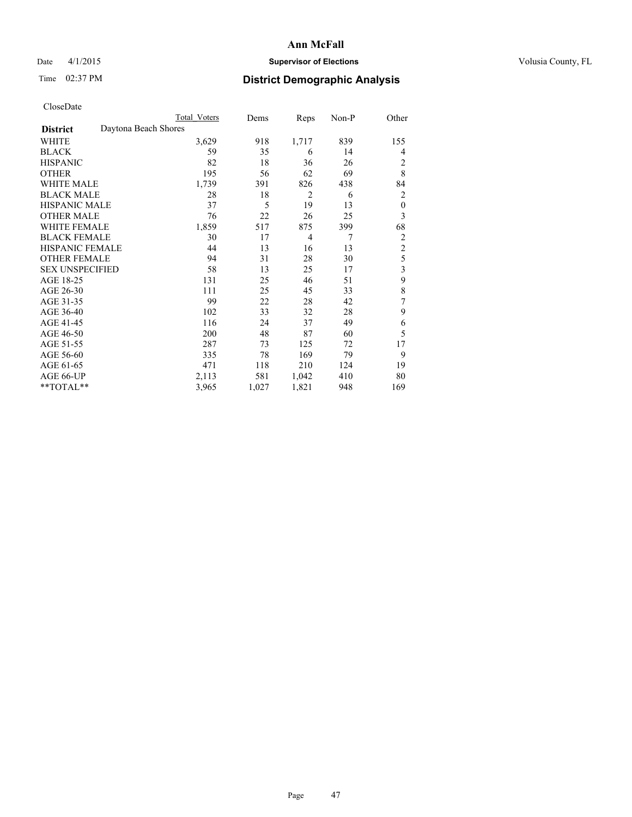## Date 4/1/2015 **Supervisor of Elections Supervisor of Elections** Volusia County, FL

## Time 02:37 PM **District Demographic Analysis**

|                        | <b>Total Voters</b>  | Dems  | Reps           | Non-P | Other            |
|------------------------|----------------------|-------|----------------|-------|------------------|
| <b>District</b>        | Daytona Beach Shores |       |                |       |                  |
| WHITE                  | 3,629                | 918   | 1,717          | 839   | 155              |
| <b>BLACK</b>           | 59                   | 35    | 6              | 14    | 4                |
| <b>HISPANIC</b>        | 82                   | 18    | 36             | 26    | 2                |
| <b>OTHER</b>           | 195                  | 56    | 62             | 69    | 8                |
| <b>WHITE MALE</b>      | 1,739                | 391   | 826            | 438   | 84               |
| <b>BLACK MALE</b>      | 28                   | 18    | $\overline{2}$ | 6     | 2                |
| <b>HISPANIC MALE</b>   | 37                   | 5     | 19             | 13    | $\boldsymbol{0}$ |
| <b>OTHER MALE</b>      | 76                   | 22    | 26             | 25    | 3                |
| <b>WHITE FEMALE</b>    | 1,859                | 517   | 875            | 399   | 68               |
| <b>BLACK FEMALE</b>    | 30                   | 17    | $\overline{4}$ | 7     | $\overline{2}$   |
| <b>HISPANIC FEMALE</b> | 44                   | 13    | 16             | 13    | $\overline{2}$   |
| <b>OTHER FEMALE</b>    | 94                   | 31    | 28             | 30    | 5                |
| <b>SEX UNSPECIFIED</b> | 58                   | 13    | 25             | 17    | 3                |
| AGE 18-25              | 131                  | 25    | 46             | 51    | 9                |
| AGE 26-30              | 111                  | 25    | 45             | 33    | 8                |
| AGE 31-35              | 99                   | 22    | 28             | 42    | 7                |
| AGE 36-40              | 102                  | 33    | 32             | 28    | 9                |
| AGE 41-45              | 116                  | 24    | 37             | 49    | 6                |
| AGE 46-50              | 200                  | 48    | 87             | 60    | 5                |
| AGE 51-55              | 287                  | 73    | 125            | 72    | 17               |
| AGE 56-60              | 335                  | 78    | 169            | 79    | 9                |
| AGE 61-65              | 471                  | 118   | 210            | 124   | 19               |
| AGE 66-UP              | 2,113                | 581   | 1,042          | 410   | 80               |
| **TOTAL**              | 3,965                | 1,027 | 1,821          | 948   | 169              |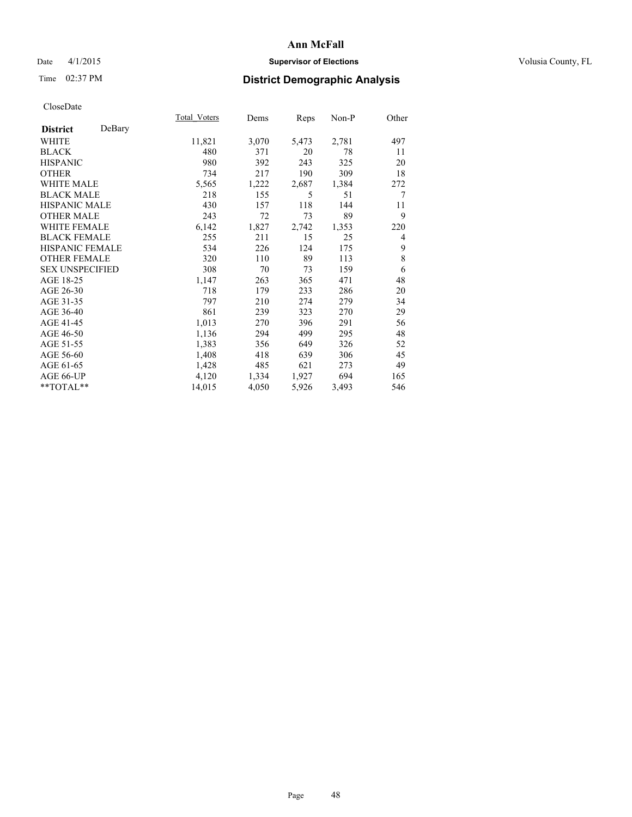## Date 4/1/2015 **Supervisor of Elections Supervisor of Elections** Volusia County, FL

## Time 02:37 PM **District Demographic Analysis**

|                        |        | Total Voters | Dems  | Reps  | Non-P | Other |
|------------------------|--------|--------------|-------|-------|-------|-------|
| <b>District</b>        | DeBary |              |       |       |       |       |
| WHITE                  |        | 11,821       | 3,070 | 5,473 | 2,781 | 497   |
| <b>BLACK</b>           |        | 480          | 371   | 20    | 78    | 11    |
| <b>HISPANIC</b>        |        | 980          | 392   | 243   | 325   | 20    |
| <b>OTHER</b>           |        | 734          | 217   | 190   | 309   | 18    |
| <b>WHITE MALE</b>      |        | 5,565        | 1,222 | 2,687 | 1,384 | 272   |
| <b>BLACK MALE</b>      |        | 218          | 155   | 5     | 51    | 7     |
| <b>HISPANIC MALE</b>   |        | 430          | 157   | 118   | 144   | 11    |
| <b>OTHER MALE</b>      |        | 243          | 72    | 73    | 89    | 9     |
| <b>WHITE FEMALE</b>    |        | 6,142        | 1,827 | 2,742 | 1,353 | 220   |
| <b>BLACK FEMALE</b>    |        | 255          | 211   | 15    | 25    | 4     |
| <b>HISPANIC FEMALE</b> |        | 534          | 226   | 124   | 175   | 9     |
| <b>OTHER FEMALE</b>    |        | 320          | 110   | 89    | 113   | 8     |
| <b>SEX UNSPECIFIED</b> |        | 308          | 70    | 73    | 159   | 6     |
| AGE 18-25              |        | 1,147        | 263   | 365   | 471   | 48    |
| AGE 26-30              |        | 718          | 179   | 233   | 286   | 20    |
| AGE 31-35              |        | 797          | 210   | 274   | 279   | 34    |
| AGE 36-40              |        | 861          | 239   | 323   | 270   | 29    |
| AGE 41-45              |        | 1,013        | 270   | 396   | 291   | 56    |
| AGE 46-50              |        | 1,136        | 294   | 499   | 295   | 48    |
| AGE 51-55              |        | 1,383        | 356   | 649   | 326   | 52    |
| AGE 56-60              |        | 1,408        | 418   | 639   | 306   | 45    |
| AGE 61-65              |        | 1,428        | 485   | 621   | 273   | 49    |
| AGE 66-UP              |        | 4,120        | 1,334 | 1,927 | 694   | 165   |
| **TOTAL**              |        | 14,015       | 4,050 | 5,926 | 3,493 | 546   |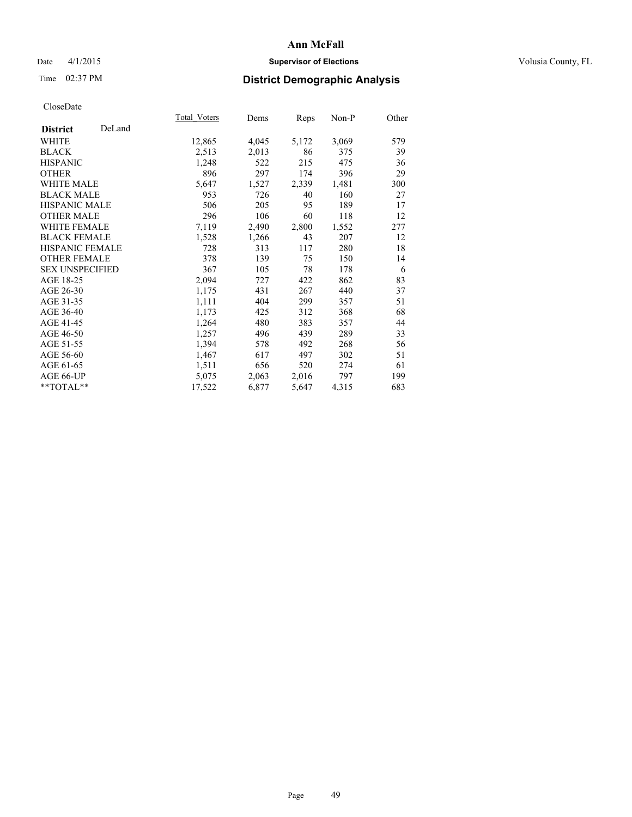## Date 4/1/2015 **Supervisor of Elections Supervisor of Elections** Volusia County, FL

## Time 02:37 PM **District Demographic Analysis**

|                        |        | Total Voters | Dems  | <b>Reps</b> | Non-P | Other |
|------------------------|--------|--------------|-------|-------------|-------|-------|
| <b>District</b>        | DeLand |              |       |             |       |       |
| WHITE                  |        | 12,865       | 4,045 | 5,172       | 3,069 | 579   |
| <b>BLACK</b>           |        | 2,513        | 2,013 | 86          | 375   | 39    |
| <b>HISPANIC</b>        |        | 1,248        | 522   | 215         | 475   | 36    |
| <b>OTHER</b>           |        | 896          | 297   | 174         | 396   | 29    |
| <b>WHITE MALE</b>      |        | 5,647        | 1,527 | 2,339       | 1,481 | 300   |
| <b>BLACK MALE</b>      |        | 953          | 726   | 40          | 160   | 27    |
| <b>HISPANIC MALE</b>   |        | 506          | 205   | 95          | 189   | 17    |
| <b>OTHER MALE</b>      |        | 296          | 106   | 60          | 118   | 12    |
| <b>WHITE FEMALE</b>    |        | 7,119        | 2,490 | 2,800       | 1,552 | 277   |
| <b>BLACK FEMALE</b>    |        | 1,528        | 1,266 | 43          | 207   | 12    |
| <b>HISPANIC FEMALE</b> |        | 728          | 313   | 117         | 280   | 18    |
| <b>OTHER FEMALE</b>    |        | 378          | 139   | 75          | 150   | 14    |
| <b>SEX UNSPECIFIED</b> |        | 367          | 105   | 78          | 178   | 6     |
| AGE 18-25              |        | 2,094        | 727   | 422         | 862   | 83    |
| AGE 26-30              |        | 1,175        | 431   | 267         | 440   | 37    |
| AGE 31-35              |        | 1,111        | 404   | 299         | 357   | 51    |
| AGE 36-40              |        | 1,173        | 425   | 312         | 368   | 68    |
| AGE 41-45              |        | 1,264        | 480   | 383         | 357   | 44    |
| AGE 46-50              |        | 1,257        | 496   | 439         | 289   | 33    |
| AGE 51-55              |        | 1,394        | 578   | 492         | 268   | 56    |
| AGE 56-60              |        | 1,467        | 617   | 497         | 302   | 51    |
| AGE 61-65              |        | 1,511        | 656   | 520         | 274   | 61    |
| AGE 66-UP              |        | 5,075        | 2,063 | 2,016       | 797   | 199   |
| $*$ $TOTAL**$          |        | 17,522       | 6,877 | 5,647       | 4,315 | 683   |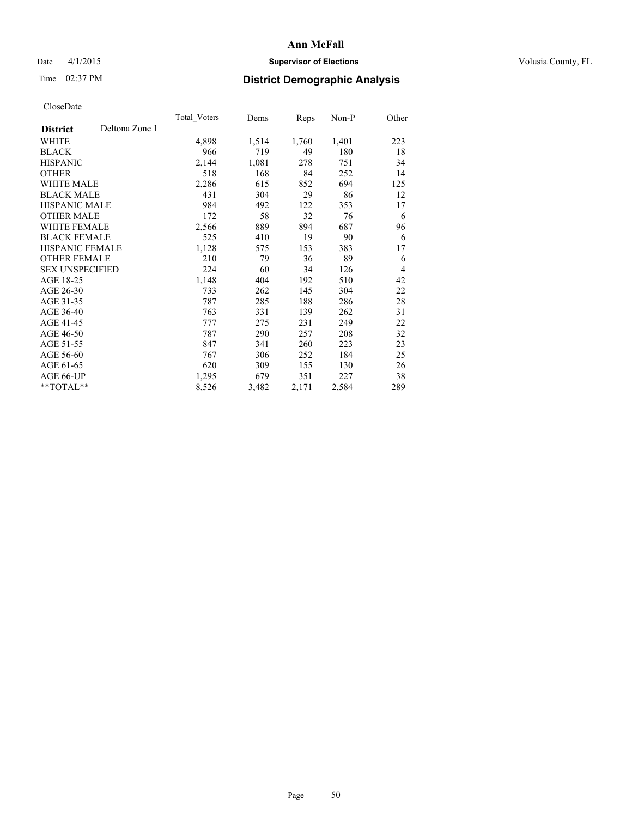## Date 4/1/2015 **Supervisor of Elections Supervisor of Elections** Volusia County, FL

## Time 02:37 PM **District Demographic Analysis**

|                        |                | <b>Total Voters</b> | Dems  | <b>Reps</b> | Non-P | Other          |
|------------------------|----------------|---------------------|-------|-------------|-------|----------------|
| <b>District</b>        | Deltona Zone 1 |                     |       |             |       |                |
| WHITE                  |                | 4,898               | 1,514 | 1,760       | 1,401 | 223            |
| <b>BLACK</b>           |                | 966                 | 719   | 49          | 180   | 18             |
| <b>HISPANIC</b>        |                | 2,144               | 1,081 | 278         | 751   | 34             |
| <b>OTHER</b>           |                | 518                 | 168   | 84          | 252   | 14             |
| WHITE MALE             |                | 2,286               | 615   | 852         | 694   | 125            |
| <b>BLACK MALE</b>      |                | 431                 | 304   | 29          | 86    | 12             |
| <b>HISPANIC MALE</b>   |                | 984                 | 492   | 122         | 353   | 17             |
| OTHER MALE             |                | 172                 | 58    | 32          | 76    | 6              |
| <b>WHITE FEMALE</b>    |                | 2,566               | 889   | 894         | 687   | 96             |
| <b>BLACK FEMALE</b>    |                | 525                 | 410   | 19          | 90    | 6              |
| HISPANIC FEMALE        |                | 1,128               | 575   | 153         | 383   | 17             |
| <b>OTHER FEMALE</b>    |                | 210                 | 79    | 36          | 89    | 6              |
| <b>SEX UNSPECIFIED</b> |                | 224                 | 60    | 34          | 126   | $\overline{4}$ |
| AGE 18-25              |                | 1,148               | 404   | 192         | 510   | 42             |
| AGE 26-30              |                | 733                 | 262   | 145         | 304   | 22             |
| AGE 31-35              |                | 787                 | 285   | 188         | 286   | 28             |
| AGE 36-40              |                | 763                 | 331   | 139         | 262   | 31             |
| AGE 41-45              |                | 777                 | 275   | 231         | 249   | 22             |
| AGE 46-50              |                | 787                 | 290   | 257         | 208   | 32             |
| AGE 51-55              |                | 847                 | 341   | 260         | 223   | 23             |
| AGE 56-60              |                | 767                 | 306   | 252         | 184   | 25             |
| AGE 61-65              |                | 620                 | 309   | 155         | 130   | 26             |
| AGE 66-UP              |                | 1,295               | 679   | 351         | 227   | 38             |
| **TOTAL**              |                | 8,526               | 3,482 | 2,171       | 2,584 | 289            |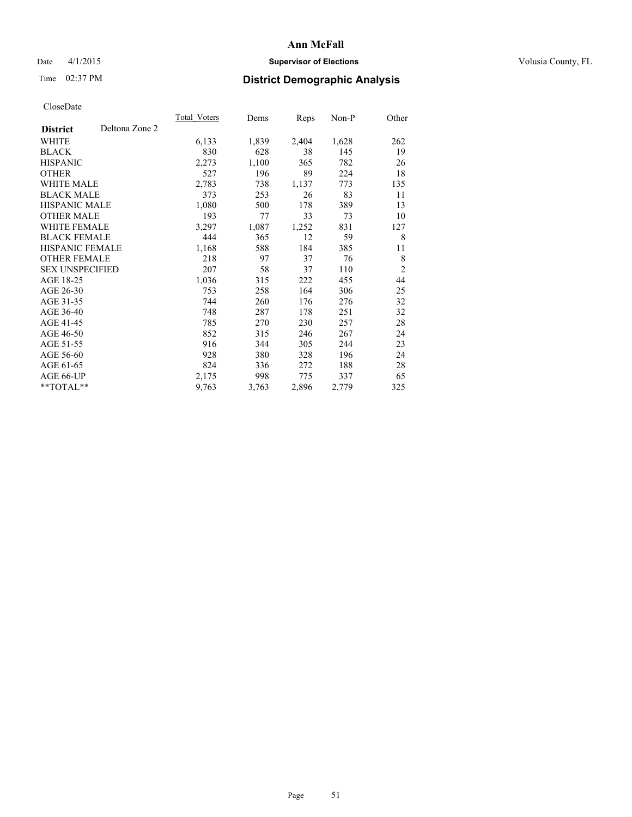## Date 4/1/2015 **Supervisor of Elections Supervisor of Elections** Volusia County, FL

## Time 02:37 PM **District Demographic Analysis**

|                        |                | Total Voters | Dems  | <b>Reps</b> | Non-P | Other          |
|------------------------|----------------|--------------|-------|-------------|-------|----------------|
| <b>District</b>        | Deltona Zone 2 |              |       |             |       |                |
| WHITE                  |                | 6,133        | 1,839 | 2,404       | 1,628 | 262            |
| <b>BLACK</b>           |                | 830          | 628   | 38          | 145   | 19             |
| <b>HISPANIC</b>        |                | 2,273        | 1,100 | 365         | 782   | 26             |
| <b>OTHER</b>           |                | 527          | 196   | 89          | 224   | 18             |
| <b>WHITE MALE</b>      |                | 2,783        | 738   | 1,137       | 773   | 135            |
| <b>BLACK MALE</b>      |                | 373          | 253   | 26          | 83    | 11             |
| <b>HISPANIC MALE</b>   |                | 1,080        | 500   | 178         | 389   | 13             |
| <b>OTHER MALE</b>      |                | 193          | 77    | 33          | 73    | 10             |
| <b>WHITE FEMALE</b>    |                | 3,297        | 1,087 | 1,252       | 831   | 127            |
| <b>BLACK FEMALE</b>    |                | 444          | 365   | 12          | 59    | 8              |
| <b>HISPANIC FEMALE</b> |                | 1,168        | 588   | 184         | 385   | 11             |
| <b>OTHER FEMALE</b>    |                | 218          | 97    | 37          | 76    | 8              |
| <b>SEX UNSPECIFIED</b> |                | 207          | 58    | 37          | 110   | $\overline{2}$ |
| AGE 18-25              |                | 1,036        | 315   | 222         | 455   | 44             |
| AGE 26-30              |                | 753          | 258   | 164         | 306   | 25             |
| AGE 31-35              |                | 744          | 260   | 176         | 276   | 32             |
| AGE 36-40              |                | 748          | 287   | 178         | 251   | 32             |
| AGE 41-45              |                | 785          | 270   | 230         | 257   | 28             |
| AGE 46-50              |                | 852          | 315   | 246         | 267   | 24             |
| AGE 51-55              |                | 916          | 344   | 305         | 244   | 23             |
| AGE 56-60              |                | 928          | 380   | 328         | 196   | 24             |
| AGE 61-65              |                | 824          | 336   | 272         | 188   | 28             |
| AGE 66-UP              |                | 2,175        | 998   | 775         | 337   | 65             |
| **TOTAL**              |                | 9,763        | 3,763 | 2,896       | 2,779 | 325            |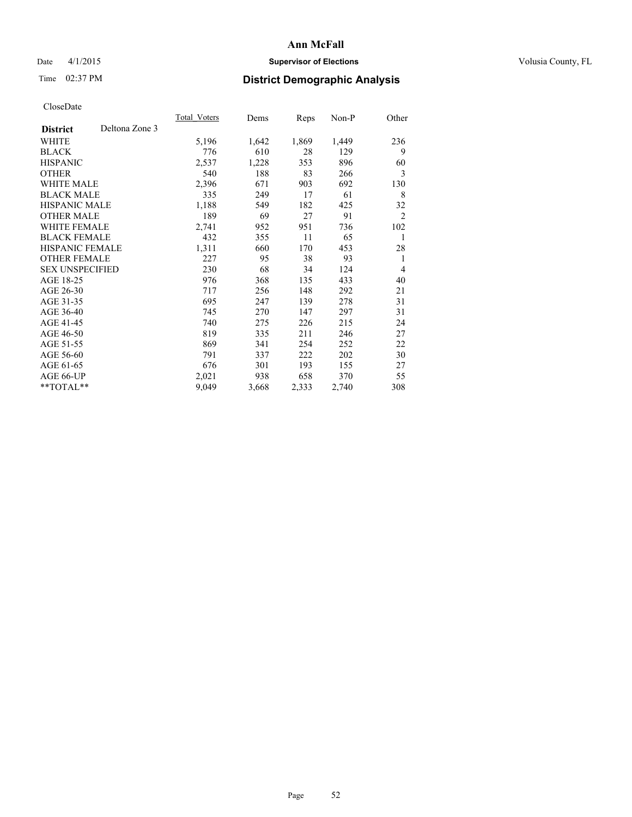## Date 4/1/2015 **Supervisor of Elections Supervisor of Elections** Volusia County, FL

## Time 02:37 PM **District Demographic Analysis**

|                        |                | Total Voters | Dems  | <b>Reps</b> | Non-P | Other          |
|------------------------|----------------|--------------|-------|-------------|-------|----------------|
| <b>District</b>        | Deltona Zone 3 |              |       |             |       |                |
| WHITE                  |                | 5,196        | 1,642 | 1,869       | 1,449 | 236            |
| <b>BLACK</b>           |                | 776          | 610   | 28          | 129   | 9              |
| <b>HISPANIC</b>        |                | 2,537        | 1,228 | 353         | 896   | 60             |
| <b>OTHER</b>           |                | 540          | 188   | 83          | 266   | 3              |
| <b>WHITE MALE</b>      |                | 2,396        | 671   | 903         | 692   | 130            |
| <b>BLACK MALE</b>      |                | 335          | 249   | 17          | 61    | 8              |
| <b>HISPANIC MALE</b>   |                | 1,188        | 549   | 182         | 425   | 32             |
| OTHER MALE             |                | 189          | 69    | 27          | 91    | $\overline{2}$ |
| <b>WHITE FEMALE</b>    |                | 2,741        | 952   | 951         | 736   | 102            |
| <b>BLACK FEMALE</b>    |                | 432          | 355   | 11          | 65    | 1              |
| HISPANIC FEMALE        |                | 1,311        | 660   | 170         | 453   | 28             |
| <b>OTHER FEMALE</b>    |                | 227          | 95    | 38          | 93    | 1              |
| <b>SEX UNSPECIFIED</b> |                | 230          | 68    | 34          | 124   | $\overline{4}$ |
| AGE 18-25              |                | 976          | 368   | 135         | 433   | 40             |
| AGE 26-30              |                | 717          | 256   | 148         | 292   | 21             |
| AGE 31-35              |                | 695          | 247   | 139         | 278   | 31             |
| AGE 36-40              |                | 745          | 270   | 147         | 297   | 31             |
| AGE 41-45              |                | 740          | 275   | 226         | 215   | 24             |
| AGE 46-50              |                | 819          | 335   | 211         | 246   | 27             |
| AGE 51-55              |                | 869          | 341   | 254         | 252   | 22             |
| AGE 56-60              |                | 791          | 337   | 222         | 202   | 30             |
| AGE 61-65              |                | 676          | 301   | 193         | 155   | 27             |
| AGE 66-UP              |                | 2,021        | 938   | 658         | 370   | 55             |
| **TOTAL**              |                | 9,049        | 3,668 | 2,333       | 2,740 | 308            |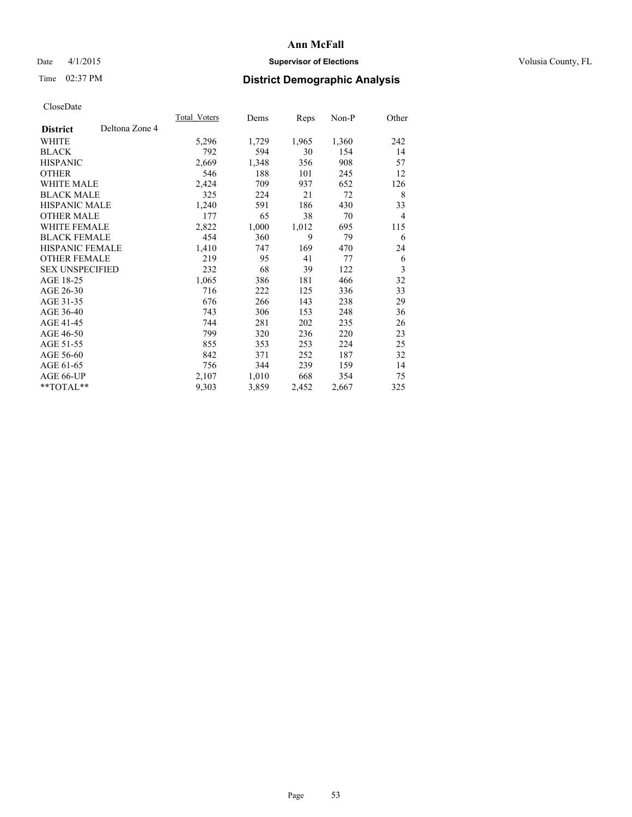## Date 4/1/2015 **Supervisor of Elections Supervisor of Elections** Volusia County, FL

## Time 02:37 PM **District Demographic Analysis**

|                        |                | Total Voters | Dems  | <b>Reps</b> | Non-P | Other          |
|------------------------|----------------|--------------|-------|-------------|-------|----------------|
| <b>District</b>        | Deltona Zone 4 |              |       |             |       |                |
| <b>WHITE</b>           |                | 5,296        | 1,729 | 1,965       | 1,360 | 242            |
| <b>BLACK</b>           |                | 792          | 594   | 30          | 154   | 14             |
| <b>HISPANIC</b>        |                | 2,669        | 1,348 | 356         | 908   | 57             |
| <b>OTHER</b>           |                | 546          | 188   | 101         | 245   | 12             |
| WHITE MALE             |                | 2,424        | 709   | 937         | 652   | 126            |
| <b>BLACK MALE</b>      |                | 325          | 224   | 21          | 72    | 8              |
| <b>HISPANIC MALE</b>   |                | 1,240        | 591   | 186         | 430   | 33             |
| <b>OTHER MALE</b>      |                | 177          | 65    | 38          | 70    | $\overline{4}$ |
| <b>WHITE FEMALE</b>    |                | 2,822        | 1,000 | 1,012       | 695   | 115            |
| <b>BLACK FEMALE</b>    |                | 454          | 360   | 9           | 79    | 6              |
| HISPANIC FEMALE        |                | 1,410        | 747   | 169         | 470   | 24             |
| <b>OTHER FEMALE</b>    |                | 219          | 95    | 41          | 77    | 6              |
| <b>SEX UNSPECIFIED</b> |                | 232          | 68    | 39          | 122   | 3              |
| AGE 18-25              |                | 1,065        | 386   | 181         | 466   | 32             |
| AGE 26-30              |                | 716          | 222   | 125         | 336   | 33             |
| AGE 31-35              |                | 676          | 266   | 143         | 238   | 29             |
| AGE 36-40              |                | 743          | 306   | 153         | 248   | 36             |
| AGE 41-45              |                | 744          | 281   | 202         | 235   | 26             |
| AGE 46-50              |                | 799          | 320   | 236         | 220   | 23             |
| AGE 51-55              |                | 855          | 353   | 253         | 224   | 25             |
| AGE 56-60              |                | 842          | 371   | 252         | 187   | 32             |
| AGE 61-65              |                | 756          | 344   | 239         | 159   | 14             |
| AGE 66-UP              |                | 2,107        | 1,010 | 668         | 354   | 75             |
| $*$ TOTAL $*$          |                | 9,303        | 3,859 | 2,452       | 2,667 | 325            |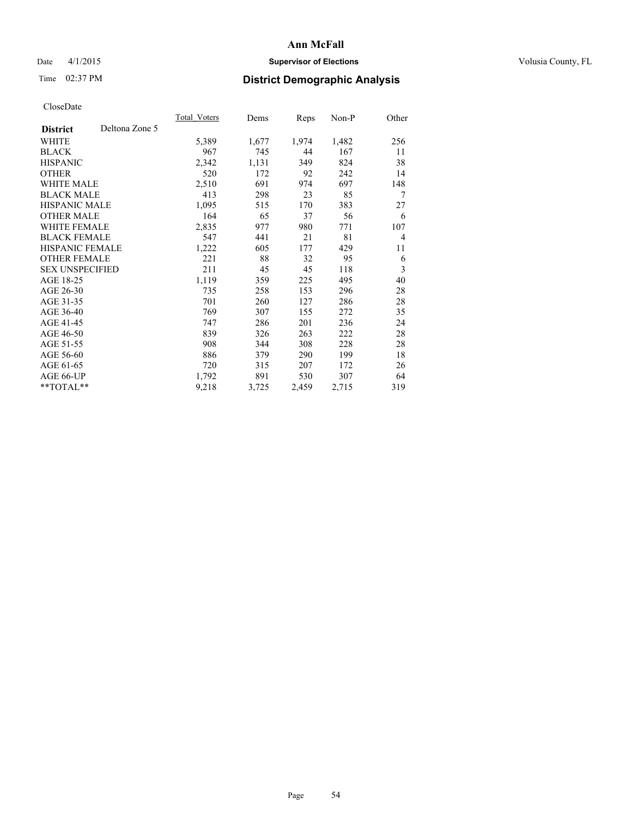## Date 4/1/2015 **Supervisor of Elections Supervisor of Elections** Volusia County, FL

## Time 02:37 PM **District Demographic Analysis**

|                        |                | Total Voters | Dems  | <b>Reps</b> | $Non-P$ | Other          |
|------------------------|----------------|--------------|-------|-------------|---------|----------------|
| <b>District</b>        | Deltona Zone 5 |              |       |             |         |                |
| WHITE                  |                | 5,389        | 1,677 | 1,974       | 1,482   | 256            |
| <b>BLACK</b>           |                | 967          | 745   | 44          | 167     | 11             |
| <b>HISPANIC</b>        |                | 2,342        | 1,131 | 349         | 824     | 38             |
| <b>OTHER</b>           |                | 520          | 172   | 92          | 242     | 14             |
| WHITE MALE             |                | 2,510        | 691   | 974         | 697     | 148            |
| <b>BLACK MALE</b>      |                | 413          | 298   | 23          | 85      | 7              |
| <b>HISPANIC MALE</b>   |                | 1,095        | 515   | 170         | 383     | 27             |
| <b>OTHER MALE</b>      |                | 164          | 65    | 37          | 56      | 6              |
| WHITE FEMALE           |                | 2,835        | 977   | 980         | 771     | 107            |
| <b>BLACK FEMALE</b>    |                | 547          | 441   | 21          | 81      | $\overline{4}$ |
| HISPANIC FEMALE        |                | 1,222        | 605   | 177         | 429     | 11             |
| <b>OTHER FEMALE</b>    |                | 221          | 88    | 32          | 95      | 6              |
| <b>SEX UNSPECIFIED</b> |                | 211          | 45    | 45          | 118     | $\mathfrak{Z}$ |
| AGE 18-25              |                | 1,119        | 359   | 225         | 495     | 40             |
| AGE 26-30              |                | 735          | 258   | 153         | 296     | 28             |
| AGE 31-35              |                | 701          | 260   | 127         | 286     | 28             |
| AGE 36-40              |                | 769          | 307   | 155         | 272     | 35             |
| AGE 41-45              |                | 747          | 286   | 201         | 236     | 24             |
| AGE 46-50              |                | 839          | 326   | 263         | 222     | 28             |
| AGE 51-55              |                | 908          | 344   | 308         | 228     | 28             |
| AGE 56-60              |                | 886          | 379   | 290         | 199     | 18             |
| AGE 61-65              |                | 720          | 315   | 207         | 172     | 26             |
| AGE 66-UP              |                | 1,792        | 891   | 530         | 307     | 64             |
| **TOTAL**              |                | 9,218        | 3,725 | 2,459       | 2,715   | 319            |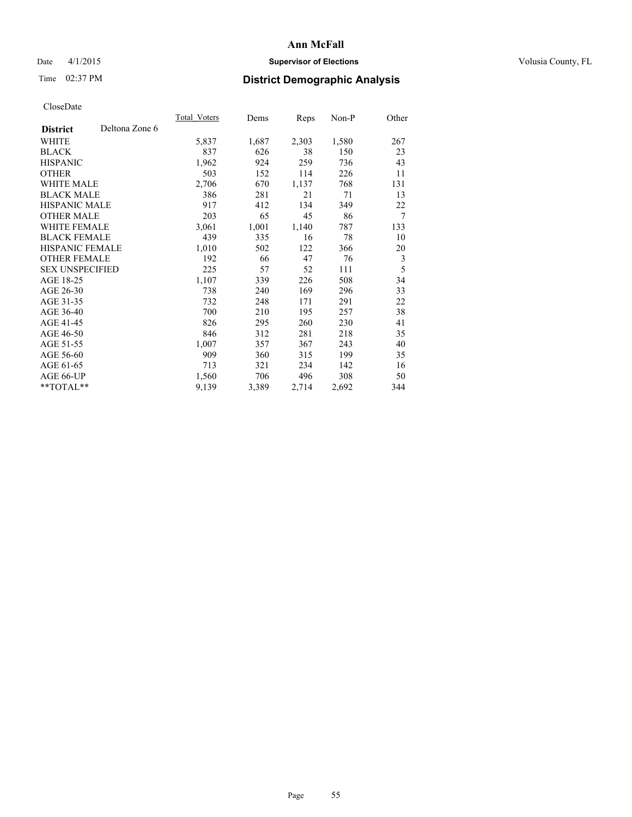## Date 4/1/2015 **Supervisor of Elections Supervisor of Elections** Volusia County, FL

## Time 02:37 PM **District Demographic Analysis**

|                        |                | <b>Total Voters</b> | Dems  | Reps  | Non-P | Other |
|------------------------|----------------|---------------------|-------|-------|-------|-------|
| <b>District</b>        | Deltona Zone 6 |                     |       |       |       |       |
| WHITE                  |                | 5,837               | 1,687 | 2,303 | 1,580 | 267   |
| <b>BLACK</b>           |                | 837                 | 626   | 38    | 150   | 23    |
| <b>HISPANIC</b>        |                | 1,962               | 924   | 259   | 736   | 43    |
| <b>OTHER</b>           |                | 503                 | 152   | 114   | 226   | 11    |
| WHITE MALE             |                | 2,706               | 670   | 1,137 | 768   | 131   |
| <b>BLACK MALE</b>      |                | 386                 | 281   | 21    | 71    | 13    |
| <b>HISPANIC MALE</b>   |                | 917                 | 412   | 134   | 349   | 22    |
| <b>OTHER MALE</b>      |                | 203                 | 65    | 45    | 86    | 7     |
| <b>WHITE FEMALE</b>    |                | 3,061               | 1,001 | 1,140 | 787   | 133   |
| <b>BLACK FEMALE</b>    |                | 439                 | 335   | 16    | 78    | 10    |
| HISPANIC FEMALE        |                | 1,010               | 502   | 122   | 366   | 20    |
| <b>OTHER FEMALE</b>    |                | 192                 | 66    | 47    | 76    | 3     |
| <b>SEX UNSPECIFIED</b> |                | 225                 | 57    | 52    | 111   | 5     |
| AGE 18-25              |                | 1,107               | 339   | 226   | 508   | 34    |
| AGE 26-30              |                | 738                 | 240   | 169   | 296   | 33    |
| AGE 31-35              |                | 732                 | 248   | 171   | 291   | 22    |
| AGE 36-40              |                | 700                 | 210   | 195   | 257   | 38    |
| AGE 41-45              |                | 826                 | 295   | 260   | 230   | 41    |
| AGE 46-50              |                | 846                 | 312   | 281   | 218   | 35    |
| AGE 51-55              |                | 1,007               | 357   | 367   | 243   | 40    |
| AGE 56-60              |                | 909                 | 360   | 315   | 199   | 35    |
| AGE 61-65              |                | 713                 | 321   | 234   | 142   | 16    |
| AGE 66-UP              |                | 1,560               | 706   | 496   | 308   | 50    |
| **TOTAL**              |                | 9,139               | 3,389 | 2,714 | 2,692 | 344   |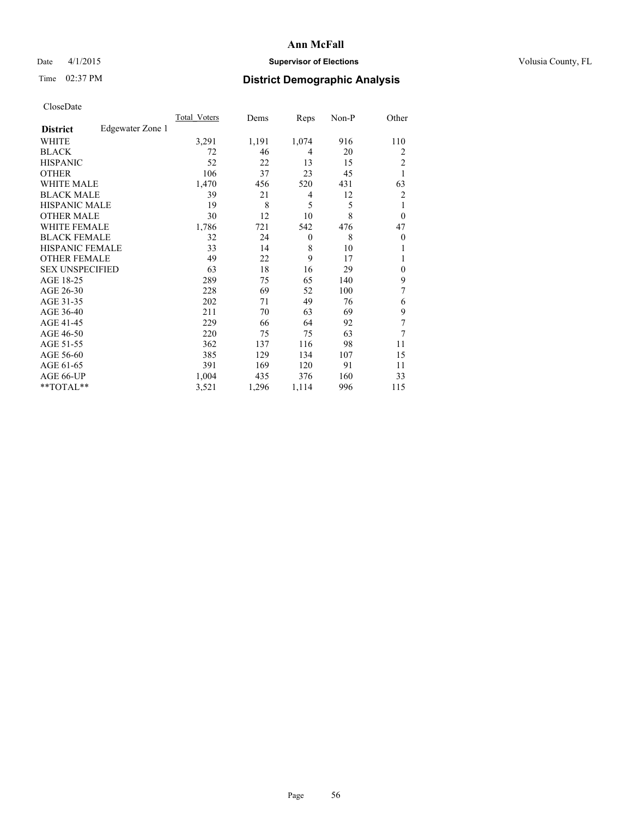## Date 4/1/2015 **Supervisor of Elections Supervisor of Elections** Volusia County, FL

## Time 02:37 PM **District Demographic Analysis**

|                        |                  | Total Voters | Dems  | Reps     | Non-P | Other          |
|------------------------|------------------|--------------|-------|----------|-------|----------------|
| <b>District</b>        | Edgewater Zone 1 |              |       |          |       |                |
| WHITE                  |                  | 3,291        | 1,191 | 1,074    | 916   | 110            |
| <b>BLACK</b>           |                  | 72           | 46    | 4        | 20    | 2              |
| <b>HISPANIC</b>        |                  | 52           | 22    | 13       | 15    | $\overline{c}$ |
| <b>OTHER</b>           |                  | 106          | 37    | 23       | 45    | 1              |
| <b>WHITE MALE</b>      |                  | 1,470        | 456   | 520      | 431   | 63             |
| <b>BLACK MALE</b>      |                  | 39           | 21    | 4        | 12    | $\overline{2}$ |
| <b>HISPANIC MALE</b>   |                  | 19           | 8     | 5        | 5     | 1              |
| <b>OTHER MALE</b>      |                  | 30           | 12    | 10       | 8     | $\overline{0}$ |
| <b>WHITE FEMALE</b>    |                  | 1,786        | 721   | 542      | 476   | 47             |
| <b>BLACK FEMALE</b>    |                  | 32           | 24    | $\theta$ | 8     | $\overline{0}$ |
| <b>HISPANIC FEMALE</b> |                  | 33           | 14    | 8        | 10    |                |
| <b>OTHER FEMALE</b>    |                  | 49           | 22    | 9        | 17    |                |
| <b>SEX UNSPECIFIED</b> |                  | 63           | 18    | 16       | 29    | $\theta$       |
| AGE 18-25              |                  | 289          | 75    | 65       | 140   | 9              |
| AGE 26-30              |                  | 228          | 69    | 52       | 100   | 7              |
| AGE 31-35              |                  | 202          | 71    | 49       | 76    | 6              |
| AGE 36-40              |                  | 211          | 70    | 63       | 69    | 9              |
| AGE 41-45              |                  | 229          | 66    | 64       | 92    | 7              |
| AGE 46-50              |                  | 220          | 75    | 75       | 63    | 7              |
| AGE 51-55              |                  | 362          | 137   | 116      | 98    | 11             |
| AGE 56-60              |                  | 385          | 129   | 134      | 107   | 15             |
| AGE 61-65              |                  | 391          | 169   | 120      | 91    | 11             |
| AGE 66-UP              |                  | 1,004        | 435   | 376      | 160   | 33             |
| **TOTAL**              |                  | 3,521        | 1,296 | 1,114    | 996   | 115            |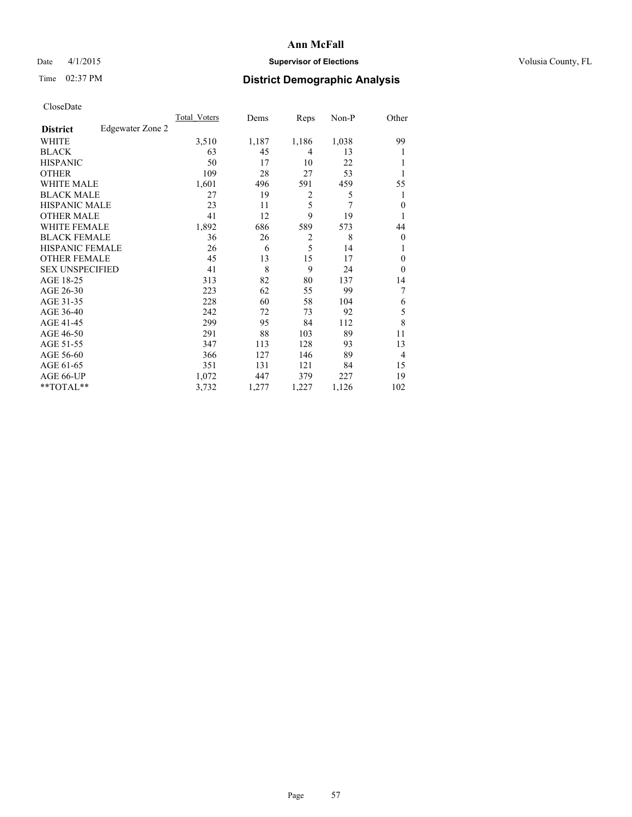## Date 4/1/2015 **Supervisor of Elections Supervisor of Elections** Volusia County, FL

## Time 02:37 PM **District Demographic Analysis**

|                        |                  | Total Voters | Dems  | Reps           | Non-P | Other          |
|------------------------|------------------|--------------|-------|----------------|-------|----------------|
| <b>District</b>        | Edgewater Zone 2 |              |       |                |       |                |
| WHITE                  |                  | 3,510        | 1,187 | 1,186          | 1,038 | 99             |
| <b>BLACK</b>           |                  | 63           | 45    | 4              | 13    |                |
| <b>HISPANIC</b>        |                  | 50           | 17    | 10             | 22    |                |
| <b>OTHER</b>           |                  | 109          | 28    | 27             | 53    |                |
| <b>WHITE MALE</b>      |                  | 1,601        | 496   | 591            | 459   | 55             |
| <b>BLACK MALE</b>      |                  | 27           | 19    | 2              | 5     | 1              |
| <b>HISPANIC MALE</b>   |                  | 23           | 11    | 5              | 7     | $\overline{0}$ |
| <b>OTHER MALE</b>      |                  | 41           | 12    | 9              | 19    |                |
| <b>WHITE FEMALE</b>    |                  | 1,892        | 686   | 589            | 573   | 44             |
| <b>BLACK FEMALE</b>    |                  | 36           | 26    | $\overline{2}$ | 8     | $\overline{0}$ |
| <b>HISPANIC FEMALE</b> |                  | 26           | 6     | 5              | 14    |                |
| <b>OTHER FEMALE</b>    |                  | 45           | 13    | 15             | 17    | $\Omega$       |
| <b>SEX UNSPECIFIED</b> |                  | 41           | 8     | 9              | 24    | $\theta$       |
| AGE 18-25              |                  | 313          | 82    | 80             | 137   | 14             |
| AGE 26-30              |                  | 223          | 62    | 55             | 99    | 7              |
| AGE 31-35              |                  | 228          | 60    | 58             | 104   | 6              |
| AGE 36-40              |                  | 242          | 72    | 73             | 92    | 5              |
| AGE 41-45              |                  | 299          | 95    | 84             | 112   | 8              |
| AGE 46-50              |                  | 291          | 88    | 103            | 89    | 11             |
| AGE 51-55              |                  | 347          | 113   | 128            | 93    | 13             |
| AGE 56-60              |                  | 366          | 127   | 146            | 89    | $\overline{4}$ |
| AGE 61-65              |                  | 351          | 131   | 121            | 84    | 15             |
| AGE 66-UP              |                  | 1,072        | 447   | 379            | 227   | 19             |
| **TOTAL**              |                  | 3,732        | 1,277 | 1,227          | 1,126 | 102            |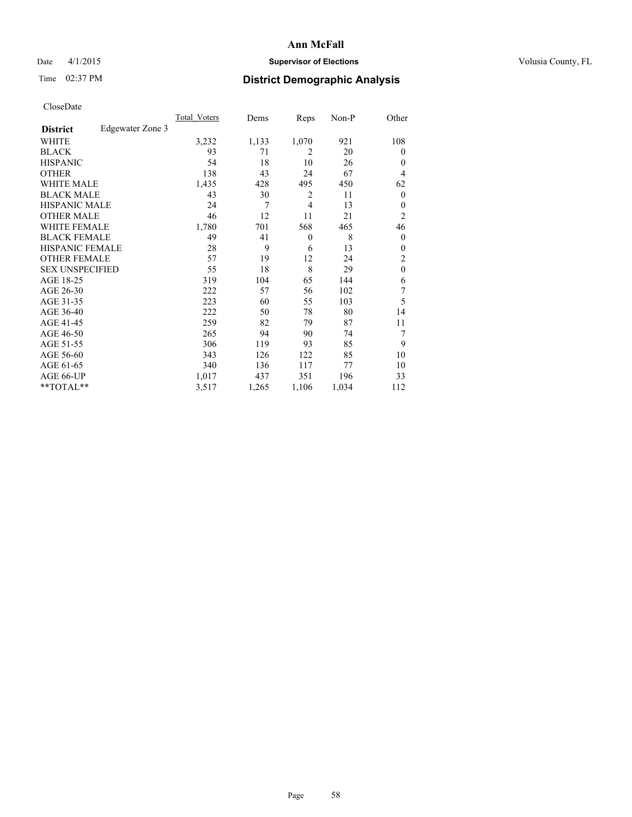## Date 4/1/2015 **Supervisor of Elections Supervisor of Elections** Volusia County, FL

## Time 02:37 PM **District Demographic Analysis**

|                        |                  | Total Voters | Dems  | Reps         | Non-P | Other            |
|------------------------|------------------|--------------|-------|--------------|-------|------------------|
| <b>District</b>        | Edgewater Zone 3 |              |       |              |       |                  |
| WHITE                  |                  | 3,232        | 1,133 | 1,070        | 921   | 108              |
| <b>BLACK</b>           |                  | 93           | 71    | 2            | 20    | $\theta$         |
| <b>HISPANIC</b>        |                  | 54           | 18    | 10           | 26    | $\theta$         |
| <b>OTHER</b>           |                  | 138          | 43    | 24           | 67    | 4                |
| WHITE MALE             |                  | 1,435        | 428   | 495          | 450   | 62               |
| <b>BLACK MALE</b>      |                  | 43           | 30    | 2            | 11    | $\boldsymbol{0}$ |
| <b>HISPANIC MALE</b>   |                  | 24           | 7     | 4            | 13    | $\theta$         |
| <b>OTHER MALE</b>      |                  | 46           | 12    | 11           | 21    | $\overline{c}$   |
| <b>WHITE FEMALE</b>    |                  | 1,780        | 701   | 568          | 465   | 46               |
| <b>BLACK FEMALE</b>    |                  | 49           | 41    | $\mathbf{0}$ | 8     | $\theta$         |
| <b>HISPANIC FEMALE</b> |                  | 28           | 9     | 6            | 13    | $\theta$         |
| <b>OTHER FEMALE</b>    |                  | 57           | 19    | 12           | 24    | 2                |
| <b>SEX UNSPECIFIED</b> |                  | 55           | 18    | 8            | 29    | $\mathbf{0}$     |
| AGE 18-25              |                  | 319          | 104   | 65           | 144   | 6                |
| AGE 26-30              |                  | 222          | 57    | 56           | 102   | 7                |
| AGE 31-35              |                  | 223          | 60    | 55           | 103   | 5                |
| AGE 36-40              |                  | 222          | 50    | 78           | 80    | 14               |
| AGE 41-45              |                  | 259          | 82    | 79           | 87    | 11               |
| AGE 46-50              |                  | 265          | 94    | 90           | 74    | 7                |
| AGE 51-55              |                  | 306          | 119   | 93           | 85    | 9                |
| AGE 56-60              |                  | 343          | 126   | 122          | 85    | 10               |
| AGE 61-65              |                  | 340          | 136   | 117          | 77    | 10               |
| AGE 66-UP              |                  | 1,017        | 437   | 351          | 196   | 33               |
| **TOTAL**              |                  | 3,517        | 1,265 | 1,106        | 1,034 | 112              |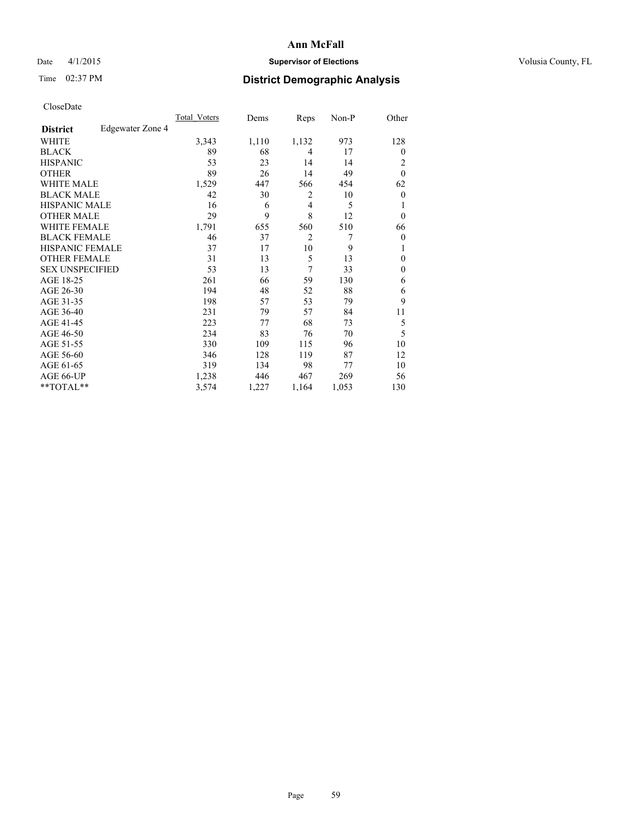## Date 4/1/2015 **Supervisor of Elections Supervisor of Elections** Volusia County, FL

| CloseDate |
|-----------|
|-----------|

|                                     | Total Voters | Dems  | Reps           | Non-P | Other            |
|-------------------------------------|--------------|-------|----------------|-------|------------------|
| Edgewater Zone 4<br><b>District</b> |              |       |                |       |                  |
| WHITE                               | 3,343        | 1,110 | 1,132          | 973   | 128              |
| <b>BLACK</b>                        | 89           | 68    | 4              | 17    | $\overline{0}$   |
| <b>HISPANIC</b>                     | 53           | 23    | 14             | 14    | $\overline{2}$   |
| <b>OTHER</b>                        | 89           | 26    | 14             | 49    | $\mathbf{0}$     |
| WHITE MALE                          | 1,529        | 447   | 566            | 454   | 62               |
| <b>BLACK MALE</b>                   | 42           | 30    | $\overline{c}$ | 10    | $\boldsymbol{0}$ |
| <b>HISPANIC MALE</b>                | 16           | 6     | $\overline{4}$ | 5     | 1                |
| <b>OTHER MALE</b>                   | 29           | 9     | 8              | 12    | $\theta$         |
| <b>WHITE FEMALE</b>                 | 1,791        | 655   | 560            | 510   | 66               |
| <b>BLACK FEMALE</b>                 | 46           | 37    | $\overline{2}$ | 7     | $\boldsymbol{0}$ |
| HISPANIC FEMALE                     | 37           | 17    | 10             | 9     | 1                |
| <b>OTHER FEMALE</b>                 | 31           | 13    | 5              | 13    | $\theta$         |
| <b>SEX UNSPECIFIED</b>              | 53           | 13    | 7              | 33    | $\boldsymbol{0}$ |
| AGE 18-25                           | 261          | 66    | 59             | 130   | 6                |
| AGE 26-30                           | 194          | 48    | 52             | 88    | 6                |
| AGE 31-35                           | 198          | 57    | 53             | 79    | 9                |
| AGE 36-40                           | 231          | 79    | 57             | 84    | 11               |
| AGE 41-45                           | 223          | 77    | 68             | 73    | 5                |
| AGE 46-50                           | 234          | 83    | 76             | 70    | 5                |
| AGE 51-55                           | 330          | 109   | 115            | 96    | 10               |
| AGE 56-60                           | 346          | 128   | 119            | 87    | 12               |
| AGE 61-65                           | 319          | 134   | 98             | 77    | 10               |
| AGE 66-UP                           | 1,238        | 446   | 467            | 269   | 56               |
| $*$ TOTAL $**$                      | 3,574        | 1,227 | 1,164          | 1,053 | 130              |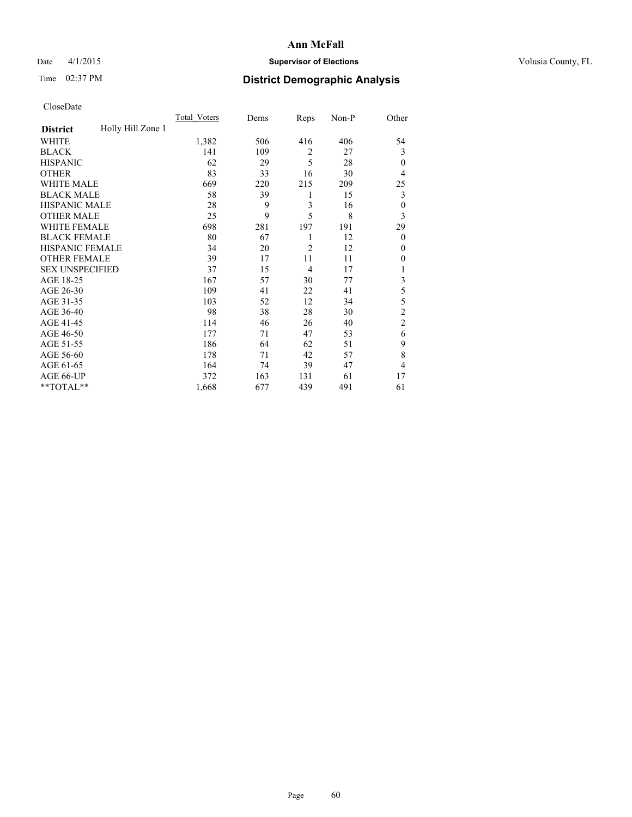## Date 4/1/2015 **Supervisor of Elections Supervisor of Elections** Volusia County, FL

## Time 02:37 PM **District Demographic Analysis**

|                        |                   | Total Voters | Dems | Reps           | Non-P | Other          |
|------------------------|-------------------|--------------|------|----------------|-------|----------------|
| <b>District</b>        | Holly Hill Zone 1 |              |      |                |       |                |
| WHITE                  |                   | 1,382        | 506  | 416            | 406   | 54             |
| <b>BLACK</b>           |                   | 141          | 109  | $\overline{2}$ | 27    | 3              |
| <b>HISPANIC</b>        |                   | 62           | 29   | 5              | 28    | $\theta$       |
| <b>OTHER</b>           |                   | 83           | 33   | 16             | 30    | 4              |
| WHITE MALE             |                   | 669          | 220  | 215            | 209   | 25             |
| <b>BLACK MALE</b>      |                   | 58           | 39   | 1              | 15    | 3              |
| <b>HISPANIC MALE</b>   |                   | 28           | 9    | 3              | 16    | $\mathbf{0}$   |
| <b>OTHER MALE</b>      |                   | 25           | 9    | 5              | 8     | 3              |
| WHITE FEMALE           |                   | 698          | 281  | 197            | 191   | 29             |
| <b>BLACK FEMALE</b>    |                   | 80           | 67   | 1              | 12    | $\theta$       |
| <b>HISPANIC FEMALE</b> |                   | 34           | 20   | $\overline{2}$ | 12    | $\theta$       |
| <b>OTHER FEMALE</b>    |                   | 39           | 17   | 11             | 11    | 0              |
| <b>SEX UNSPECIFIED</b> |                   | 37           | 15   | 4              | 17    | 1              |
| AGE 18-25              |                   | 167          | 57   | 30             | 77    | 3              |
| AGE 26-30              |                   | 109          | 41   | 22             | 41    | 5              |
| AGE 31-35              |                   | 103          | 52   | 12             | 34    | 5              |
| AGE 36-40              |                   | 98           | 38   | 28             | 30    | $\overline{c}$ |
| AGE 41-45              |                   | 114          | 46   | 26             | 40    | $\overline{c}$ |
| AGE 46-50              |                   | 177          | 71   | 47             | 53    | 6              |
| AGE 51-55              |                   | 186          | 64   | 62             | 51    | 9              |
| AGE 56-60              |                   | 178          | 71   | 42             | 57    | 8              |
| AGE 61-65              |                   | 164          | 74   | 39             | 47    | 4              |
| AGE 66-UP              |                   | 372          | 163  | 131            | 61    | 17             |
| **TOTAL**              |                   | 1,668        | 677  | 439            | 491   | 61             |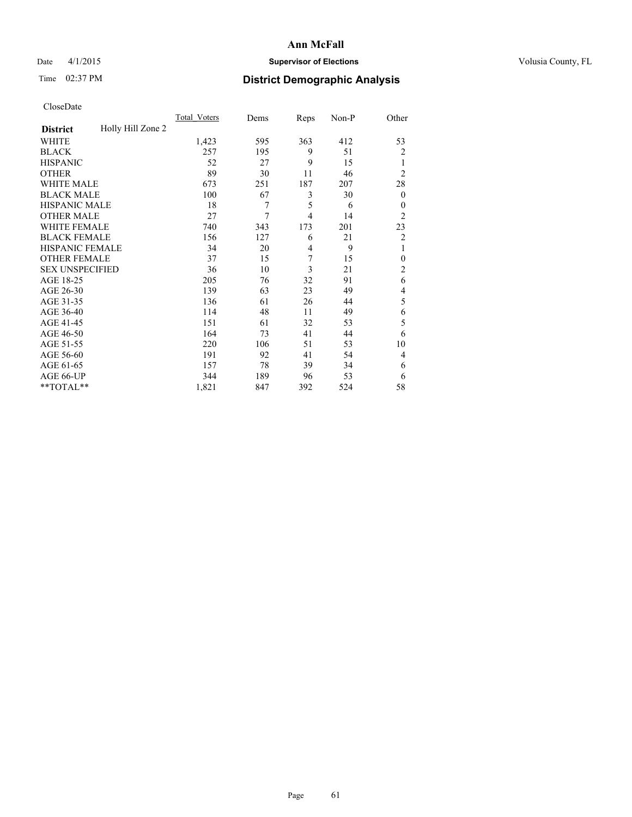## Date 4/1/2015 **Supervisor of Elections Supervisor of Elections** Volusia County, FL

## Time 02:37 PM **District Demographic Analysis**

|                        |                   | Total Voters | Dems | Reps           | Non-P | Other            |
|------------------------|-------------------|--------------|------|----------------|-------|------------------|
| <b>District</b>        | Holly Hill Zone 2 |              |      |                |       |                  |
| WHITE                  |                   | 1,423        | 595  | 363            | 412   | 53               |
| <b>BLACK</b>           |                   | 257          | 195  | 9              | 51    | $\overline{c}$   |
| <b>HISPANIC</b>        |                   | 52           | 27   | 9              | 15    | 1                |
| <b>OTHER</b>           |                   | 89           | 30   | 11             | 46    | $\overline{2}$   |
| <b>WHITE MALE</b>      |                   | 673          | 251  | 187            | 207   | 28               |
| <b>BLACK MALE</b>      |                   | 100          | 67   | 3              | 30    | $\boldsymbol{0}$ |
| <b>HISPANIC MALE</b>   |                   | 18           | 7    | 5              | 6     | $\theta$         |
| <b>OTHER MALE</b>      |                   | 27           | 7    | 4              | 14    | $\overline{2}$   |
| WHITE FEMALE           |                   | 740          | 343  | 173            | 201   | 23               |
| <b>BLACK FEMALE</b>    |                   | 156          | 127  | 6              | 21    | $\overline{c}$   |
| <b>HISPANIC FEMALE</b> |                   | 34           | 20   | $\overline{4}$ | 9     | 1                |
| <b>OTHER FEMALE</b>    |                   | 37           | 15   | 7              | 15    | $\theta$         |
| <b>SEX UNSPECIFIED</b> |                   | 36           | 10   | 3              | 21    | $\overline{2}$   |
| AGE 18-25              |                   | 205          | 76   | 32             | 91    | 6                |
| AGE 26-30              |                   | 139          | 63   | 23             | 49    | 4                |
| AGE 31-35              |                   | 136          | 61   | 26             | 44    | 5                |
| AGE 36-40              |                   | 114          | 48   | 11             | 49    | 6                |
| AGE 41-45              |                   | 151          | 61   | 32             | 53    | 5                |
| AGE 46-50              |                   | 164          | 73   | 41             | 44    | 6                |
| AGE 51-55              |                   | 220          | 106  | 51             | 53    | 10               |
| AGE 56-60              |                   | 191          | 92   | 41             | 54    | 4                |
| AGE 61-65              |                   | 157          | 78   | 39             | 34    | 6                |
| AGE 66-UP              |                   | 344          | 189  | 96             | 53    | 6                |
| **TOTAL**              |                   | 1,821        | 847  | 392            | 524   | 58               |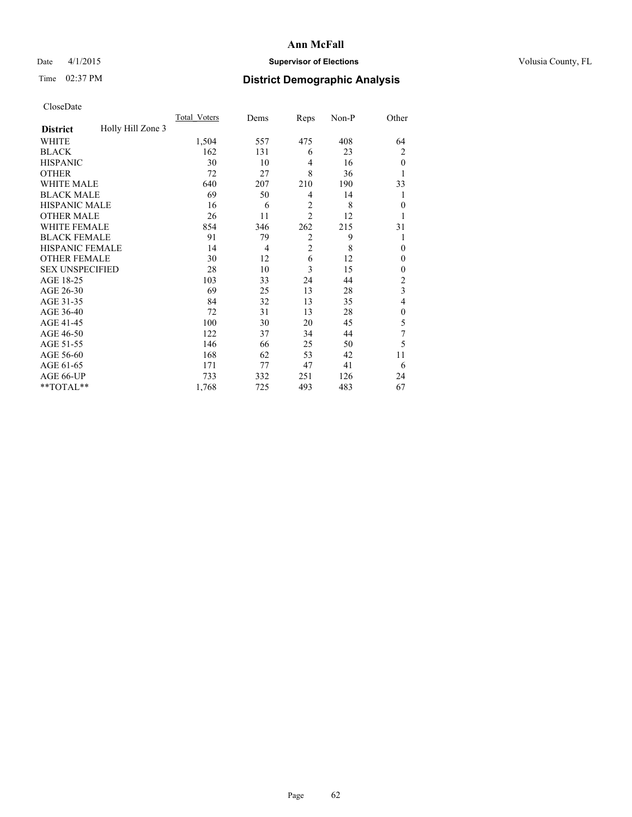## Date 4/1/2015 **Supervisor of Elections Supervisor of Elections** Volusia County, FL

## Time 02:37 PM **District Demographic Analysis**

|                        |                   | Total Voters | Dems           | Reps           | Non-P | Other          |
|------------------------|-------------------|--------------|----------------|----------------|-------|----------------|
| <b>District</b>        | Holly Hill Zone 3 |              |                |                |       |                |
| WHITE                  |                   | 1,504        | 557            | 475            | 408   | 64             |
| <b>BLACK</b>           |                   | 162          | 131            | 6              | 23    | 2              |
| <b>HISPANIC</b>        |                   | 30           | 10             | $\overline{4}$ | 16    | $\theta$       |
| <b>OTHER</b>           |                   | 72           | 27             | 8              | 36    |                |
| WHITE MALE             |                   | 640          | 207            | 210            | 190   | 33             |
| <b>BLACK MALE</b>      |                   | 69           | 50             | 4              | 14    | 1              |
| <b>HISPANIC MALE</b>   |                   | 16           | 6              | $\overline{2}$ | 8     | $\mathbf{0}$   |
| <b>OTHER MALE</b>      |                   | 26           | 11             | $\overline{2}$ | 12    | 1              |
| WHITE FEMALE           |                   | 854          | 346            | 262            | 215   | 31             |
| <b>BLACK FEMALE</b>    |                   | 91           | 79             | $\overline{2}$ | 9     | 1              |
| <b>HISPANIC FEMALE</b> |                   | 14           | $\overline{4}$ | $\overline{2}$ | 8     | $\theta$       |
| <b>OTHER FEMALE</b>    |                   | 30           | 12             | 6              | 12    | $\theta$       |
| <b>SEX UNSPECIFIED</b> |                   | 28           | 10             | 3              | 15    | $\mathbf{0}$   |
| AGE 18-25              |                   | 103          | 33             | 24             | 44    | $\overline{c}$ |
| AGE 26-30              |                   | 69           | 25             | 13             | 28    | 3              |
| AGE 31-35              |                   | 84           | 32             | 13             | 35    | 4              |
| AGE 36-40              |                   | 72           | 31             | 13             | 28    | $\mathbf{0}$   |
| AGE 41-45              |                   | 100          | 30             | 20             | 45    | 5              |
| AGE 46-50              |                   | 122          | 37             | 34             | 44    | 7              |
| AGE 51-55              |                   | 146          | 66             | 25             | 50    | 5              |
| AGE 56-60              |                   | 168          | 62             | 53             | 42    | 11             |
| AGE 61-65              |                   | 171          | 77             | 47             | 41    | 6              |
| AGE 66-UP              |                   | 733          | 332            | 251            | 126   | 24             |
| **TOTAL**              |                   | 1,768        | 725            | 493            | 483   | 67             |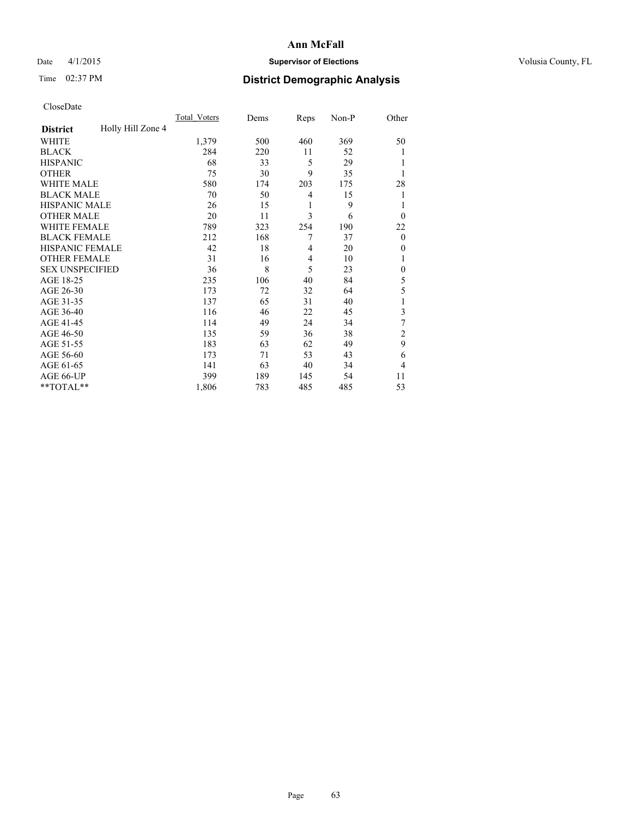## Date 4/1/2015 **Supervisor of Elections Supervisor of Elections** Volusia County, FL

## Time 02:37 PM **District Demographic Analysis**

|                        |                   | Total Voters | Dems | Reps           | Non-P | Other          |
|------------------------|-------------------|--------------|------|----------------|-------|----------------|
| <b>District</b>        | Holly Hill Zone 4 |              |      |                |       |                |
| WHITE                  |                   | 1,379        | 500  | 460            | 369   | 50             |
| <b>BLACK</b>           |                   | 284          | 220  | 11             | 52    |                |
| <b>HISPANIC</b>        |                   | 68           | 33   | 5              | 29    |                |
| <b>OTHER</b>           |                   | 75           | 30   | 9              | 35    |                |
| WHITE MALE             |                   | 580          | 174  | 203            | 175   | 28             |
| <b>BLACK MALE</b>      |                   | 70           | 50   | 4              | 15    | 1              |
| <b>HISPANIC MALE</b>   |                   | 26           | 15   | 1              | 9     | 1              |
| <b>OTHER MALE</b>      |                   | 20           | 11   | 3              | 6     | $\Omega$       |
| WHITE FEMALE           |                   | 789          | 323  | 254            | 190   | 22             |
| <b>BLACK FEMALE</b>    |                   | 212          | 168  | 7              | 37    | $\mathbf{0}$   |
| <b>HISPANIC FEMALE</b> |                   | 42           | 18   | $\overline{4}$ | 20    | $\Omega$       |
| <b>OTHER FEMALE</b>    |                   | 31           | 16   | $\overline{4}$ | 10    |                |
| <b>SEX UNSPECIFIED</b> |                   | 36           | 8    | 5              | 23    | $\theta$       |
| AGE 18-25              |                   | 235          | 106  | 40             | 84    | 5              |
| AGE 26-30              |                   | 173          | 72   | 32             | 64    | 5              |
| AGE 31-35              |                   | 137          | 65   | 31             | 40    |                |
| AGE 36-40              |                   | 116          | 46   | 22             | 45    | 3              |
| AGE 41-45              |                   | 114          | 49   | 24             | 34    | 7              |
| AGE 46-50              |                   | 135          | 59   | 36             | 38    | 2              |
| AGE 51-55              |                   | 183          | 63   | 62             | 49    | 9              |
| AGE 56-60              |                   | 173          | 71   | 53             | 43    | 6              |
| AGE 61-65              |                   | 141          | 63   | 40             | 34    | $\overline{4}$ |
| AGE 66-UP              |                   | 399          | 189  | 145            | 54    | 11             |
| **TOTAL**              |                   | 1,806        | 783  | 485            | 485   | 53             |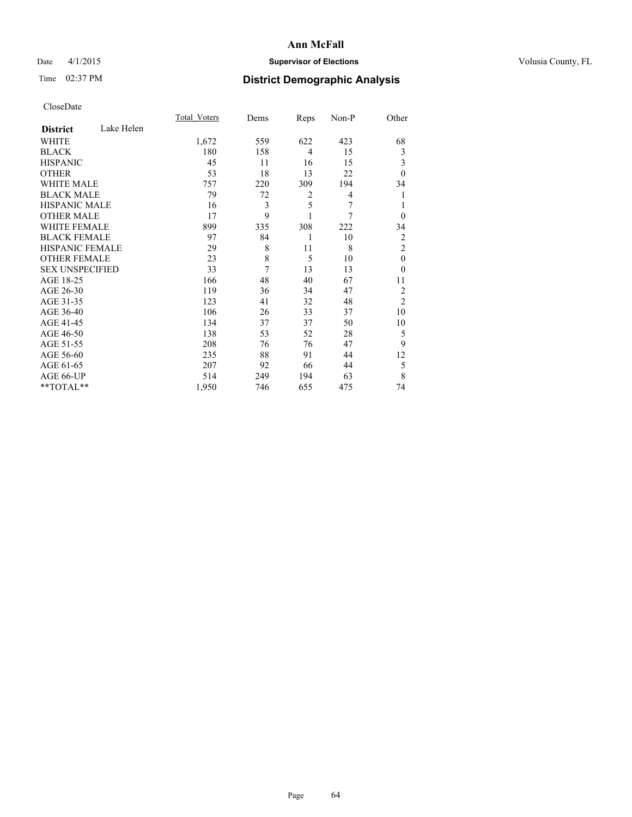## Date 4/1/2015 **Supervisor of Elections Supervisor of Elections** Volusia County, FL

## Time 02:37 PM **District Demographic Analysis**

|                        |            | <b>Total Voters</b> | Dems | Reps           | Non-P | Other          |
|------------------------|------------|---------------------|------|----------------|-------|----------------|
| <b>District</b>        | Lake Helen |                     |      |                |       |                |
| WHITE                  |            | 1,672               | 559  | 622            | 423   | 68             |
| <b>BLACK</b>           |            | 180                 | 158  | $\overline{4}$ | 15    | 3              |
| <b>HISPANIC</b>        |            | 45                  | 11   | 16             | 15    | 3              |
| <b>OTHER</b>           |            | 53                  | 18   | 13             | 22    | $\theta$       |
| WHITE MALE             |            | 757                 | 220  | 309            | 194   | 34             |
| <b>BLACK MALE</b>      |            | 79                  | 72   | 2              | 4     | 1              |
| <b>HISPANIC MALE</b>   |            | 16                  | 3    | 5              | 7     | 1              |
| <b>OTHER MALE</b>      |            | 17                  | 9    | 1              | 7     | $\mathbf{0}$   |
| WHITE FEMALE           |            | 899                 | 335  | 308            | 222   | 34             |
| <b>BLACK FEMALE</b>    |            | 97                  | 84   | 1              | 10    | $\overline{c}$ |
| <b>HISPANIC FEMALE</b> |            | 29                  | 8    | 11             | 8     | $\overline{c}$ |
| <b>OTHER FEMALE</b>    |            | 23                  | 8    | 5              | 10    | $\theta$       |
| <b>SEX UNSPECIFIED</b> |            | 33                  | 7    | 13             | 13    | $\theta$       |
| AGE 18-25              |            | 166                 | 48   | 40             | 67    | 11             |
| AGE 26-30              |            | 119                 | 36   | 34             | 47    | $\overline{2}$ |
| AGE 31-35              |            | 123                 | 41   | 32             | 48    | $\overline{2}$ |
| AGE 36-40              |            | 106                 | 26   | 33             | 37    | 10             |
| AGE 41-45              |            | 134                 | 37   | 37             | 50    | 10             |
| AGE 46-50              |            | 138                 | 53   | 52             | 28    | 5              |
| AGE 51-55              |            | 208                 | 76   | 76             | 47    | 9              |
| AGE 56-60              |            | 235                 | 88   | 91             | 44    | 12             |
| AGE 61-65              |            | 207                 | 92   | 66             | 44    | 5              |
| AGE 66-UP              |            | 514                 | 249  | 194            | 63    | 8              |
| **TOTAL**              |            | 1,950               | 746  | 655            | 475   | 74             |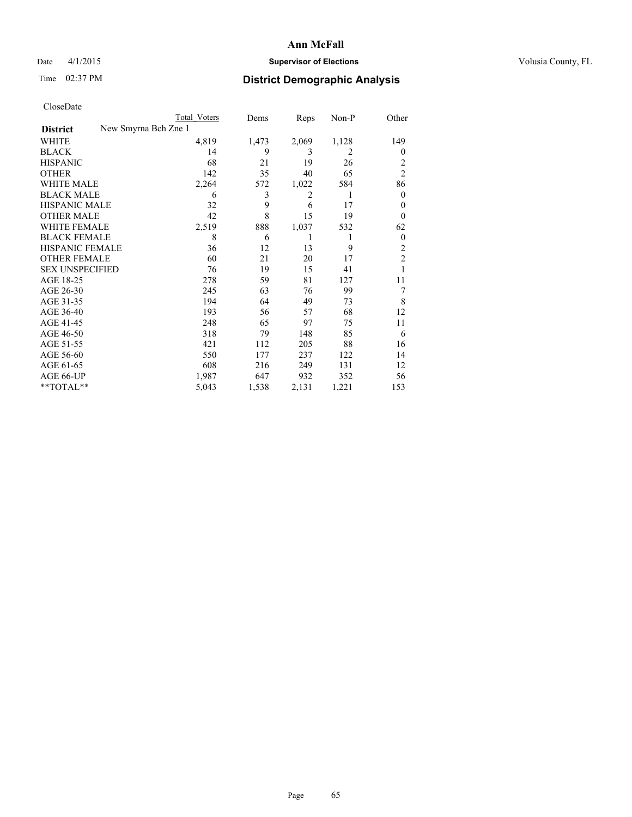## Date 4/1/2015 **Supervisor of Elections Supervisor of Elections** Volusia County, FL

| <b>Total Voters</b>  | Dems  | Reps  | $Non-P$        | Other          |
|----------------------|-------|-------|----------------|----------------|
| New Smyrna Bch Zne 1 |       |       |                |                |
| 4,819                | 1,473 | 2,069 | 1,128          | 149            |
| 14                   | 9     | 3     | $\overline{2}$ | $\theta$       |
| 68                   | 21    | 19    | 26             | $\overline{c}$ |
| 142                  | 35    | 40    | 65             | $\overline{c}$ |
| 2,264                | 572   | 1,022 | 584            | 86             |
| 6                    | 3     | 2     | 1              | 0              |
| 32                   | 9     | 6     | 17             | $\theta$       |
| 42                   | 8     | 15    | 19             | $\Omega$       |
|                      | 888   | 1,037 | 532            | 62             |
| 8                    | 6     | 1     | 1              | $\mathbf{0}$   |
| 36                   | 12    | 13    | 9              | $\overline{c}$ |
| 60                   | 21    | 20    | 17             | $\overline{c}$ |
| 76                   | 19    | 15    | 41             | 1              |
| 278                  | 59    | 81    | 127            | 11             |
| 245                  | 63    | 76    | 99             | 7              |
| 194                  | 64    | 49    | 73             | 8              |
| 193                  | 56    | 57    | 68             | 12             |
| 248                  | 65    | 97    | 75             | 11             |
| 318                  | 79    | 148   | 85             | 6              |
| 421                  | 112   | 205   | 88             | 16             |
| 550                  | 177   | 237   | 122            | 14             |
| 608                  | 216   | 249   | 131            | 12             |
| 1,987                | 647   | 932   | 352            | 56             |
| 5,043                | 1,538 | 2,131 | 1,221          | 153            |
|                      | 2,519 |       |                |                |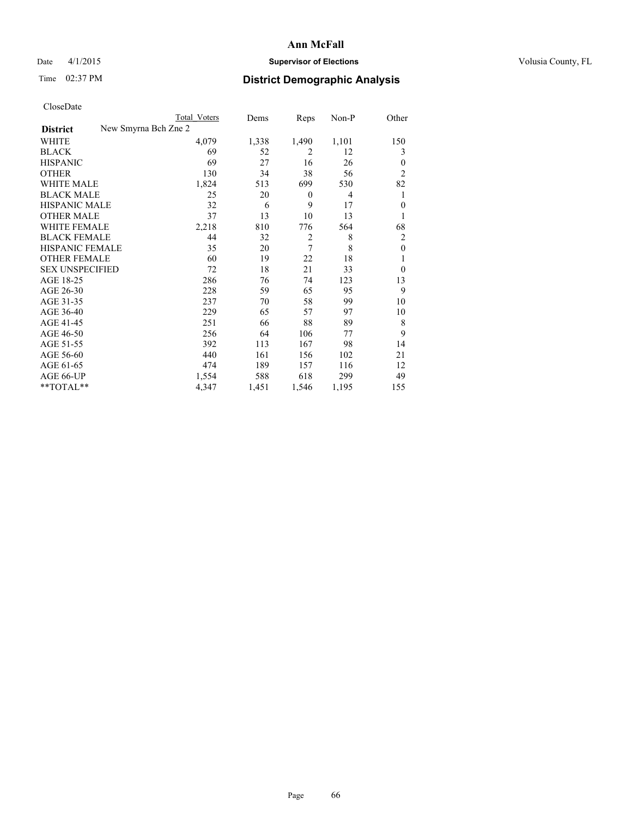## Date 4/1/2015 **Supervisor of Elections Supervisor of Elections** Volusia County, FL

| CloseDate |
|-----------|
|-----------|

| Total Voters | Dems                 | Reps             | $Non-P$        | Other          |
|--------------|----------------------|------------------|----------------|----------------|
|              |                      |                  |                |                |
| 4,079        | 1,338                | 1,490            | 1,101          | 150            |
| 69           | 52                   | 2                | 12             | 3              |
| 69           | 27                   | 16               | 26             | $\theta$       |
| 130          | 34                   | 38               | 56             | $\overline{c}$ |
| 1,824        | 513                  | 699              | 530            | 82             |
| 25           | 20                   | $\boldsymbol{0}$ | $\overline{4}$ | 1              |
| 32           | 6                    | 9                | 17             | $\theta$       |
| 37           | 13                   | 10               | 13             | 1              |
| 2,218        | 810                  | 776              | 564            | 68             |
| 44           | 32                   | $\overline{c}$   | 8              | $\overline{c}$ |
| 35           | 20                   | 7                | 8              | $\mathbf{0}$   |
| 60           | 19                   | 22               | 18             | 1              |
| 72           | 18                   | 21               | 33             | $\theta$       |
| 286          | 76                   | 74               | 123            | 13             |
| 228          | 59                   | 65               | 95             | 9              |
| 237          | 70                   | 58               | 99             | 10             |
| 229          | 65                   | 57               | 97             | 10             |
| 251          | 66                   | 88               | 89             | 8              |
| 256          | 64                   | 106              | 77             | 9              |
| 392          | 113                  | 167              | 98             | 14             |
| 440          | 161                  | 156              | 102            | 21             |
| 474          | 189                  | 157              | 116            | 12             |
| 1,554        | 588                  | 618              | 299            | 49             |
| 4,347        | 1,451                | 1,546            | 1,195          | 155            |
|              | New Smyrna Bch Zne 2 |                  |                |                |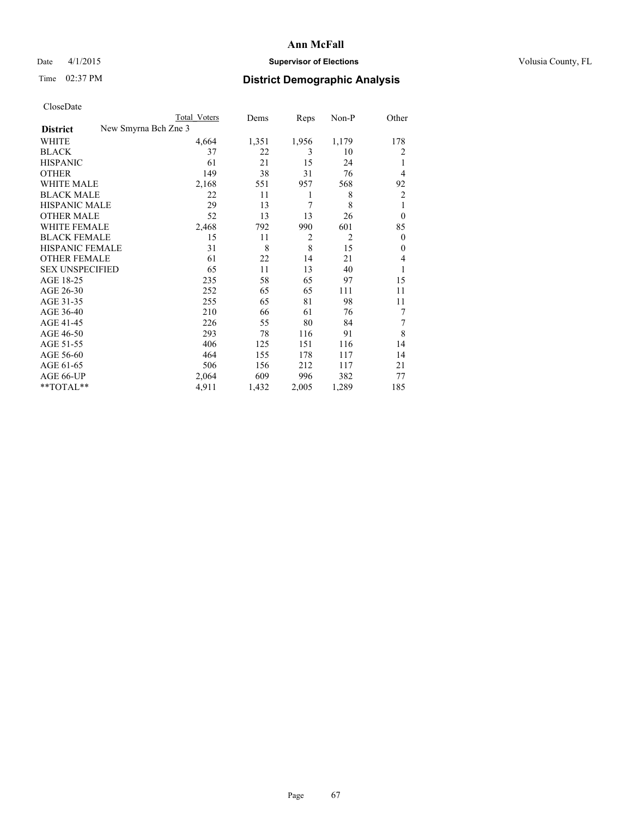## Date 4/1/2015 **Supervisor of Elections Supervisor of Elections** Volusia County, FL

|                                         | <b>Total Voters</b> | Dems  | Reps           | Non-P          | Other            |
|-----------------------------------------|---------------------|-------|----------------|----------------|------------------|
| New Smyrna Bch Zne 3<br><b>District</b> |                     |       |                |                |                  |
| <b>WHITE</b>                            | 4,664               | 1,351 | 1,956          | 1,179          | 178              |
| <b>BLACK</b>                            | 37                  | 22    | 3              | 10             | 2                |
| <b>HISPANIC</b>                         | 61                  | 21    | 15             | 24             | 1                |
| <b>OTHER</b>                            | 149                 | 38    | 31             | 76             | 4                |
| <b>WHITE MALE</b>                       | 2,168               | 551   | 957            | 568            | 92               |
| <b>BLACK MALE</b>                       | 22                  | 11    | 1              | 8              | 2                |
| <b>HISPANIC MALE</b>                    | 29                  | 13    | 7              | 8              | 1                |
| <b>OTHER MALE</b>                       | 52                  | 13    | 13             | 26             | $\theta$         |
| <b>WHITE FEMALE</b>                     | 2,468               | 792   | 990            | 601            | 85               |
| <b>BLACK FEMALE</b>                     | 15                  | 11    | $\overline{2}$ | $\overline{2}$ | $\theta$         |
| HISPANIC FEMALE                         | 31                  | 8     | 8              | 15             | $\boldsymbol{0}$ |
| <b>OTHER FEMALE</b>                     | 61                  | 22    | 14             | 21             | 4                |
| <b>SEX UNSPECIFIED</b>                  | 65                  | 11    | 13             | 40             | 1                |
| AGE 18-25                               | 235                 | 58    | 65             | 97             | 15               |
| AGE 26-30                               | 252                 | 65    | 65             | 111            | 11               |
| AGE 31-35                               | 255                 | 65    | 81             | 98             | 11               |
| AGE 36-40                               | 210                 | 66    | 61             | 76             | 7                |
| AGE 41-45                               | 226                 | 55    | 80             | 84             | 7                |
| AGE 46-50                               | 293                 | 78    | 116            | 91             | 8                |
| AGE 51-55                               | 406                 | 125   | 151            | 116            | 14               |
| AGE 56-60                               | 464                 | 155   | 178            | 117            | 14               |
| AGE 61-65                               | 506                 | 156   | 212            | 117            | 21               |
| AGE 66-UP                               | 2,064               | 609   | 996            | 382            | 77               |
| **TOTAL**                               | 4,911               | 1,432 | 2,005          | 1,289          | 185              |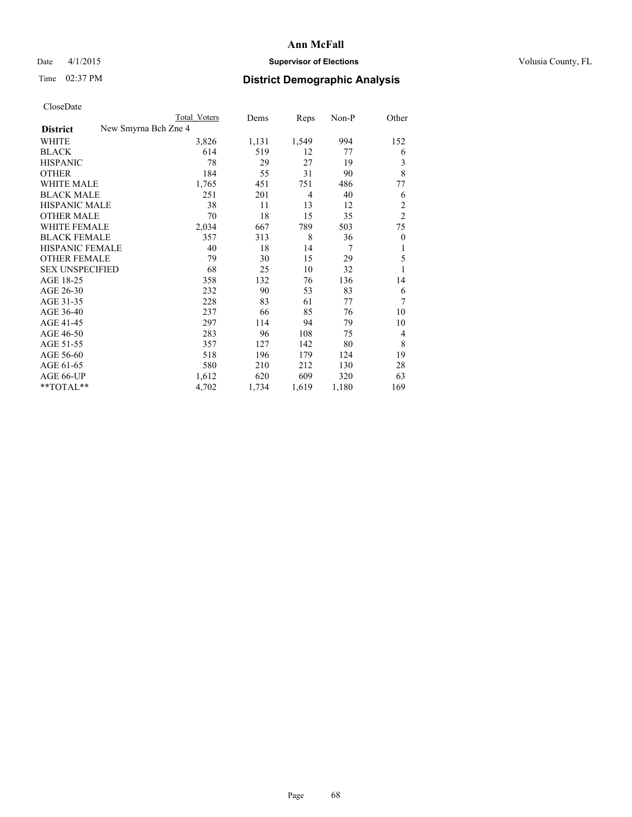## Date 4/1/2015 **Supervisor of Elections Supervisor of Elections** Volusia County, FL

|                        |                      | <b>Total Voters</b> | Dems  | Reps           | $Non-P$ | Other          |
|------------------------|----------------------|---------------------|-------|----------------|---------|----------------|
| <b>District</b>        | New Smyrna Bch Zne 4 |                     |       |                |         |                |
| <b>WHITE</b>           |                      | 3,826               | 1,131 | 1,549          | 994     | 152            |
| <b>BLACK</b>           |                      | 614                 | 519   | 12             | 77      | 6              |
| <b>HISPANIC</b>        |                      | 78                  | 29    | 27             | 19      | 3              |
| <b>OTHER</b>           |                      | 184                 | 55    | 31             | 90      | 8              |
| <b>WHITE MALE</b>      |                      | 1,765               | 451   | 751            | 486     | 77             |
| <b>BLACK MALE</b>      |                      | 251                 | 201   | $\overline{4}$ | 40      | 6              |
| <b>HISPANIC MALE</b>   |                      | 38                  | 11    | 13             | 12      | $\overline{c}$ |
| <b>OTHER MALE</b>      |                      | 70                  | 18    | 15             | 35      | $\overline{2}$ |
| <b>WHITE FEMALE</b>    |                      | 2,034               | 667   | 789            | 503     | 75             |
| <b>BLACK FEMALE</b>    |                      | 357                 | 313   | 8              | 36      | $\theta$       |
| HISPANIC FEMALE        |                      | 40                  | 18    | 14             | 7       | 1              |
| <b>OTHER FEMALE</b>    |                      | 79                  | 30    | 15             | 29      | 5              |
| <b>SEX UNSPECIFIED</b> |                      | 68                  | 25    | 10             | 32      | 1              |
| AGE 18-25              |                      | 358                 | 132   | 76             | 136     | 14             |
| AGE 26-30              |                      | 232                 | 90    | 53             | 83      | 6              |
| AGE 31-35              |                      | 228                 | 83    | 61             | 77      | 7              |
| AGE 36-40              |                      | 237                 | 66    | 85             | 76      | 10             |
| AGE 41-45              |                      | 297                 | 114   | 94             | 79      | 10             |
| AGE 46-50              |                      | 283                 | 96    | 108            | 75      | 4              |
| AGE 51-55              |                      | 357                 | 127   | 142            | 80      | 8              |
| AGE 56-60              |                      | 518                 | 196   | 179            | 124     | 19             |
| AGE 61-65              |                      | 580                 | 210   | 212            | 130     | 28             |
| AGE 66-UP              |                      | 1,612               | 620   | 609            | 320     | 63             |
| **TOTAL**              |                      | 4,702               | 1,734 | 1,619          | 1,180   | 169            |
|                        |                      |                     |       |                |         |                |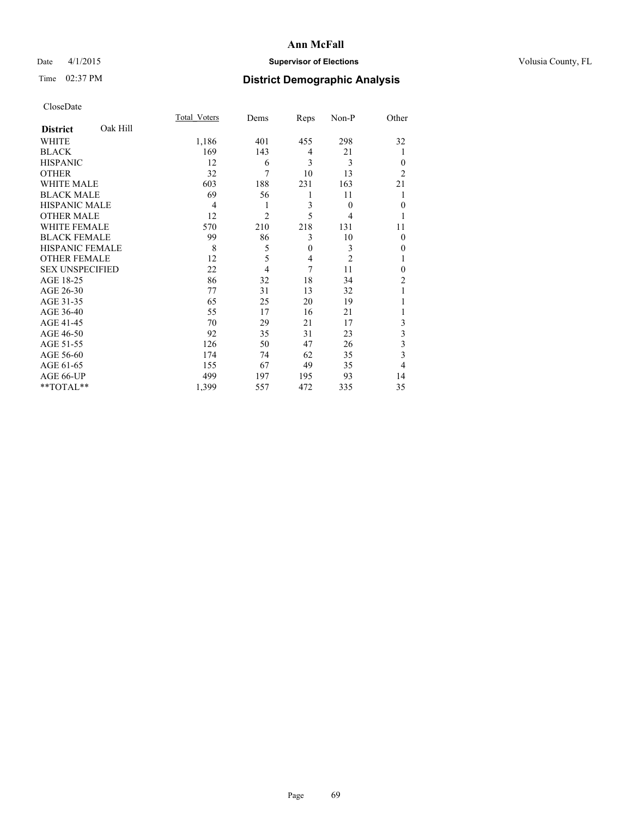## Date 4/1/2015 **Supervisor of Elections Supervisor of Elections** Volusia County, FL

## Time 02:37 PM **District Demographic Analysis**

|                        |          | Total Voters   | Dems           | Reps         | Non-P          | Other          |
|------------------------|----------|----------------|----------------|--------------|----------------|----------------|
| <b>District</b>        | Oak Hill |                |                |              |                |                |
| <b>WHITE</b>           |          | 1,186          | 401            | 455          | 298            | 32             |
| <b>BLACK</b>           |          | 169            | 143            | 4            | 21             | 1              |
| <b>HISPANIC</b>        |          | 12             | 6              | 3            | 3              | $\theta$       |
| <b>OTHER</b>           |          | 32             | 7              | 10           | 13             | $\overline{2}$ |
| WHITE MALE             |          | 603            | 188            | 231          | 163            | 21             |
| <b>BLACK MALE</b>      |          | 69             | 56             | 1            | 11             |                |
| <b>HISPANIC MALE</b>   |          | $\overline{4}$ | 1              | 3            | $\theta$       | $\mathbf{0}$   |
| <b>OTHER MALE</b>      |          | 12             | $\overline{c}$ | 5            | 4              | 1              |
| <b>WHITE FEMALE</b>    |          | 570            | 210            | 218          | 131            | 11             |
| <b>BLACK FEMALE</b>    |          | 99             | 86             | 3            | 10             | $\theta$       |
| <b>HISPANIC FEMALE</b> |          | 8              | 5              | $\mathbf{0}$ | 3              | 0              |
| <b>OTHER FEMALE</b>    |          | 12             | 5              | 4            | $\overline{c}$ |                |
| <b>SEX UNSPECIFIED</b> |          | 22             | $\overline{4}$ | 7            | 11             | $\theta$       |
| AGE 18-25              |          | 86             | 32             | 18           | 34             | $\overline{c}$ |
| AGE 26-30              |          | 77             | 31             | 13           | 32             |                |
| AGE 31-35              |          | 65             | 25             | 20           | 19             |                |
| AGE 36-40              |          | 55             | 17             | 16           | 21             |                |
| AGE 41-45              |          | 70             | 29             | 21           | 17             | 3              |
| AGE 46-50              |          | 92             | 35             | 31           | 23             | 3              |
| AGE 51-55              |          | 126            | 50             | 47           | 26             | 3              |
| AGE 56-60              |          | 174            | 74             | 62           | 35             | 3              |
| AGE 61-65              |          | 155            | 67             | 49           | 35             | 4              |
| AGE 66-UP              |          | 499            | 197            | 195          | 93             | 14             |
| **TOTAL**              |          | 1,399          | 557            | 472          | 335            | 35             |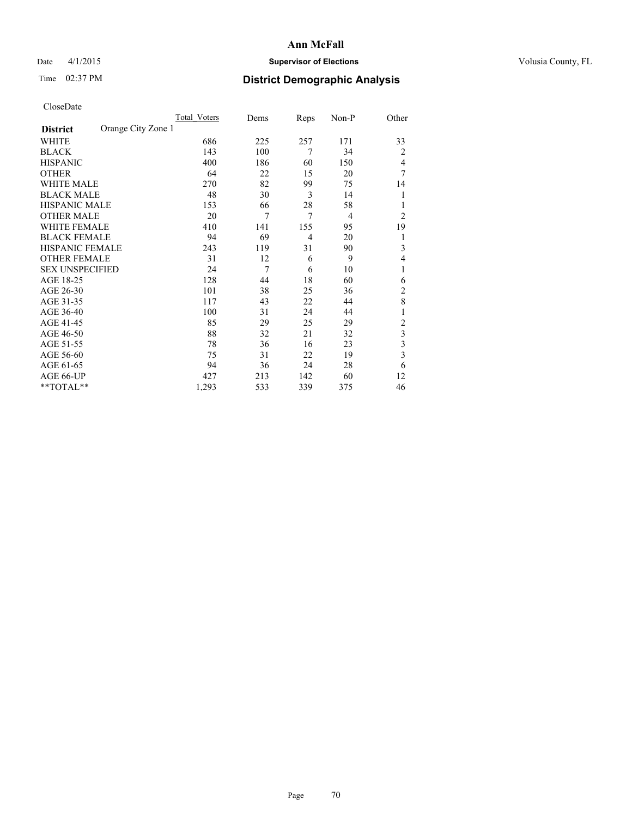## Date 4/1/2015 **Supervisor of Elections Supervisor of Elections** Volusia County, FL

## Time 02:37 PM **District Demographic Analysis**

|                        |                    | <b>Total Voters</b> | Dems | Reps | Non-P          | Other          |
|------------------------|--------------------|---------------------|------|------|----------------|----------------|
| <b>District</b>        | Orange City Zone 1 |                     |      |      |                |                |
| WHITE                  |                    | 686                 | 225  | 257  | 171            | 33             |
| <b>BLACK</b>           |                    | 143                 | 100  | 7    | 34             | $\overline{2}$ |
| <b>HISPANIC</b>        |                    | 400                 | 186  | 60   | 150            | 4              |
| <b>OTHER</b>           |                    | 64                  | 22   | 15   | 20             | 7              |
| WHITE MALE             |                    | 270                 | 82   | 99   | 75             | 14             |
| <b>BLACK MALE</b>      |                    | 48                  | 30   | 3    | 14             | 1              |
| <b>HISPANIC MALE</b>   |                    | 153                 | 66   | 28   | 58             |                |
| <b>OTHER MALE</b>      |                    | 20                  | 7    | 7    | $\overline{4}$ | $\overline{2}$ |
| WHITE FEMALE           |                    | 410                 | 141  | 155  | 95             | 19             |
| <b>BLACK FEMALE</b>    |                    | 94                  | 69   | 4    | 20             | 1              |
| HISPANIC FEMALE        |                    | 243                 | 119  | 31   | 90             | 3              |
| <b>OTHER FEMALE</b>    |                    | 31                  | 12   | 6    | 9              | 4              |
| <b>SEX UNSPECIFIED</b> |                    | 24                  | 7    | 6    | 10             | 1              |
| AGE 18-25              |                    | 128                 | 44   | 18   | 60             | 6              |
| AGE 26-30              |                    | 101                 | 38   | 25   | 36             | $\overline{2}$ |
| AGE 31-35              |                    | 117                 | 43   | 22   | 44             | 8              |
| AGE 36-40              |                    | 100                 | 31   | 24   | 44             | 1              |
| AGE 41-45              |                    | 85                  | 29   | 25   | 29             | $\overline{c}$ |
| AGE 46-50              |                    | 88                  | 32   | 21   | 32             | 3              |
| AGE 51-55              |                    | 78                  | 36   | 16   | 23             | 3              |
| AGE 56-60              |                    | 75                  | 31   | 22   | 19             | 3              |
| AGE 61-65              |                    | 94                  | 36   | 24   | 28             | 6              |
| AGE 66-UP              |                    | 427                 | 213  | 142  | 60             | 12             |
| **TOTAL**              |                    | 1,293               | 533  | 339  | 375            | 46             |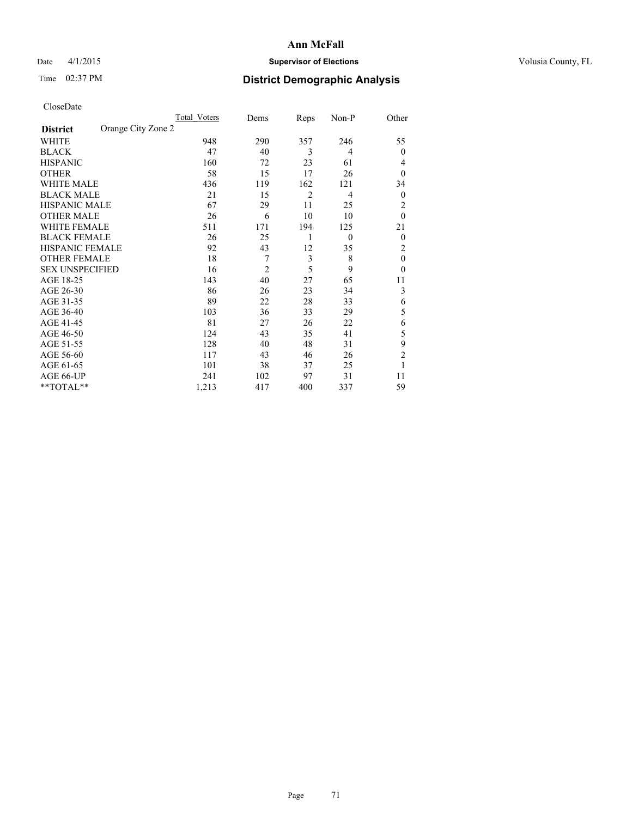## Date 4/1/2015 **Supervisor of Elections Supervisor of Elections** Volusia County, FL

## Time 02:37 PM **District Demographic Analysis**

|                        |                    | <b>Total Voters</b> | Dems           | Reps           | Non-P          | Other          |
|------------------------|--------------------|---------------------|----------------|----------------|----------------|----------------|
| <b>District</b>        | Orange City Zone 2 |                     |                |                |                |                |
| WHITE                  |                    | 948                 | 290            | 357            | 246            | 55             |
| <b>BLACK</b>           |                    | 47                  | 40             | 3              | 4              | $\theta$       |
| <b>HISPANIC</b>        |                    | 160                 | 72             | 23             | 61             | 4              |
| <b>OTHER</b>           |                    | 58                  | 15             | 17             | 26             | $\theta$       |
| WHITE MALE             |                    | 436                 | 119            | 162            | 121            | 34             |
| <b>BLACK MALE</b>      |                    | 21                  | 15             | $\overline{2}$ | $\overline{4}$ | $\theta$       |
| <b>HISPANIC MALE</b>   |                    | 67                  | 29             | 11             | 25             | 2              |
| <b>OTHER MALE</b>      |                    | 26                  | 6              | 10             | 10             | $\mathbf{0}$   |
| WHITE FEMALE           |                    | 511                 | 171            | 194            | 125            | 21             |
| <b>BLACK FEMALE</b>    |                    | 26                  | 25             | 1              | $\mathbf{0}$   | $\theta$       |
| <b>HISPANIC FEMALE</b> |                    | 92                  | 43             | 12             | 35             | 2              |
| <b>OTHER FEMALE</b>    |                    | 18                  | 7              | 3              | 8              | $\theta$       |
| <b>SEX UNSPECIFIED</b> |                    | 16                  | $\overline{c}$ | 5              | 9              | $\theta$       |
| AGE 18-25              |                    | 143                 | 40             | 27             | 65             | 11             |
| AGE 26-30              |                    | 86                  | 26             | 23             | 34             | 3              |
| AGE 31-35              |                    | 89                  | 22             | 28             | 33             | 6              |
| AGE 36-40              |                    | 103                 | 36             | 33             | 29             | 5              |
| AGE 41-45              |                    | 81                  | 27             | 26             | 22             | 6              |
| AGE 46-50              |                    | 124                 | 43             | 35             | 41             | 5              |
| AGE 51-55              |                    | 128                 | 40             | 48             | 31             | 9              |
| AGE 56-60              |                    | 117                 | 43             | 46             | 26             | $\overline{2}$ |
| AGE 61-65              |                    | 101                 | 38             | 37             | 25             | 1              |
| AGE 66-UP              |                    | 241                 | 102            | 97             | 31             | 11             |
| **TOTAL**              |                    | 1,213               | 417            | 400            | 337            | 59             |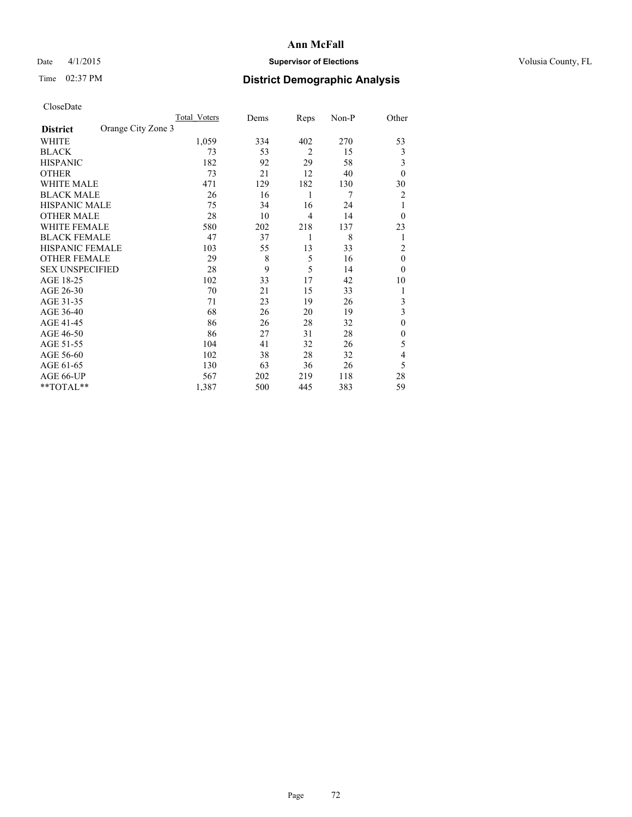## Date 4/1/2015 **Supervisor of Elections Supervisor of Elections** Volusia County, FL

## Time 02:37 PM **District Demographic Analysis**

|                        |                    | <b>Total Voters</b> | Dems | Reps           | Non-P | Other          |
|------------------------|--------------------|---------------------|------|----------------|-------|----------------|
| <b>District</b>        | Orange City Zone 3 |                     |      |                |       |                |
| WHITE                  |                    | 1,059               | 334  | 402            | 270   | 53             |
| <b>BLACK</b>           |                    | 73                  | 53   | $\overline{2}$ | 15    | 3              |
| <b>HISPANIC</b>        |                    | 182                 | 92   | 29             | 58    | 3              |
| <b>OTHER</b>           |                    | 73                  | 21   | 12             | 40    | $\theta$       |
| WHITE MALE             |                    | 471                 | 129  | 182            | 130   | 30             |
| <b>BLACK MALE</b>      |                    | 26                  | 16   | 1              | 7     | 2              |
| <b>HISPANIC MALE</b>   |                    | 75                  | 34   | 16             | 24    | 1              |
| <b>OTHER MALE</b>      |                    | 28                  | 10   | $\overline{4}$ | 14    | $\theta$       |
| WHITE FEMALE           |                    | 580                 | 202  | 218            | 137   | 23             |
| <b>BLACK FEMALE</b>    |                    | 47                  | 37   | 1              | 8     | 1              |
| <b>HISPANIC FEMALE</b> |                    | 103                 | 55   | 13             | 33    | $\overline{c}$ |
| <b>OTHER FEMALE</b>    |                    | 29                  | 8    | 5              | 16    | $\theta$       |
| <b>SEX UNSPECIFIED</b> |                    | 28                  | 9    | 5              | 14    | $\theta$       |
| AGE 18-25              |                    | 102                 | 33   | 17             | 42    | 10             |
| AGE 26-30              |                    | 70                  | 21   | 15             | 33    | 1              |
| AGE 31-35              |                    | 71                  | 23   | 19             | 26    | 3              |
| AGE 36-40              |                    | 68                  | 26   | 20             | 19    | 3              |
| AGE 41-45              |                    | 86                  | 26   | 28             | 32    | $\theta$       |
| AGE 46-50              |                    | 86                  | 27   | 31             | 28    | $\theta$       |
| AGE 51-55              |                    | 104                 | 41   | 32             | 26    | 5              |
| AGE 56-60              |                    | 102                 | 38   | 28             | 32    | 4              |
| AGE 61-65              |                    | 130                 | 63   | 36             | 26    | 5              |
| AGE 66-UP              |                    | 567                 | 202  | 219            | 118   | 28             |
| **TOTAL**              |                    | 1,387               | 500  | 445            | 383   | 59             |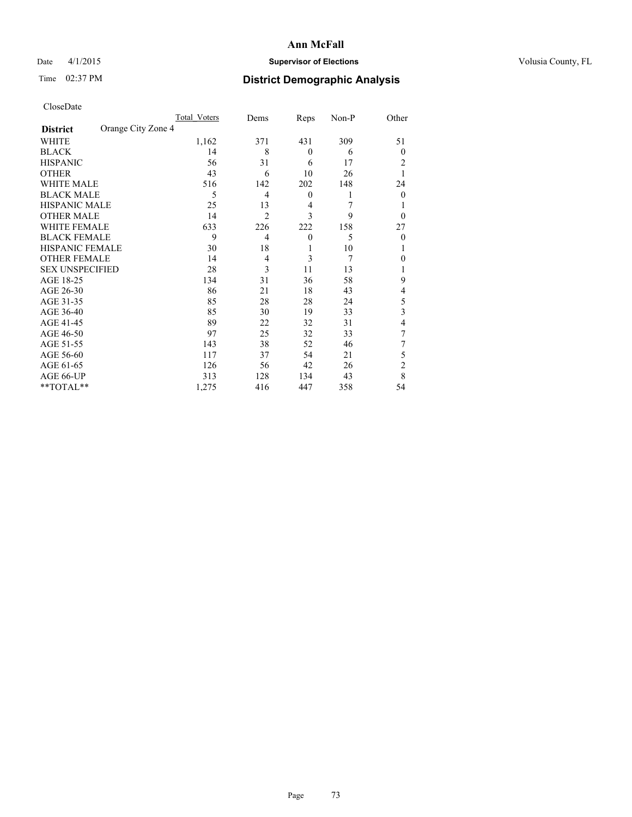## Date 4/1/2015 **Supervisor of Elections Supervisor of Elections** Volusia County, FL

# Time 02:37 PM **District Demographic Analysis**

| CloseDate |
|-----------|
|-----------|

|                        |                    | Total Voters | Dems           | Reps             | $Non-P$ | Other          |
|------------------------|--------------------|--------------|----------------|------------------|---------|----------------|
| <b>District</b>        | Orange City Zone 4 |              |                |                  |         |                |
| WHITE                  |                    | 1,162        | 371            | 431              | 309     | 51             |
| <b>BLACK</b>           |                    | 14           | 8              | $\mathbf{0}$     | 6       | 0              |
| <b>HISPANIC</b>        |                    | 56           | 31             | 6                | 17      | 2              |
| <b>OTHER</b>           |                    | 43           | 6              | 10               | 26      | 1              |
| WHITE MALE             |                    | 516          | 142            | 202              | 148     | 24             |
| <b>BLACK MALE</b>      |                    | 5            | $\overline{4}$ | $\boldsymbol{0}$ | 1       | $\Omega$       |
| <b>HISPANIC MALE</b>   |                    | 25           | 13             | 4                | 7       |                |
| <b>OTHER MALE</b>      |                    | 14           | $\overline{2}$ | 3                | 9       | $\theta$       |
| <b>WHITE FEMALE</b>    |                    | 633          | 226            | 222              | 158     | 27             |
| <b>BLACK FEMALE</b>    |                    | 9            | $\overline{4}$ | $\boldsymbol{0}$ | 5       | $\theta$       |
| HISPANIC FEMALE        |                    | 30           | 18             | 1                | 10      | 1              |
| <b>OTHER FEMALE</b>    |                    | 14           | $\overline{4}$ | 3                | 7       | 0              |
| <b>SEX UNSPECIFIED</b> |                    | 28           | 3              | 11               | 13      | l              |
| AGE 18-25              |                    | 134          | 31             | 36               | 58      | 9              |
| AGE 26-30              |                    | 86           | 21             | 18               | 43      | 4              |
| AGE 31-35              |                    | 85           | 28             | 28               | 24      | 5              |
| AGE 36-40              |                    | 85           | 30             | 19               | 33      | 3              |
| AGE 41-45              |                    | 89           | 22             | 32               | 31      | 4              |
| AGE 46-50              |                    | 97           | 25             | 32               | 33      | 7              |
| AGE 51-55              |                    | 143          | 38             | 52               | 46      |                |
| AGE 56-60              |                    | 117          | 37             | 54               | 21      | 5              |
| AGE 61-65              |                    | 126          | 56             | 42               | 26      | $\overline{2}$ |
| AGE 66-UP              |                    | 313          | 128            | 134              | 43      | 8              |
| **TOTAL**              |                    | 1,275        | 416            | 447              | 358     | 54             |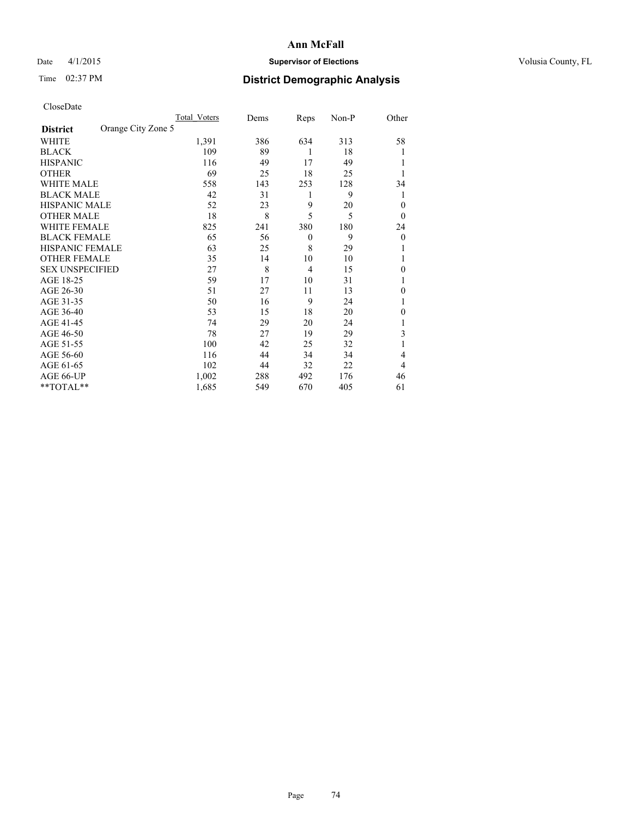## Date 4/1/2015 **Supervisor of Elections Supervisor of Elections** Volusia County, FL

## Time 02:37 PM **District Demographic Analysis**

|                        |                    | <b>Total Voters</b> | Dems | Reps           | Non-P | Other        |
|------------------------|--------------------|---------------------|------|----------------|-------|--------------|
| <b>District</b>        | Orange City Zone 5 |                     |      |                |       |              |
| WHITE                  |                    | 1,391               | 386  | 634            | 313   | 58           |
| <b>BLACK</b>           |                    | 109                 | 89   | 1              | 18    |              |
| <b>HISPANIC</b>        |                    | 116                 | 49   | 17             | 49    |              |
| <b>OTHER</b>           |                    | 69                  | 25   | 18             | 25    |              |
| WHITE MALE             |                    | 558                 | 143  | 253            | 128   | 34           |
| <b>BLACK MALE</b>      |                    | 42                  | 31   | 1              | 9     | 1            |
| <b>HISPANIC MALE</b>   |                    | 52                  | 23   | 9              | 20    | $\theta$     |
| <b>OTHER MALE</b>      |                    | 18                  | 8    | 5              | 5     | $\theta$     |
| <b>WHITE FEMALE</b>    |                    | 825                 | 241  | 380            | 180   | 24           |
| <b>BLACK FEMALE</b>    |                    | 65                  | 56   | $\theta$       | 9     | $\theta$     |
| <b>HISPANIC FEMALE</b> |                    | 63                  | 25   | 8              | 29    |              |
| <b>OTHER FEMALE</b>    |                    | 35                  | 14   | 10             | 10    |              |
| <b>SEX UNSPECIFIED</b> |                    | 27                  | 8    | $\overline{4}$ | 15    | $\theta$     |
| AGE 18-25              |                    | 59                  | 17   | 10             | 31    |              |
| AGE 26-30              |                    | 51                  | 27   | 11             | 13    | $\mathbf{0}$ |
| AGE 31-35              |                    | 50                  | 16   | 9              | 24    |              |
| AGE 36-40              |                    | 53                  | 15   | 18             | 20    | 0            |
| AGE 41-45              |                    | 74                  | 29   | 20             | 24    |              |
| AGE 46-50              |                    | 78                  | 27   | 19             | 29    | 3            |
| AGE 51-55              |                    | 100                 | 42   | 25             | 32    | 1            |
| AGE 56-60              |                    | 116                 | 44   | 34             | 34    | 4            |
| AGE 61-65              |                    | 102                 | 44   | 32             | 22    | 4            |
| AGE 66-UP              |                    | 1,002               | 288  | 492            | 176   | 46           |
| **TOTAL**              |                    | 1,685               | 549  | 670            | 405   | 61           |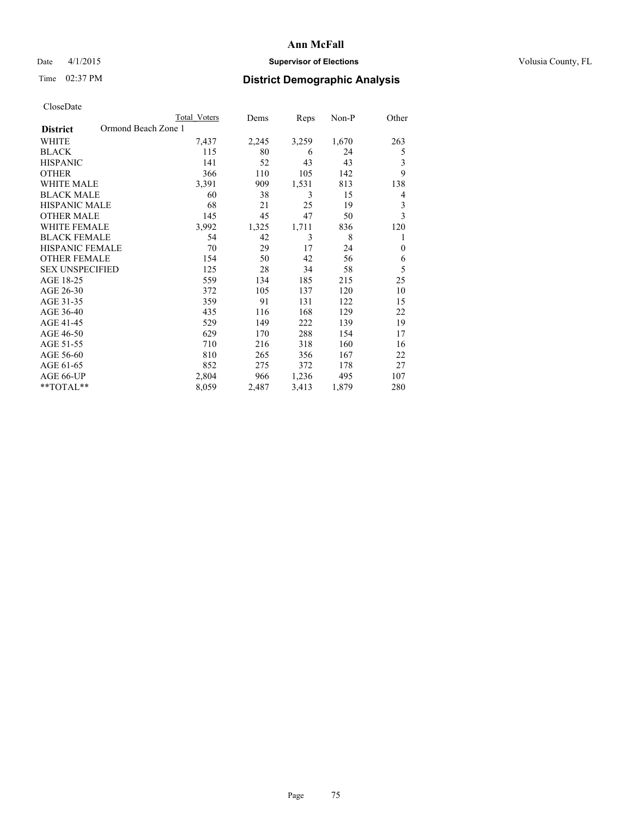## Date 4/1/2015 **Supervisor of Elections Supervisor of Elections** Volusia County, FL

## Time 02:37 PM **District Demographic Analysis**

|                                        | <b>Total Voters</b> | Dems  | Reps  | Non-P | Other        |
|----------------------------------------|---------------------|-------|-------|-------|--------------|
| Ormond Beach Zone 1<br><b>District</b> |                     |       |       |       |              |
| WHITE                                  | 7,437               | 2,245 | 3,259 | 1,670 | 263          |
| <b>BLACK</b>                           | 115                 | 80    | 6     | 24    | 5            |
| <b>HISPANIC</b>                        | 141                 | 52    | 43    | 43    | 3            |
| <b>OTHER</b>                           | 366                 | 110   | 105   | 142   | 9            |
| <b>WHITE MALE</b>                      | 3,391               | 909   | 1,531 | 813   | 138          |
| <b>BLACK MALE</b>                      | 60                  | 38    | 3     | 15    | 4            |
| <b>HISPANIC MALE</b>                   | 68                  | 21    | 25    | 19    | 3            |
| <b>OTHER MALE</b>                      | 145                 | 45    | 47    | 50    | 3            |
| <b>WHITE FEMALE</b>                    | 3,992               | 1,325 | 1,711 | 836   | 120          |
| <b>BLACK FEMALE</b>                    | 54                  | 42    | 3     | 8     | 1            |
| <b>HISPANIC FEMALE</b>                 | 70                  | 29    | 17    | 24    | $\mathbf{0}$ |
| <b>OTHER FEMALE</b>                    | 154                 | 50    | 42    | 56    | 6            |
| <b>SEX UNSPECIFIED</b>                 | 125                 | 28    | 34    | 58    | 5            |
| AGE 18-25                              | 559                 | 134   | 185   | 215   | 25           |
| AGE 26-30                              | 372                 | 105   | 137   | 120   | 10           |
| AGE 31-35                              | 359                 | 91    | 131   | 122   | 15           |
| AGE 36-40                              | 435                 | 116   | 168   | 129   | 22           |
| AGE 41-45                              | 529                 | 149   | 222   | 139   | 19           |
| AGE 46-50                              | 629                 | 170   | 288   | 154   | 17           |
| AGE 51-55                              | 710                 | 216   | 318   | 160   | 16           |
| AGE 56-60                              | 810                 | 265   | 356   | 167   | 22           |
| AGE 61-65                              | 852                 | 275   | 372   | 178   | 27           |
| AGE 66-UP                              | 2,804               | 966   | 1,236 | 495   | 107          |
| **TOTAL**                              | 8,059               | 2,487 | 3,413 | 1,879 | 280          |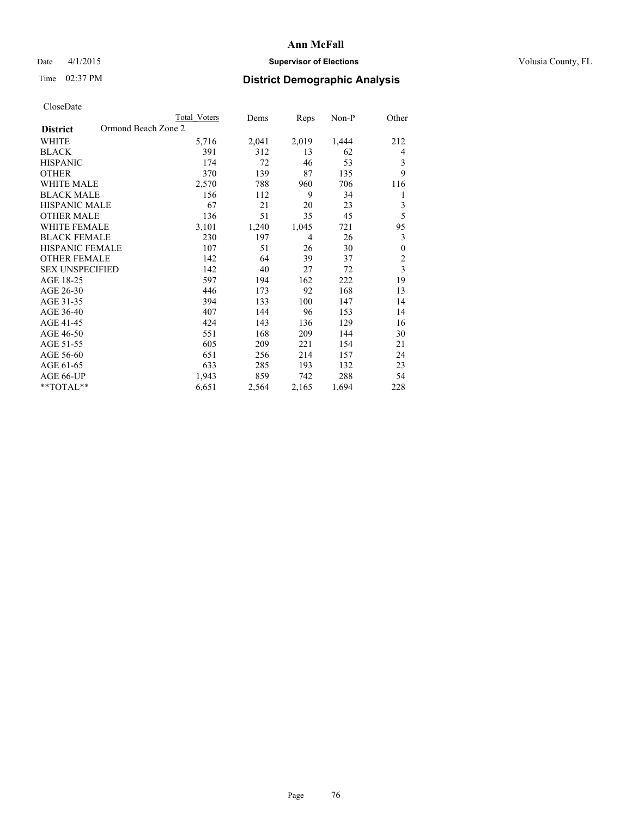## Date 4/1/2015 **Supervisor of Elections Supervisor of Elections** Volusia County, FL

## Time 02:37 PM **District Demographic Analysis**

|                                        | <b>Total Voters</b> | Dems  | Reps  | Non-P | Other                   |
|----------------------------------------|---------------------|-------|-------|-------|-------------------------|
| Ormond Beach Zone 2<br><b>District</b> |                     |       |       |       |                         |
| WHITE                                  | 5,716               | 2,041 | 2,019 | 1,444 | 212                     |
| <b>BLACK</b>                           | 391                 | 312   | 13    | 62    | 4                       |
| <b>HISPANIC</b>                        | 174                 | 72    | 46    | 53    | 3                       |
| <b>OTHER</b>                           | 370                 | 139   | 87    | 135   | 9                       |
| <b>WHITE MALE</b>                      | 2,570               | 788   | 960   | 706   | 116                     |
| <b>BLACK MALE</b>                      | 156                 | 112   | 9     | 34    | 1                       |
| HISPANIC MALE                          | 67                  | 21    | 20    | 23    | 3                       |
| <b>OTHER MALE</b>                      | 136                 | 51    | 35    | 45    | 5                       |
| <b>WHITE FEMALE</b>                    | 3,101               | 1,240 | 1,045 | 721   | 95                      |
| <b>BLACK FEMALE</b>                    | 230                 | 197   | 4     | 26    | 3                       |
| <b>HISPANIC FEMALE</b>                 | 107                 | 51    | 26    | 30    | $\boldsymbol{0}$        |
| <b>OTHER FEMALE</b>                    | 142                 | 64    | 39    | 37    | $\overline{c}$          |
| <b>SEX UNSPECIFIED</b>                 | 142                 | 40    | 27    | 72    | $\overline{\mathbf{3}}$ |
| AGE 18-25                              | 597                 | 194   | 162   | 222   | 19                      |
| AGE 26-30                              | 446                 | 173   | 92    | 168   | 13                      |
| AGE 31-35                              | 394                 | 133   | 100   | 147   | 14                      |
| AGE 36-40                              | 407                 | 144   | 96    | 153   | 14                      |
| AGE 41-45                              | 424                 | 143   | 136   | 129   | 16                      |
| AGE 46-50                              | 551                 | 168   | 209   | 144   | 30                      |
| AGE 51-55                              | 605                 | 209   | 221   | 154   | 21                      |
| AGE 56-60                              | 651                 | 256   | 214   | 157   | 24                      |
| AGE 61-65                              | 633                 | 285   | 193   | 132   | 23                      |
| AGE 66-UP                              | 1,943               | 859   | 742   | 288   | 54                      |
| **TOTAL**                              | 6,651               | 2,564 | 2,165 | 1,694 | 228                     |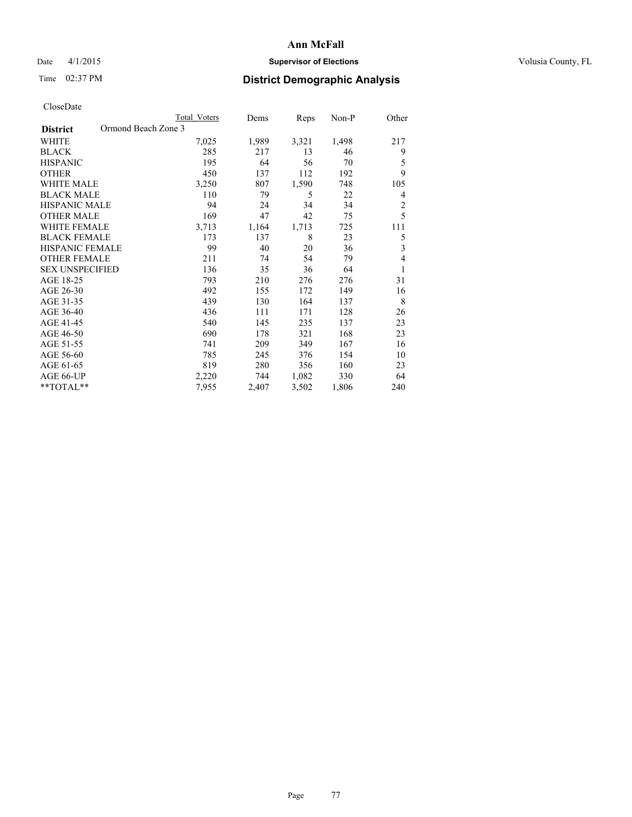## Date 4/1/2015 **Supervisor of Elections Supervisor of Elections** Volusia County, FL

## Time 02:37 PM **District Demographic Analysis**

|                                        | <b>Total Voters</b> | Dems  | Reps  | Non-P | Other                   |
|----------------------------------------|---------------------|-------|-------|-------|-------------------------|
| Ormond Beach Zone 3<br><b>District</b> |                     |       |       |       |                         |
| WHITE                                  | 7,025               | 1,989 | 3,321 | 1,498 | 217                     |
| <b>BLACK</b>                           | 285                 | 217   | 13    | 46    | 9                       |
| <b>HISPANIC</b>                        | 195                 | 64    | 56    | 70    | 5                       |
| <b>OTHER</b>                           | 450                 | 137   | 112   | 192   | 9                       |
| WHITE MALE                             | 3,250               | 807   | 1,590 | 748   | 105                     |
| <b>BLACK MALE</b>                      | 110                 | 79    | 5     | 22    | 4                       |
| HISPANIC MALE                          | 94                  | 24    | 34    | 34    | $\overline{c}$          |
| <b>OTHER MALE</b>                      | 169                 | 47    | 42    | 75    | 5                       |
| <b>WHITE FEMALE</b>                    | 3,713               | 1,164 | 1,713 | 725   | 111                     |
| <b>BLACK FEMALE</b>                    | 173                 | 137   | 8     | 23    | 5                       |
| <b>HISPANIC FEMALE</b>                 | 99                  | 40    | 20    | 36    | $\overline{\mathbf{3}}$ |
| <b>OTHER FEMALE</b>                    | 211                 | 74    | 54    | 79    | 4                       |
| <b>SEX UNSPECIFIED</b>                 | 136                 | 35    | 36    | 64    | 1                       |
| AGE 18-25                              | 793                 | 210   | 276   | 276   | 31                      |
| AGE 26-30                              | 492                 | 155   | 172   | 149   | 16                      |
| AGE 31-35                              | 439                 | 130   | 164   | 137   | 8                       |
| AGE 36-40                              | 436                 | 111   | 171   | 128   | 26                      |
| AGE 41-45                              | 540                 | 145   | 235   | 137   | 23                      |
| AGE 46-50                              | 690                 | 178   | 321   | 168   | 23                      |
| AGE 51-55                              | 741                 | 209   | 349   | 167   | 16                      |
| AGE 56-60                              | 785                 | 245   | 376   | 154   | 10                      |
| AGE 61-65                              | 819                 | 280   | 356   | 160   | 23                      |
| AGE 66-UP                              | 2,220               | 744   | 1,082 | 330   | 64                      |
| **TOTAL**                              | 7,955               | 2,407 | 3,502 | 1,806 | 240                     |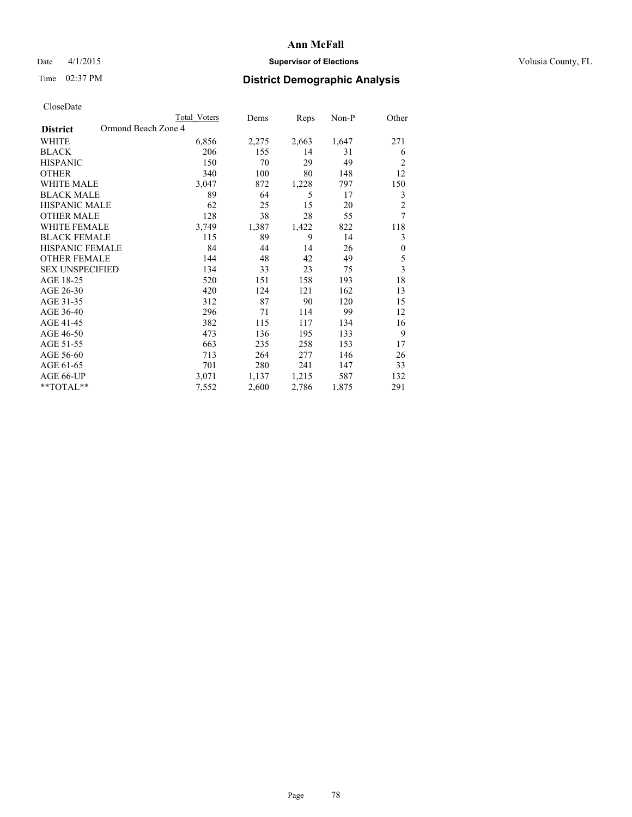## Date 4/1/2015 **Supervisor of Elections Supervisor of Elections** Volusia County, FL

## Time 02:37 PM **District Demographic Analysis**

|                                        | <b>Total Voters</b> | Dems  | Reps  | Non-P | Other          |
|----------------------------------------|---------------------|-------|-------|-------|----------------|
| Ormond Beach Zone 4<br><b>District</b> |                     |       |       |       |                |
| WHITE                                  | 6,856               | 2,275 | 2,663 | 1,647 | 271            |
| <b>BLACK</b>                           | 206                 | 155   | 14    | 31    | 6              |
| <b>HISPANIC</b>                        | 150                 | 70    | 29    | 49    | 2              |
| <b>OTHER</b>                           | 340                 | 100   | 80    | 148   | 12             |
| <b>WHITE MALE</b>                      | 3,047               | 872   | 1,228 | 797   | 150            |
| <b>BLACK MALE</b>                      | 89                  | 64    | 5     | 17    | 3              |
| <b>HISPANIC MALE</b>                   | 62                  | 25    | 15    | 20    | $\overline{2}$ |
| <b>OTHER MALE</b>                      | 128                 | 38    | 28    | 55    | 7              |
| <b>WHITE FEMALE</b>                    | 3,749               | 1,387 | 1,422 | 822   | 118            |
| <b>BLACK FEMALE</b>                    | 115                 | 89    | 9     | 14    | 3              |
| <b>HISPANIC FEMALE</b>                 | 84                  | 44    | 14    | 26    | $\mathbf{0}$   |
| <b>OTHER FEMALE</b>                    | 144                 | 48    | 42    | 49    | 5              |
| <b>SEX UNSPECIFIED</b>                 | 134                 | 33    | 23    | 75    | 3              |
| AGE 18-25                              | 520                 | 151   | 158   | 193   | 18             |
| AGE 26-30                              | 420                 | 124   | 121   | 162   | 13             |
| AGE 31-35                              | 312                 | 87    | 90    | 120   | 15             |
| AGE 36-40                              | 296                 | 71    | 114   | 99    | 12             |
| AGE 41-45                              | 382                 | 115   | 117   | 134   | 16             |
| AGE 46-50                              | 473                 | 136   | 195   | 133   | 9              |
| AGE 51-55                              | 663                 | 235   | 258   | 153   | 17             |
| AGE 56-60                              | 713                 | 264   | 277   | 146   | 26             |
| AGE 61-65                              | 701                 | 280   | 241   | 147   | 33             |
| AGE 66-UP                              | 3,071               | 1,137 | 1,215 | 587   | 132            |
| **TOTAL**                              | 7,552               | 2,600 | 2,786 | 1,875 | 291            |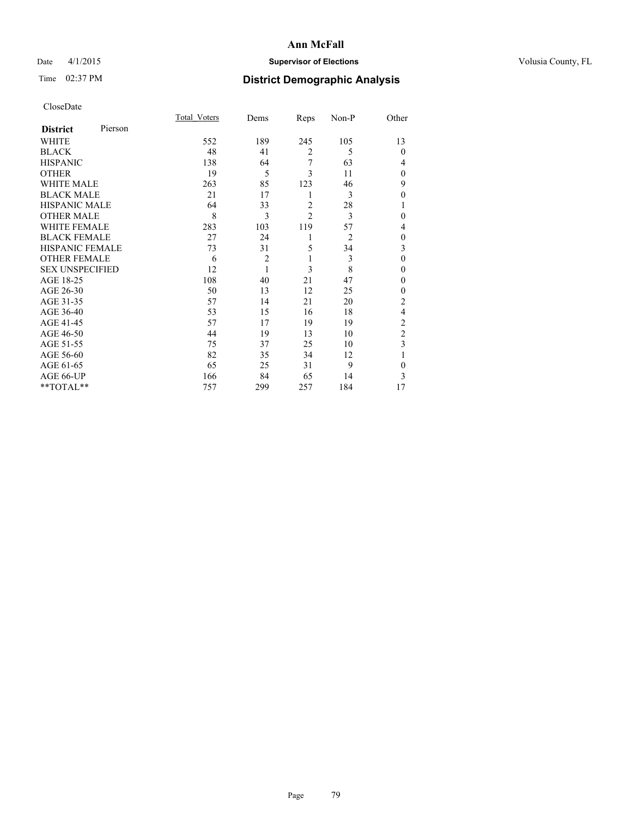## Date 4/1/2015 **Supervisor of Elections Supervisor of Elections** Volusia County, FL

## Time 02:37 PM **District Demographic Analysis**

| CloseDate |
|-----------|
|-----------|

|                        |         | <b>Total Voters</b> | Dems           | Reps           | Non-P          | Other          |
|------------------------|---------|---------------------|----------------|----------------|----------------|----------------|
| <b>District</b>        | Pierson |                     |                |                |                |                |
| <b>WHITE</b>           |         | 552                 | 189            | 245            | 105            | 13             |
| <b>BLACK</b>           |         | 48                  | 41             | $\overline{2}$ | 5              | $\Omega$       |
| <b>HISPANIC</b>        |         | 138                 | 64             | 7              | 63             | 4              |
| <b>OTHER</b>           |         | 19                  | 5              | 3              | 11             | $\theta$       |
| WHITE MALE             |         | 263                 | 85             | 123            | 46             | 9              |
| <b>BLACK MALE</b>      |         | 21                  | 17             | 1              | 3              | $\mathbf{0}$   |
| <b>HISPANIC MALE</b>   |         | 64                  | 33             | $\overline{2}$ | 28             |                |
| <b>OTHER MALE</b>      |         | 8                   | 3              | $\overline{2}$ | 3              | 0              |
| <b>WHITE FEMALE</b>    |         | 283                 | 103            | 119            | 57             | 4              |
| <b>BLACK FEMALE</b>    |         | 27                  | 24             | 1              | $\overline{2}$ | $\theta$       |
| <b>HISPANIC FEMALE</b> |         | 73                  | 31             | 5              | 34             | 3              |
| <b>OTHER FEMALE</b>    |         | 6                   | $\overline{c}$ | 1              | 3              | $\theta$       |
| <b>SEX UNSPECIFIED</b> |         | 12                  | 1              | 3              | 8              | $\mathbf{0}$   |
| AGE 18-25              |         | 108                 | 40             | 21             | 47             | 0              |
| AGE 26-30              |         | 50                  | 13             | 12             | 25             | $\mathbf{0}$   |
| AGE 31-35              |         | 57                  | 14             | 21             | 20             | $\overline{c}$ |
| AGE 36-40              |         | 53                  | 15             | 16             | 18             | 4              |
| AGE 41-45              |         | 57                  | 17             | 19             | 19             | $\overline{c}$ |
| AGE 46-50              |         | 44                  | 19             | 13             | 10             | $\overline{2}$ |
| AGE 51-55              |         | 75                  | 37             | 25             | 10             | 3              |
| AGE 56-60              |         | 82                  | 35             | 34             | 12             |                |
| AGE 61-65              |         | 65                  | 25             | 31             | 9              | $\mathbf{0}$   |
| AGE 66-UP              |         | 166                 | 84             | 65             | 14             | 3              |
| **TOTAL**              |         | 757                 | 299            | 257            | 184            | 17             |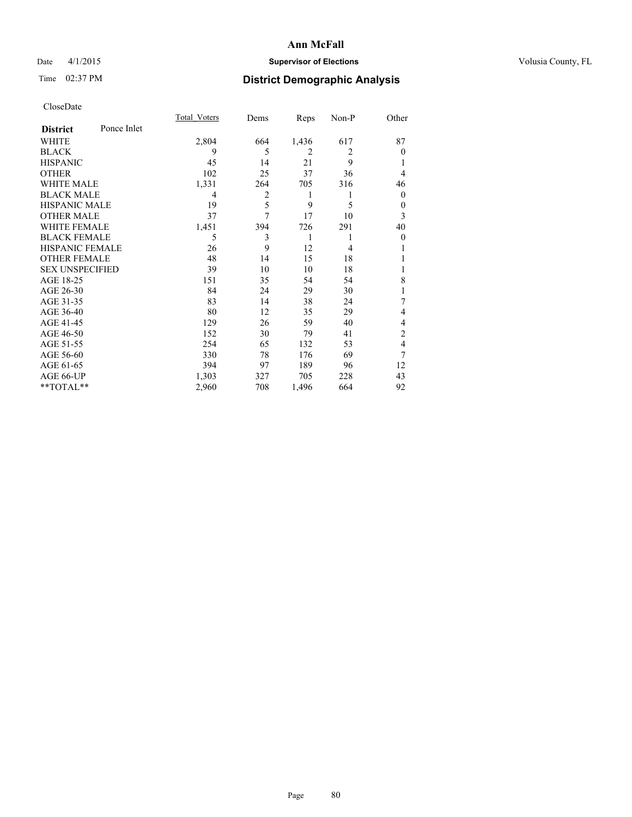## Date 4/1/2015 **Supervisor of Elections Supervisor of Elections** Volusia County, FL

## Time 02:37 PM **District Demographic Analysis**

|                        |             | <b>Total Voters</b> | Dems | Reps  | Non-P          | Other          |
|------------------------|-------------|---------------------|------|-------|----------------|----------------|
| <b>District</b>        | Ponce Inlet |                     |      |       |                |                |
| WHITE                  |             | 2,804               | 664  | 1,436 | 617            | 87             |
| <b>BLACK</b>           |             | 9                   | 5    | 2     | $\overline{2}$ | $\theta$       |
| <b>HISPANIC</b>        |             | 45                  | 14   | 21    | 9              |                |
| <b>OTHER</b>           |             | 102                 | 25   | 37    | 36             | 4              |
| WHITE MALE             |             | 1,331               | 264  | 705   | 316            | 46             |
| <b>BLACK MALE</b>      |             | 4                   | 2    | 1     | 1              | $\overline{0}$ |
| <b>HISPANIC MALE</b>   |             | 19                  | 5    | 9     | 5              | $\theta$       |
| <b>OTHER MALE</b>      |             | 37                  | 7    | 17    | 10             | 3              |
| <b>WHITE FEMALE</b>    |             | 1,451               | 394  | 726   | 291            | 40             |
| <b>BLACK FEMALE</b>    |             | 5                   | 3    | 1     | 1              | $\theta$       |
| <b>HISPANIC FEMALE</b> |             | 26                  | 9    | 12    | $\overline{4}$ |                |
| <b>OTHER FEMALE</b>    |             | 48                  | 14   | 15    | 18             |                |
| <b>SEX UNSPECIFIED</b> |             | 39                  | 10   | 10    | 18             |                |
| AGE 18-25              |             | 151                 | 35   | 54    | 54             | 8              |
| AGE 26-30              |             | 84                  | 24   | 29    | 30             | 1              |
| AGE 31-35              |             | 83                  | 14   | 38    | 24             | 7              |
| AGE 36-40              |             | 80                  | 12   | 35    | 29             | 4              |
| AGE 41-45              |             | 129                 | 26   | 59    | 40             | 4              |
| AGE 46-50              |             | 152                 | 30   | 79    | 41             | 2              |
| AGE 51-55              |             | 254                 | 65   | 132   | 53             | 4              |
| AGE 56-60              |             | 330                 | 78   | 176   | 69             | 7              |
| AGE 61-65              |             | 394                 | 97   | 189   | 96             | 12             |
| AGE 66-UP              |             | 1,303               | 327  | 705   | 228            | 43             |
| **TOTAL**              |             | 2,960               | 708  | 1,496 | 664            | 92             |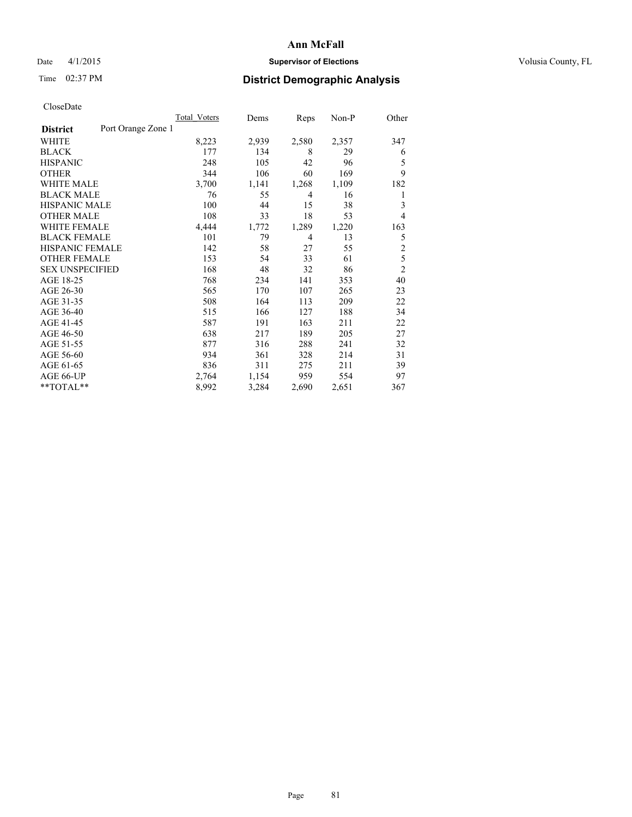## Date 4/1/2015 **Supervisor of Elections Supervisor of Elections** Volusia County, FL

## Time 02:37 PM **District Demographic Analysis**

|                        |                    | Total Voters | Dems  | Reps  | Non-P | Other          |
|------------------------|--------------------|--------------|-------|-------|-------|----------------|
| <b>District</b>        | Port Orange Zone 1 |              |       |       |       |                |
| WHITE                  |                    | 8,223        | 2,939 | 2,580 | 2,357 | 347            |
| <b>BLACK</b>           |                    | 177          | 134   | 8     | 29    | 6              |
| <b>HISPANIC</b>        |                    | 248          | 105   | 42    | 96    | 5              |
| <b>OTHER</b>           |                    | 344          | 106   | 60    | 169   | 9              |
| <b>WHITE MALE</b>      |                    | 3,700        | 1,141 | 1,268 | 1,109 | 182            |
| <b>BLACK MALE</b>      |                    | 76           | 55    | 4     | 16    | 1              |
| <b>HISPANIC MALE</b>   |                    | 100          | 44    | 15    | 38    | 3              |
| <b>OTHER MALE</b>      |                    | 108          | 33    | 18    | 53    | 4              |
| <b>WHITE FEMALE</b>    |                    | 4,444        | 1,772 | 1,289 | 1,220 | 163            |
| <b>BLACK FEMALE</b>    |                    | 101          | 79    | 4     | 13    | 5              |
| <b>HISPANIC FEMALE</b> |                    | 142          | 58    | 27    | 55    | $\overline{2}$ |
| <b>OTHER FEMALE</b>    |                    | 153          | 54    | 33    | 61    | 5              |
| <b>SEX UNSPECIFIED</b> |                    | 168          | 48    | 32    | 86    | $\overline{c}$ |
| AGE 18-25              |                    | 768          | 234   | 141   | 353   | 40             |
| AGE 26-30              |                    | 565          | 170   | 107   | 265   | 23             |
| AGE 31-35              |                    | 508          | 164   | 113   | 209   | 22             |
| AGE 36-40              |                    | 515          | 166   | 127   | 188   | 34             |
| AGE 41-45              |                    | 587          | 191   | 163   | 211   | 22             |
| AGE 46-50              |                    | 638          | 217   | 189   | 205   | 27             |
| AGE 51-55              |                    | 877          | 316   | 288   | 241   | 32             |
| AGE 56-60              |                    | 934          | 361   | 328   | 214   | 31             |
| AGE 61-65              |                    | 836          | 311   | 275   | 211   | 39             |
| AGE 66-UP              |                    | 2,764        | 1,154 | 959   | 554   | 97             |
| **TOTAL**              |                    | 8,992        | 3,284 | 2,690 | 2,651 | 367            |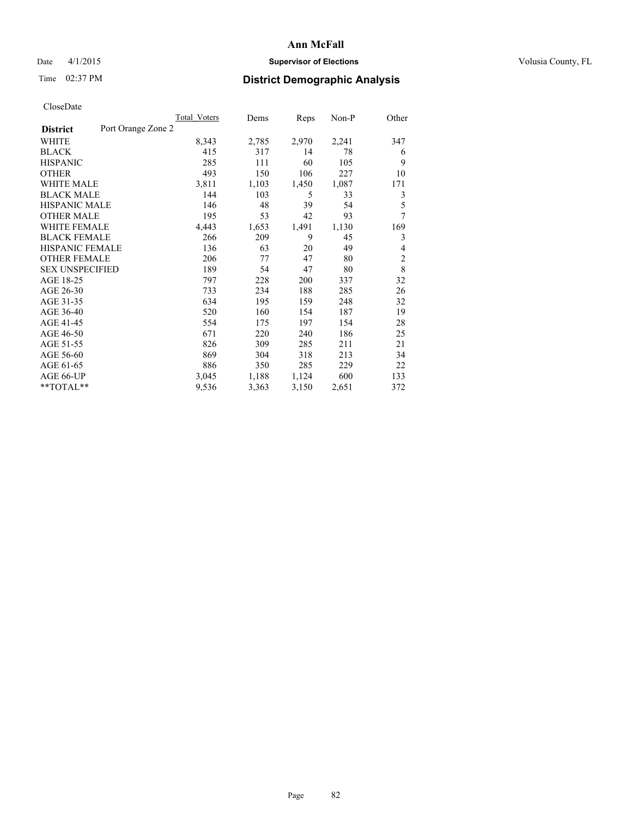## Date 4/1/2015 **Supervisor of Elections Supervisor of Elections** Volusia County, FL

## Time 02:37 PM **District Demographic Analysis**

|                        | Total Voters       | Dems  | Reps  | Non-P | Other          |
|------------------------|--------------------|-------|-------|-------|----------------|
| <b>District</b>        | Port Orange Zone 2 |       |       |       |                |
| WHITE                  | 8,343              | 2,785 | 2,970 | 2,241 | 347            |
| <b>BLACK</b>           | 415                | 317   | 14    | 78    | 6              |
| <b>HISPANIC</b>        | 285                | 111   | 60    | 105   | 9              |
| <b>OTHER</b>           | 493                | 150   | 106   | 227   | 10             |
| <b>WHITE MALE</b>      | 3,811              | 1,103 | 1,450 | 1,087 | 171            |
| <b>BLACK MALE</b>      | 144                | 103   | 5     | 33    | 3              |
| <b>HISPANIC MALE</b>   | 146                | 48    | 39    | 54    | 5              |
| <b>OTHER MALE</b>      | 195                | 53    | 42    | 93    | 7              |
| <b>WHITE FEMALE</b>    | 4,443              | 1,653 | 1,491 | 1,130 | 169            |
| <b>BLACK FEMALE</b>    | 266                | 209   | 9     | 45    | 3              |
| <b>HISPANIC FEMALE</b> | 136                | 63    | 20    | 49    | 4              |
| <b>OTHER FEMALE</b>    | 206                | 77    | 47    | 80    | $\overline{c}$ |
| <b>SEX UNSPECIFIED</b> | 189                | 54    | 47    | 80    | 8              |
| AGE 18-25              | 797                | 228   | 200   | 337   | 32             |
| AGE 26-30              | 733                | 234   | 188   | 285   | 26             |
| AGE 31-35              | 634                | 195   | 159   | 248   | 32             |
| AGE 36-40              | 520                | 160   | 154   | 187   | 19             |
| AGE 41-45              | 554                | 175   | 197   | 154   | 28             |
| AGE 46-50              | 671                | 220   | 240   | 186   | 25             |
| AGE 51-55              | 826                | 309   | 285   | 211   | 21             |
| AGE 56-60              | 869                | 304   | 318   | 213   | 34             |
| AGE 61-65              | 886                | 350   | 285   | 229   | 22             |
| AGE 66-UP              | 3,045              | 1,188 | 1,124 | 600   | 133            |
| **TOTAL**              | 9,536              | 3,363 | 3,150 | 2,651 | 372            |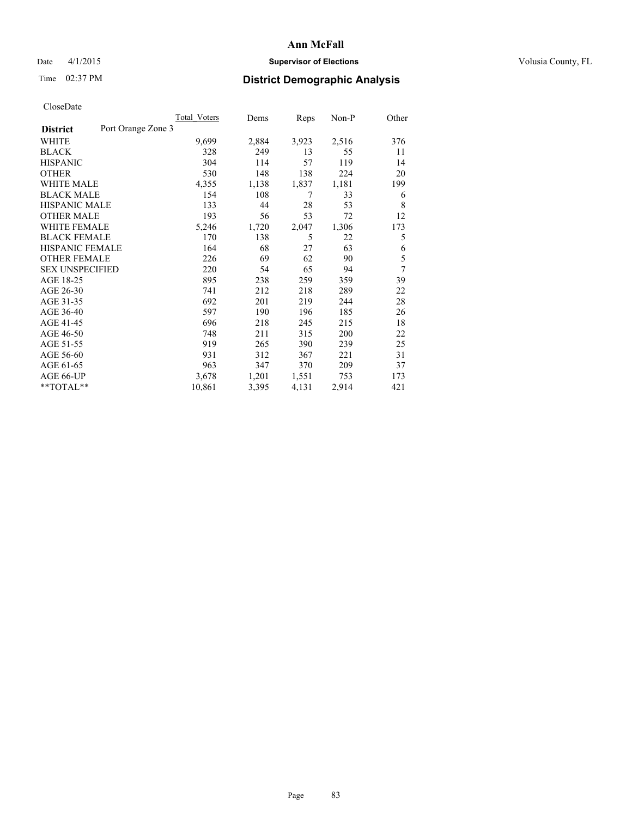## Date 4/1/2015 **Supervisor of Elections Supervisor of Elections** Volusia County, FL

## Time 02:37 PM **District Demographic Analysis**

|                        |                    | <b>Total Voters</b> | Dems  | Reps  | Non-P | Other          |
|------------------------|--------------------|---------------------|-------|-------|-------|----------------|
| <b>District</b>        | Port Orange Zone 3 |                     |       |       |       |                |
| WHITE                  |                    | 9,699               | 2,884 | 3,923 | 2,516 | 376            |
| <b>BLACK</b>           |                    | 328                 | 249   | 13    | 55    | 11             |
| <b>HISPANIC</b>        |                    | 304                 | 114   | 57    | 119   | 14             |
| <b>OTHER</b>           |                    | 530                 | 148   | 138   | 224   | 20             |
| <b>WHITE MALE</b>      |                    | 4,355               | 1,138 | 1,837 | 1,181 | 199            |
| <b>BLACK MALE</b>      |                    | 154                 | 108   | 7     | 33    | 6              |
| <b>HISPANIC MALE</b>   |                    | 133                 | 44    | 28    | 53    | 8              |
| <b>OTHER MALE</b>      |                    | 193                 | 56    | 53    | 72    | 12             |
| <b>WHITE FEMALE</b>    |                    | 5,246               | 1,720 | 2,047 | 1,306 | 173            |
| <b>BLACK FEMALE</b>    |                    | 170                 | 138   | 5     | 22    | 5              |
| <b>HISPANIC FEMALE</b> |                    | 164                 | 68    | 27    | 63    | 6              |
| <b>OTHER FEMALE</b>    |                    | 226                 | 69    | 62    | 90    | 5              |
| <b>SEX UNSPECIFIED</b> |                    | 220                 | 54    | 65    | 94    | $\overline{7}$ |
| AGE 18-25              |                    | 895                 | 238   | 259   | 359   | 39             |
| AGE 26-30              |                    | 741                 | 212   | 218   | 289   | 22             |
| AGE 31-35              |                    | 692                 | 201   | 219   | 244   | 28             |
| AGE 36-40              |                    | 597                 | 190   | 196   | 185   | 26             |
| AGE 41-45              |                    | 696                 | 218   | 245   | 215   | 18             |
| AGE 46-50              |                    | 748                 | 211   | 315   | 200   | 22             |
| AGE 51-55              |                    | 919                 | 265   | 390   | 239   | 25             |
| AGE 56-60              |                    | 931                 | 312   | 367   | 221   | 31             |
| AGE 61-65              |                    | 963                 | 347   | 370   | 209   | 37             |
| AGE 66-UP              |                    | 3,678               | 1,201 | 1,551 | 753   | 173            |
| **TOTAL**              |                    | 10,861              | 3,395 | 4,131 | 2,914 | 421            |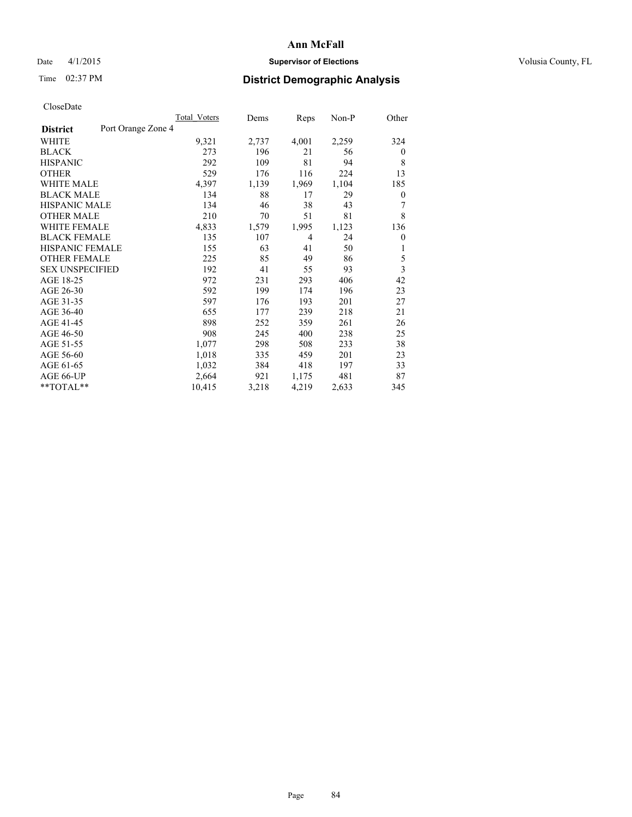## Date 4/1/2015 **Supervisor of Elections Supervisor of Elections** Volusia County, FL

## Time 02:37 PM **District Demographic Analysis**

|                        | Total Voters       | Dems  | Reps           | Non-P | Other        |
|------------------------|--------------------|-------|----------------|-------|--------------|
| <b>District</b>        | Port Orange Zone 4 |       |                |       |              |
| WHITE                  | 9,321              | 2,737 | 4,001          | 2,259 | 324          |
| <b>BLACK</b>           | 273                | 196   | 21             | 56    | $\mathbf{0}$ |
| <b>HISPANIC</b>        | 292                | 109   | 81             | 94    | 8            |
| <b>OTHER</b>           | 529                | 176   | 116            | 224   | 13           |
| <b>WHITE MALE</b>      | 4,397              | 1,139 | 1,969          | 1,104 | 185          |
| <b>BLACK MALE</b>      | 134                | 88    | 17             | 29    | 0            |
| <b>HISPANIC MALE</b>   | 134                | 46    | 38             | 43    | 7            |
| <b>OTHER MALE</b>      | 210                | 70    | 51             | 81    | 8            |
| <b>WHITE FEMALE</b>    | 4,833              | 1,579 | 1,995          | 1,123 | 136          |
| <b>BLACK FEMALE</b>    | 135                | 107   | $\overline{4}$ | 24    | $\mathbf{0}$ |
| <b>HISPANIC FEMALE</b> | 155                | 63    | 41             | 50    | 1            |
| <b>OTHER FEMALE</b>    | 225                | 85    | 49             | 86    | 5            |
| <b>SEX UNSPECIFIED</b> | 192                | 41    | 55             | 93    | 3            |
| AGE 18-25              | 972                | 231   | 293            | 406   | 42           |
| AGE 26-30              | 592                | 199   | 174            | 196   | 23           |
| AGE 31-35              | 597                | 176   | 193            | 201   | 27           |
| AGE 36-40              | 655                | 177   | 239            | 218   | 21           |
| AGE 41-45              | 898                | 252   | 359            | 261   | 26           |
| AGE 46-50              | 908                | 245   | 400            | 238   | 25           |
| AGE 51-55              | 1,077              | 298   | 508            | 233   | 38           |
| AGE 56-60              | 1,018              | 335   | 459            | 201   | 23           |
| AGE 61-65              | 1,032              | 384   | 418            | 197   | 33           |
| AGE 66-UP              | 2,664              | 921   | 1,175          | 481   | 87           |
| **TOTAL**              | 10,415             | 3,218 | 4,219          | 2,633 | 345          |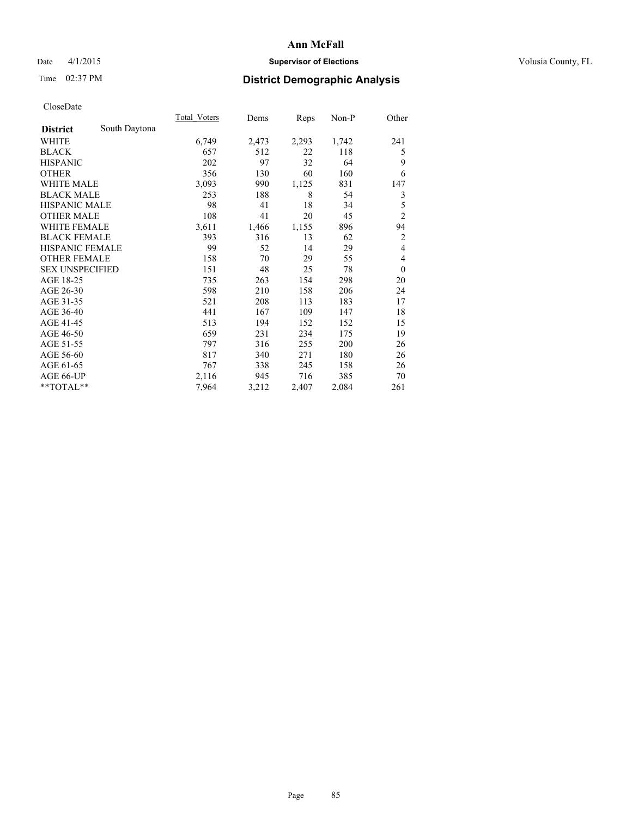## Date 4/1/2015 **Supervisor of Elections Supervisor of Elections** Volusia County, FL

## Time 02:37 PM **District Demographic Analysis**

|                        |               | Total Voters | Dems  | Reps  | Non-P | Other          |
|------------------------|---------------|--------------|-------|-------|-------|----------------|
| <b>District</b>        | South Daytona |              |       |       |       |                |
| WHITE                  |               | 6,749        | 2,473 | 2,293 | 1,742 | 241            |
| <b>BLACK</b>           |               | 657          | 512   | 22    | 118   | 5              |
| <b>HISPANIC</b>        |               | 202          | 97    | 32    | 64    | 9              |
| <b>OTHER</b>           |               | 356          | 130   | 60    | 160   | 6              |
| <b>WHITE MALE</b>      |               | 3,093        | 990   | 1,125 | 831   | 147            |
| <b>BLACK MALE</b>      |               | 253          | 188   | 8     | 54    | 3              |
| <b>HISPANIC MALE</b>   |               | 98           | 41    | 18    | 34    | 5              |
| <b>OTHER MALE</b>      |               | 108          | 41    | 20    | 45    | $\overline{c}$ |
| <b>WHITE FEMALE</b>    |               | 3,611        | 1,466 | 1,155 | 896   | 94             |
| <b>BLACK FEMALE</b>    |               | 393          | 316   | 13    | 62    | $\overline{c}$ |
| <b>HISPANIC FEMALE</b> |               | 99           | 52    | 14    | 29    | $\overline{4}$ |
| <b>OTHER FEMALE</b>    |               | 158          | 70    | 29    | 55    | 4              |
| <b>SEX UNSPECIFIED</b> |               | 151          | 48    | 25    | 78    | $\theta$       |
| AGE 18-25              |               | 735          | 263   | 154   | 298   | 20             |
| AGE 26-30              |               | 598          | 210   | 158   | 206   | 24             |
| AGE 31-35              |               | 521          | 208   | 113   | 183   | 17             |
| AGE 36-40              |               | 441          | 167   | 109   | 147   | 18             |
| AGE 41-45              |               | 513          | 194   | 152   | 152   | 15             |
| AGE 46-50              |               | 659          | 231   | 234   | 175   | 19             |
| AGE 51-55              |               | 797          | 316   | 255   | 200   | 26             |
| AGE 56-60              |               | 817          | 340   | 271   | 180   | 26             |
| AGE 61-65              |               | 767          | 338   | 245   | 158   | 26             |
| AGE 66-UP              |               | 2,116        | 945   | 716   | 385   | 70             |
| **TOTAL**              |               | 7,964        | 3,212 | 2,407 | 2,084 | 261            |